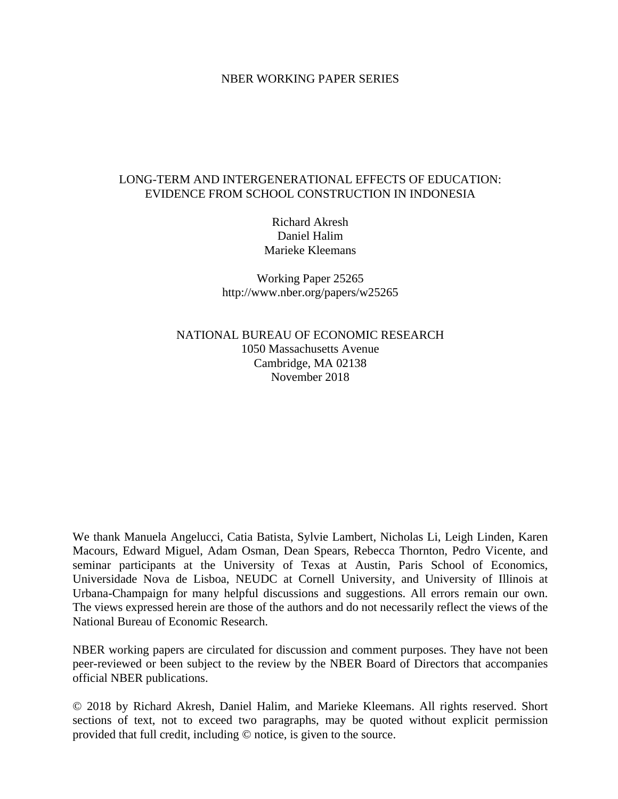## NBER WORKING PAPER SERIES

# LONG-TERM AND INTERGENERATIONAL EFFECTS OF EDUCATION: EVIDENCE FROM SCHOOL CONSTRUCTION IN INDONESIA

Richard Akresh Daniel Halim Marieke Kleemans

Working Paper 25265 http://www.nber.org/papers/w25265

NATIONAL BUREAU OF ECONOMIC RESEARCH 1050 Massachusetts Avenue Cambridge, MA 02138 November 2018

We thank Manuela Angelucci, Catia Batista, Sylvie Lambert, Nicholas Li, Leigh Linden, Karen Macours, Edward Miguel, Adam Osman, Dean Spears, Rebecca Thornton, Pedro Vicente, and seminar participants at the University of Texas at Austin, Paris School of Economics, Universidade Nova de Lisboa, NEUDC at Cornell University, and University of Illinois at Urbana-Champaign for many helpful discussions and suggestions. All errors remain our own. The views expressed herein are those of the authors and do not necessarily reflect the views of the National Bureau of Economic Research.

NBER working papers are circulated for discussion and comment purposes. They have not been peer-reviewed or been subject to the review by the NBER Board of Directors that accompanies official NBER publications.

© 2018 by Richard Akresh, Daniel Halim, and Marieke Kleemans. All rights reserved. Short sections of text, not to exceed two paragraphs, may be quoted without explicit permission provided that full credit, including © notice, is given to the source.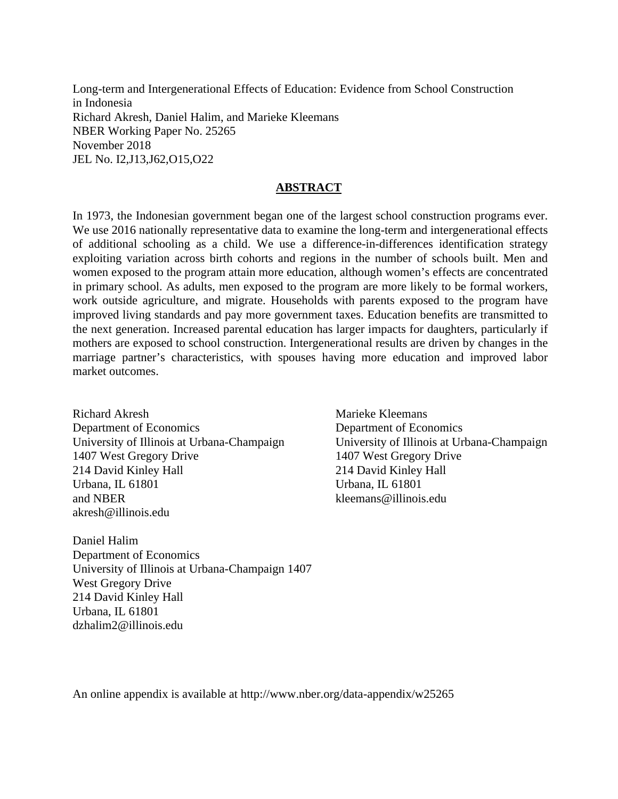Long-term and Intergenerational Effects of Education: Evidence from School Construction in Indonesia Richard Akresh, Daniel Halim, and Marieke Kleemans NBER Working Paper No. 25265 November 2018 JEL No. I2,J13,J62,O15,O22

## **ABSTRACT**

In 1973, the Indonesian government began one of the largest school construction programs ever. We use 2016 nationally representative data to examine the long-term and intergenerational effects of additional schooling as a child. We use a difference-in-differences identification strategy exploiting variation across birth cohorts and regions in the number of schools built. Men and women exposed to the program attain more education, although women's effects are concentrated in primary school. As adults, men exposed to the program are more likely to be formal workers, work outside agriculture, and migrate. Households with parents exposed to the program have improved living standards and pay more government taxes. Education benefits are transmitted to the next generation. Increased parental education has larger impacts for daughters, particularly if mothers are exposed to school construction. Intergenerational results are driven by changes in the marriage partner's characteristics, with spouses having more education and improved labor market outcomes.

Richard Akresh Department of Economics University of Illinois at Urbana-Champaign 1407 West Gregory Drive 214 David Kinley Hall Urbana, IL 61801 and NBER akresh@illinois.edu

Daniel Halim Department of Economics University of Illinois at Urbana-Champaign 1407 West Gregory Drive 214 David Kinley Hall Urbana, IL 61801 dzhalim2@illinois.edu

Marieke Kleemans Department of Economics University of Illinois at Urbana-Champaign 1407 West Gregory Drive 214 David Kinley Hall Urbana, IL 61801 kleemans@illinois.edu

An online appendix is available at http://www.nber.org/data-appendix/w25265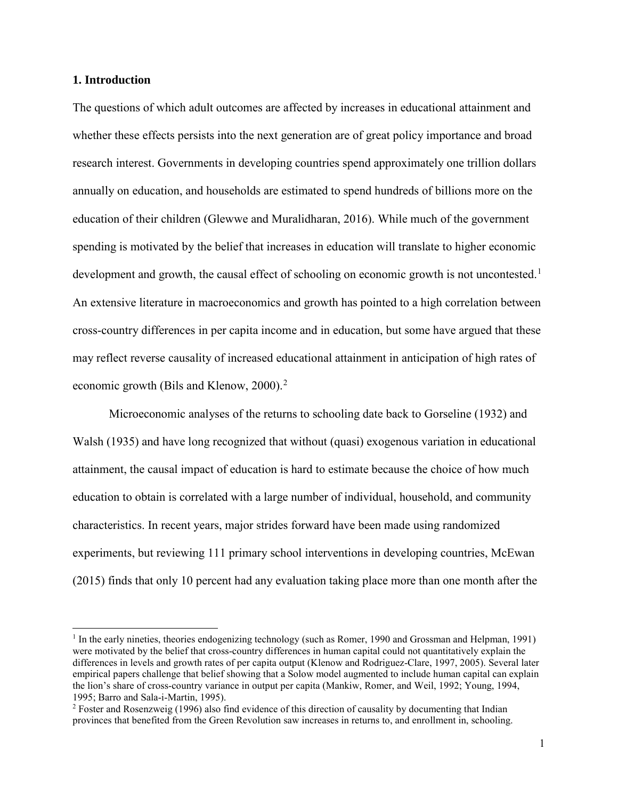#### **1. Introduction**

 $\overline{a}$ 

The questions of which adult outcomes are affected by increases in educational attainment and whether these effects persists into the next generation are of great policy importance and broad research interest. Governments in developing countries spend approximately one trillion dollars annually on education, and households are estimated to spend hundreds of billions more on the education of their children (Glewwe and Muralidharan, 2016). While much of the government spending is motivated by the belief that increases in education will translate to higher economic development and growth, the causal effect of schooling on economic growth is not uncontested.<sup>[1](#page-2-0)</sup> An extensive literature in macroeconomics and growth has pointed to a high correlation between cross-country differences in per capita income and in education, but some have argued that these may reflect reverse causality of increased educational attainment in anticipation of high rates of economic growth (Bils and Klenow, [2](#page-2-1)000).<sup>2</sup>

Microeconomic analyses of the returns to schooling date back to Gorseline (1932) and Walsh (1935) and have long recognized that without (quasi) exogenous variation in educational attainment, the causal impact of education is hard to estimate because the choice of how much education to obtain is correlated with a large number of individual, household, and community characteristics. In recent years, major strides forward have been made using randomized experiments, but reviewing 111 primary school interventions in developing countries, McEwan (2015) finds that only 10 percent had any evaluation taking place more than one month after the

<span id="page-2-0"></span><sup>&</sup>lt;sup>1</sup> In the early nineties, theories endogenizing technology (such as Romer, 1990 and Grossman and Helpman, 1991) were motivated by the belief that cross-country differences in human capital could not quantitatively explain the differences in levels and growth rates of per capita output (Klenow and Rodriguez-Clare, 1997, 2005). Several later empirical papers challenge that belief showing that a Solow model augmented to include human capital can explain the lion's share of cross-country variance in output per capita (Mankiw, Romer, and Weil, 1992; Young, 1994, 1995; Barro and Sala-i-Martin, 1995).

<span id="page-2-1"></span><sup>&</sup>lt;sup>2</sup> Foster and Rosenzweig (1996) also find evidence of this direction of causality by documenting that Indian provinces that benefited from the Green Revolution saw increases in returns to, and enrollment in, schooling.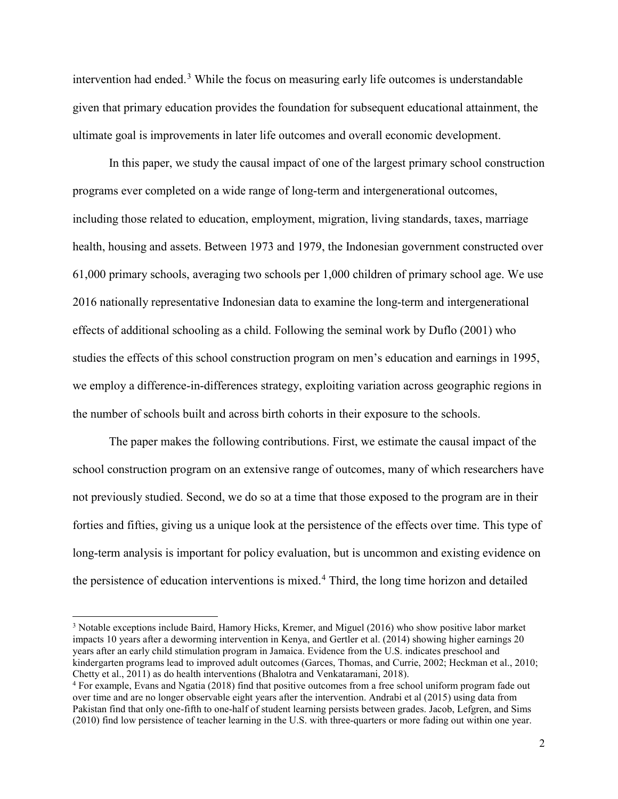intervention had ended.<sup>[3](#page-3-0)</sup> While the focus on measuring early life outcomes is understandable given that primary education provides the foundation for subsequent educational attainment, the ultimate goal is improvements in later life outcomes and overall economic development.

In this paper, we study the causal impact of one of the largest primary school construction programs ever completed on a wide range of long-term and intergenerational outcomes, including those related to education, employment, migration, living standards, taxes, marriage health, housing and assets. Between 1973 and 1979, the Indonesian government constructed over 61,000 primary schools, averaging two schools per 1,000 children of primary school age. We use 2016 nationally representative Indonesian data to examine the long-term and intergenerational effects of additional schooling as a child. Following the seminal work by Duflo (2001) who studies the effects of this school construction program on men's education and earnings in 1995, we employ a difference-in-differences strategy, exploiting variation across geographic regions in the number of schools built and across birth cohorts in their exposure to the schools.

The paper makes the following contributions. First, we estimate the causal impact of the school construction program on an extensive range of outcomes, many of which researchers have not previously studied. Second, we do so at a time that those exposed to the program are in their forties and fifties, giving us a unique look at the persistence of the effects over time. This type of long-term analysis is important for policy evaluation, but is uncommon and existing evidence on the persistence of education interventions is mixed.<sup>[4](#page-3-1)</sup> Third, the long time horizon and detailed

<span id="page-3-0"></span><sup>&</sup>lt;sup>3</sup> Notable exceptions include Baird, Hamory Hicks, Kremer, and Miguel (2016) who show positive labor market impacts 10 years after a deworming intervention in Kenya, and Gertler et al. (2014) showing higher earnings 20 years after an early child stimulation program in Jamaica. Evidence from the U.S. indicates preschool and kindergarten programs lead to improved adult outcomes (Garces, Thomas, and Currie, 2002; Heckman et al., 2010; Chetty et al., 2011) as do health interventions (Bhalotra and Venkataramani, 2018).

<span id="page-3-1"></span><sup>4</sup> For example, Evans and Ngatia (2018) find that positive outcomes from a free school uniform program fade out over time and are no longer observable eight years after the intervention. Andrabi et al (2015) using data from Pakistan find that only one-fifth to one-half of student learning persists between grades. Jacob, Lefgren, and Sims (2010) find low persistence of teacher learning in the U.S. with three-quarters or more fading out within one year.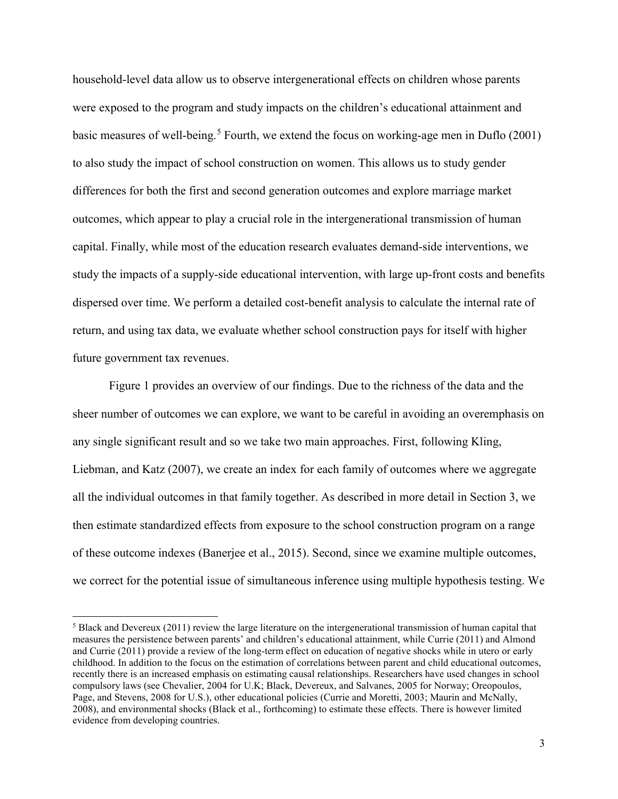household-level data allow us to observe intergenerational effects on children whose parents were exposed to the program and study impacts on the children's educational attainment and basic measures of well-being.<sup>[5](#page-4-0)</sup> Fourth, we extend the focus on working-age men in Duflo (2001) to also study the impact of school construction on women. This allows us to study gender differences for both the first and second generation outcomes and explore marriage market outcomes, which appear to play a crucial role in the intergenerational transmission of human capital. Finally, while most of the education research evaluates demand-side interventions, we study the impacts of a supply-side educational intervention, with large up-front costs and benefits dispersed over time. We perform a detailed cost-benefit analysis to calculate the internal rate of return, and using tax data, we evaluate whether school construction pays for itself with higher future government tax revenues.

Figure 1 provides an overview of our findings. Due to the richness of the data and the sheer number of outcomes we can explore, we want to be careful in avoiding an overemphasis on any single significant result and so we take two main approaches. First, following Kling, Liebman, and Katz (2007), we create an index for each family of outcomes where we aggregate all the individual outcomes in that family together. As described in more detail in Section 3, we then estimate standardized effects from exposure to the school construction program on a range of these outcome indexes (Banerjee et al., 2015). Second, since we examine multiple outcomes, we correct for the potential issue of simultaneous inference using multiple hypothesis testing. We

<span id="page-4-0"></span><sup>5</sup> Black and Devereux (2011) review the large literature on the intergenerational transmission of human capital that measures the persistence between parents' and children's educational attainment, while Currie (2011) and Almond and Currie (2011) provide a review of the long-term effect on education of negative shocks while in utero or early childhood. In addition to the focus on the estimation of correlations between parent and child educational outcomes, recently there is an increased emphasis on estimating causal relationships. Researchers have used changes in school compulsory laws (see Chevalier, 2004 for U.K; Black, Devereux, and Salvanes, 2005 for Norway; Oreopoulos, Page, and Stevens, 2008 for U.S.), other educational policies (Currie and Moretti, 2003; Maurin and McNally, 2008), and environmental shocks (Black et al., forthcoming) to estimate these effects. There is however limited evidence from developing countries.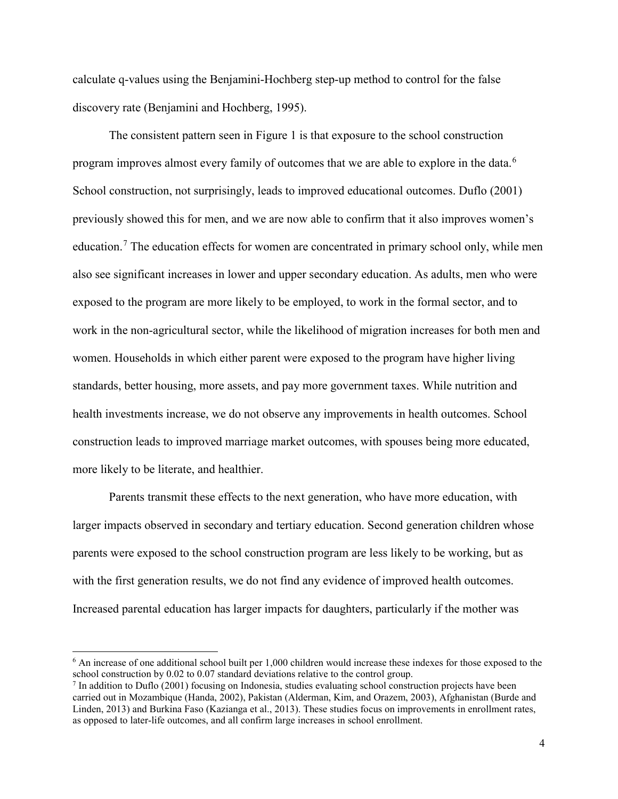calculate q-values using the Benjamini-Hochberg step-up method to control for the false discovery rate (Benjamini and Hochberg, 1995).

The consistent pattern seen in Figure 1 is that exposure to the school construction program improves almost every family of outcomes that we are able to explore in the data.<sup>[6](#page-5-0)</sup> School construction, not surprisingly, leads to improved educational outcomes. Duflo (2001) previously showed this for men, and we are now able to confirm that it also improves women's education.<sup>[7](#page-5-1)</sup> The education effects for women are concentrated in primary school only, while men also see significant increases in lower and upper secondary education. As adults, men who were exposed to the program are more likely to be employed, to work in the formal sector, and to work in the non-agricultural sector, while the likelihood of migration increases for both men and women. Households in which either parent were exposed to the program have higher living standards, better housing, more assets, and pay more government taxes. While nutrition and health investments increase, we do not observe any improvements in health outcomes. School construction leads to improved marriage market outcomes, with spouses being more educated, more likely to be literate, and healthier.

Parents transmit these effects to the next generation, who have more education, with larger impacts observed in secondary and tertiary education. Second generation children whose parents were exposed to the school construction program are less likely to be working, but as with the first generation results, we do not find any evidence of improved health outcomes. Increased parental education has larger impacts for daughters, particularly if the mother was

<span id="page-5-0"></span><sup>6</sup> An increase of one additional school built per 1,000 children would increase these indexes for those exposed to the school construction by 0.02 to 0.07 standard deviations relative to the control group.

<span id="page-5-1"></span><sup>7</sup> In addition to Duflo (2001) focusing on Indonesia, studies evaluating school construction projects have been carried out in Mozambique (Handa, 2002), Pakistan (Alderman, Kim, and Orazem, 2003), Afghanistan (Burde and Linden, 2013) and Burkina Faso (Kazianga et al., 2013). These studies focus on improvements in enrollment rates, as opposed to later-life outcomes, and all confirm large increases in school enrollment.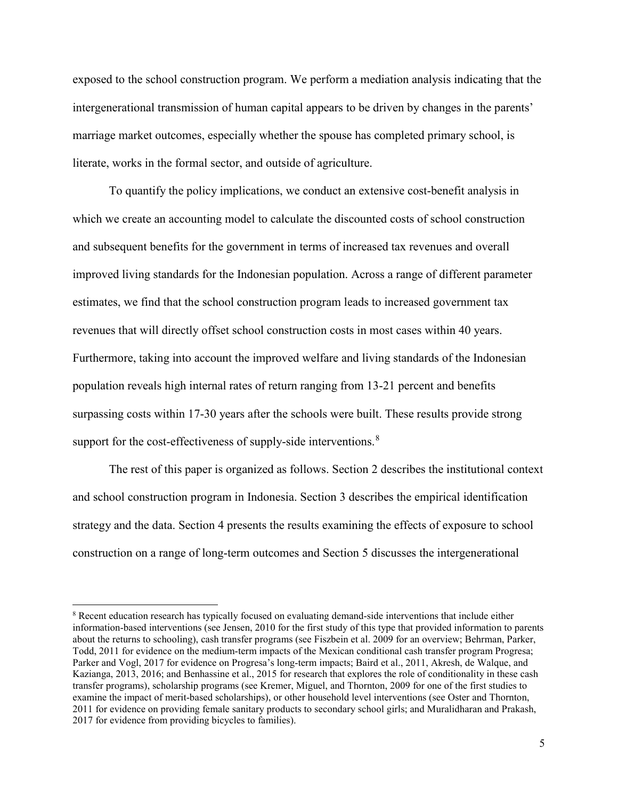exposed to the school construction program. We perform a mediation analysis indicating that the intergenerational transmission of human capital appears to be driven by changes in the parents' marriage market outcomes, especially whether the spouse has completed primary school, is literate, works in the formal sector, and outside of agriculture.

To quantify the policy implications, we conduct an extensive cost-benefit analysis in which we create an accounting model to calculate the discounted costs of school construction and subsequent benefits for the government in terms of increased tax revenues and overall improved living standards for the Indonesian population. Across a range of different parameter estimates, we find that the school construction program leads to increased government tax revenues that will directly offset school construction costs in most cases within 40 years. Furthermore, taking into account the improved welfare and living standards of the Indonesian population reveals high internal rates of return ranging from 13-21 percent and benefits surpassing costs within 17-30 years after the schools were built. These results provide strong support for the cost-effectiveness of supply-side interventions.<sup>[8](#page-6-0)</sup>

The rest of this paper is organized as follows. Section 2 describes the institutional context and school construction program in Indonesia. Section 3 describes the empirical identification strategy and the data. Section 4 presents the results examining the effects of exposure to school construction on a range of long-term outcomes and Section 5 discusses the intergenerational

<span id="page-6-0"></span><sup>8</sup> Recent education research has typically focused on evaluating demand-side interventions that include either information-based interventions (see Jensen, 2010 for the first study of this type that provided information to parents about the returns to schooling), cash transfer programs (see Fiszbein et al. 2009 for an overview; Behrman, Parker, Todd, 2011 for evidence on the medium-term impacts of the Mexican conditional cash transfer program Progresa; Parker and Vogl, 2017 for evidence on Progresa's long-term impacts; Baird et al., 2011, Akresh, de Walque, and Kazianga, 2013, 2016; and Benhassine et al., 2015 for research that explores the role of conditionality in these cash transfer programs), scholarship programs (see Kremer, Miguel, and Thornton, 2009 for one of the first studies to examine the impact of merit-based scholarships), or other household level interventions (see Oster and Thornton, 2011 for evidence on providing female sanitary products to secondary school girls; and Muralidharan and Prakash, 2017 for evidence from providing bicycles to families).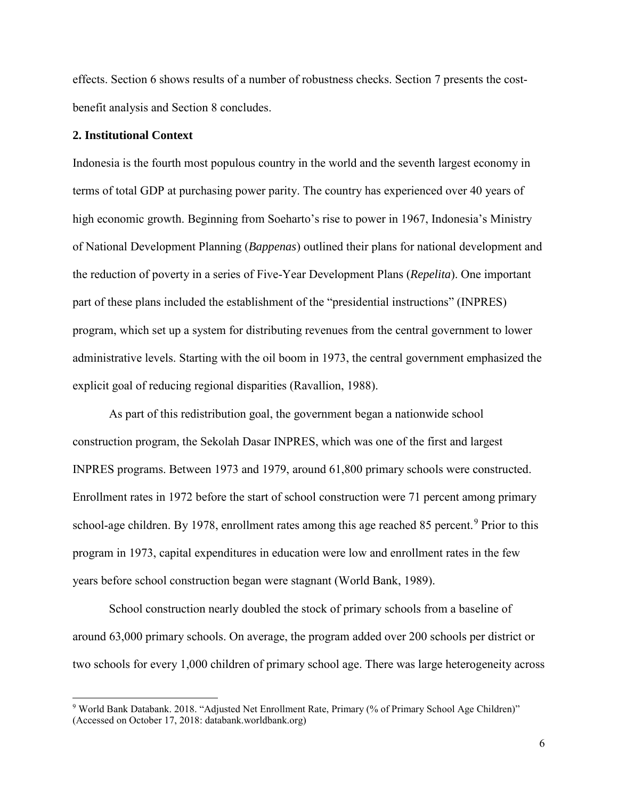effects. Section 6 shows results of a number of robustness checks. Section 7 presents the costbenefit analysis and Section 8 concludes.

## **2. Institutional Context**

 $\overline{a}$ 

Indonesia is the fourth most populous country in the world and the seventh largest economy in terms of total GDP at purchasing power parity. The country has experienced over 40 years of high economic growth. Beginning from Soeharto's rise to power in 1967, Indonesia's Ministry of National Development Planning (*Bappenas*) outlined their plans for national development and the reduction of poverty in a series of Five-Year Development Plans (*Repelita*). One important part of these plans included the establishment of the "presidential instructions" (INPRES) program, which set up a system for distributing revenues from the central government to lower administrative levels. Starting with the oil boom in 1973, the central government emphasized the explicit goal of reducing regional disparities (Ravallion, 1988).

As part of this redistribution goal, the government began a nationwide school construction program, the Sekolah Dasar INPRES, which was one of the first and largest INPRES programs. Between 1973 and 1979, around 61,800 primary schools were constructed. Enrollment rates in 1972 before the start of school construction were 71 percent among primary school-age children. By 1[9](#page-7-0)78, enrollment rates among this age reached 85 percent.<sup>9</sup> Prior to this program in 1973, capital expenditures in education were low and enrollment rates in the few years before school construction began were stagnant (World Bank, 1989).

School construction nearly doubled the stock of primary schools from a baseline of around 63,000 primary schools. On average, the program added over 200 schools per district or two schools for every 1,000 children of primary school age. There was large heterogeneity across

<span id="page-7-0"></span><sup>9</sup> World Bank Databank. 2018. "Adjusted Net Enrollment Rate, Primary (% of Primary School Age Children)" (Accessed on October 17, 2018: databank.worldbank.org)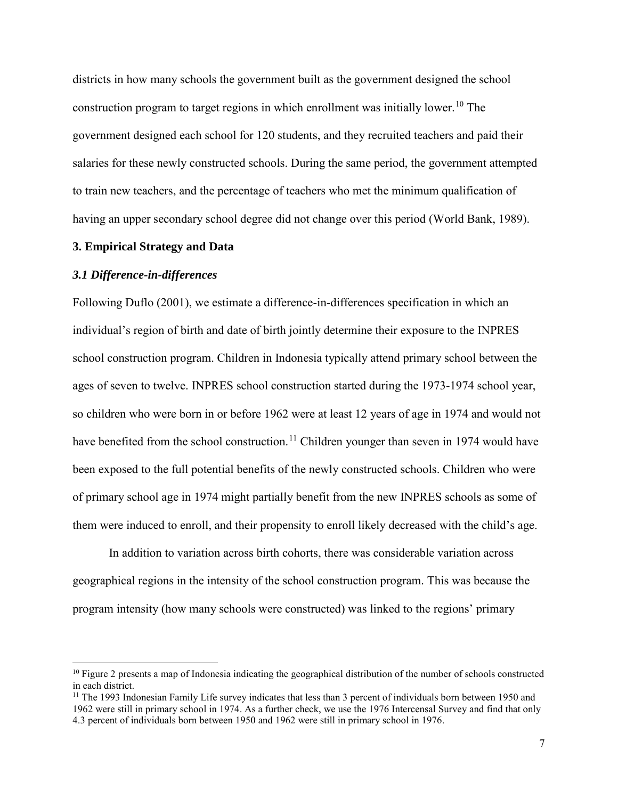districts in how many schools the government built as the government designed the school construction program to target regions in which enrollment was initially lower.<sup>[10](#page-8-0)</sup> The government designed each school for 120 students, and they recruited teachers and paid their salaries for these newly constructed schools. During the same period, the government attempted to train new teachers, and the percentage of teachers who met the minimum qualification of having an upper secondary school degree did not change over this period (World Bank, 1989).

#### **3. Empirical Strategy and Data**

#### *3.1 Difference-in-differences*

 $\ddot{\phantom{a}}$ 

Following Duflo (2001), we estimate a difference-in-differences specification in which an individual's region of birth and date of birth jointly determine their exposure to the INPRES school construction program. Children in Indonesia typically attend primary school between the ages of seven to twelve. INPRES school construction started during the 1973-1974 school year, so children who were born in or before 1962 were at least 12 years of age in 1974 and would not have benefited from the school construction.<sup>11</sup> Children younger than seven in 1974 would have been exposed to the full potential benefits of the newly constructed schools. Children who were of primary school age in 1974 might partially benefit from the new INPRES schools as some of them were induced to enroll, and their propensity to enroll likely decreased with the child's age.

In addition to variation across birth cohorts, there was considerable variation across geographical regions in the intensity of the school construction program. This was because the program intensity (how many schools were constructed) was linked to the regions' primary

<span id="page-8-0"></span> $10$  Figure 2 presents a map of Indonesia indicating the geographical distribution of the number of schools constructed in each district.

<span id="page-8-1"></span><sup>&</sup>lt;sup>11</sup> The 1993 Indonesian Family Life survey indicates that less than 3 percent of individuals born between 1950 and 1962 were still in primary school in 1974. As a further check, we use the 1976 Intercensal Survey and find that only 4.3 percent of individuals born between 1950 and 1962 were still in primary school in 1976.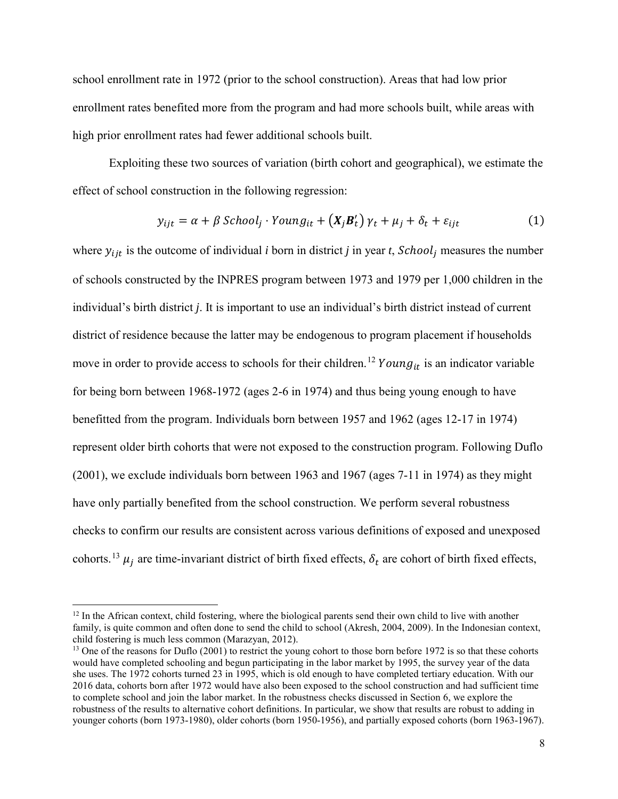school enrollment rate in 1972 (prior to the school construction). Areas that had low prior enrollment rates benefited more from the program and had more schools built, while areas with high prior enrollment rates had fewer additional schools built.

Exploiting these two sources of variation (birth cohort and geographical), we estimate the effect of school construction in the following regression:

$$
y_{ijt} = \alpha + \beta \n\text{ School}_j \cdot \text{Young}_{it} + (X_j B_t') \gamma_t + \mu_j + \delta_t + \varepsilon_{ijt} \tag{1}
$$

where  $y_{ijt}$  is the outcome of individual *i* born in district *j* in year *t*,  $School<sub>j</sub>$  measures the number of schools constructed by the INPRES program between 1973 and 1979 per 1,000 children in the individual's birth district *j*. It is important to use an individual's birth district instead of current district of residence because the latter may be endogenous to program placement if households move in order to provide access to schools for their children.<sup>[12](#page-9-0)</sup> Young<sub>it</sub> is an indicator variable for being born between 1968-1972 (ages 2-6 in 1974) and thus being young enough to have benefitted from the program. Individuals born between 1957 and 1962 (ages 12-17 in 1974) represent older birth cohorts that were not exposed to the construction program. Following Duflo (2001), we exclude individuals born between 1963 and 1967 (ages 7-11 in 1974) as they might have only partially benefited from the school construction. We perform several robustness checks to confirm our results are consistent across various definitions of exposed and unexposed cohorts.<sup>[13](#page-9-1)</sup>  $\mu_i$  are time-invariant district of birth fixed effects,  $\delta_t$  are cohort of birth fixed effects,

<span id="page-9-0"></span><sup>&</sup>lt;sup>12</sup> In the African context, child fostering, where the biological parents send their own child to live with another family, is quite common and often done to send the child to school (Akresh, 2004, 2009). In the Indonesian context, child fostering is much less common (Marazyan, 2012).

<span id="page-9-1"></span><sup>&</sup>lt;sup>13</sup> One of the reasons for Duflo (2001) to restrict the young cohort to those born before 1972 is so that these cohorts would have completed schooling and begun participating in the labor market by 1995, the survey year of the data she uses. The 1972 cohorts turned 23 in 1995, which is old enough to have completed tertiary education. With our 2016 data, cohorts born after 1972 would have also been exposed to the school construction and had sufficient time to complete school and join the labor market. In the robustness checks discussed in Section 6, we explore the robustness of the results to alternative cohort definitions. In particular, we show that results are robust to adding in younger cohorts (born 1973-1980), older cohorts (born 1950-1956), and partially exposed cohorts (born 1963-1967).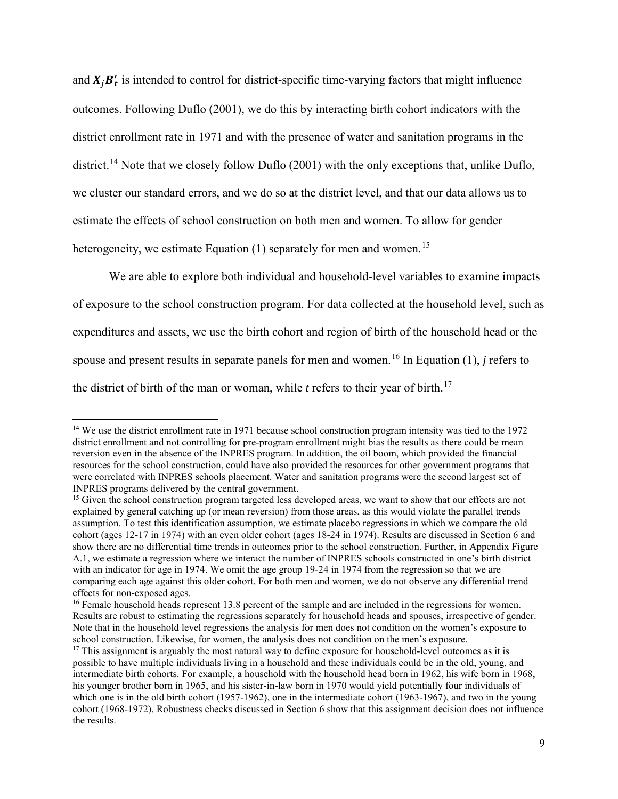and  $X_j B'_t$  is intended to control for district-specific time-varying factors that might influence outcomes. Following Duflo (2001), we do this by interacting birth cohort indicators with the district enrollment rate in 1971 and with the presence of water and sanitation programs in the district.<sup>[14](#page-10-0)</sup> Note that we closely follow Duflo (2001) with the only exceptions that, unlike Duflo, we cluster our standard errors, and we do so at the district level, and that our data allows us to estimate the effects of school construction on both men and women. To allow for gender heterogeneity, we estimate Equation  $(1)$  separately for men and women.<sup>[15](#page-10-1)</sup>

We are able to explore both individual and household-level variables to examine impacts of exposure to the school construction program. For data collected at the household level, such as expenditures and assets, we use the birth cohort and region of birth of the household head or the spouse and present results in separate panels for men and women.<sup>[16](#page-10-2)</sup> In Equation  $(1)$ , *j* refers to the district of birth of the man or woman, while  $t$  refers to their year of birth.<sup>[17](#page-10-3)</sup>

<span id="page-10-0"></span><sup>&</sup>lt;sup>14</sup> We use the district enrollment rate in 1971 because school construction program intensity was tied to the 1972 district enrollment and not controlling for pre-program enrollment might bias the results as there could be mean reversion even in the absence of the INPRES program. In addition, the oil boom, which provided the financial resources for the school construction, could have also provided the resources for other government programs that were correlated with INPRES schools placement. Water and sanitation programs were the second largest set of INPRES programs delivered by the central government.

<span id="page-10-1"></span><sup>&</sup>lt;sup>15</sup> Given the school construction program targeted less developed areas, we want to show that our effects are not explained by general catching up (or mean reversion) from those areas, as this would violate the parallel trends assumption. To test this identification assumption, we estimate placebo regressions in which we compare the old cohort (ages 12-17 in 1974) with an even older cohort (ages 18-24 in 1974). Results are discussed in Section 6 and show there are no differential time trends in outcomes prior to the school construction. Further, in Appendix Figure A.1, we estimate a regression where we interact the number of INPRES schools constructed in one's birth district with an indicator for age in 1974. We omit the age group 19-24 in 1974 from the regression so that we are comparing each age against this older cohort. For both men and women, we do not observe any differential trend effects for non-exposed ages.

<span id="page-10-2"></span><sup>&</sup>lt;sup>16</sup> Female household heads represent 13.8 percent of the sample and are included in the regressions for women. Results are robust to estimating the regressions separately for household heads and spouses, irrespective of gender. Note that in the household level regressions the analysis for men does not condition on the women's exposure to school construction. Likewise, for women, the analysis does not condition on the men's exposure.

<span id="page-10-3"></span><sup>&</sup>lt;sup>17</sup> This assignment is arguably the most natural way to define exposure for household-level outcomes as it is possible to have multiple individuals living in a household and these individuals could be in the old, young, and intermediate birth cohorts. For example, a household with the household head born in 1962, his wife born in 1968, his younger brother born in 1965, and his sister-in-law born in 1970 would yield potentially four individuals of which one is in the old birth cohort (1957-1962), one in the intermediate cohort (1963-1967), and two in the young cohort (1968-1972). Robustness checks discussed in Section 6 show that this assignment decision does not influence the results.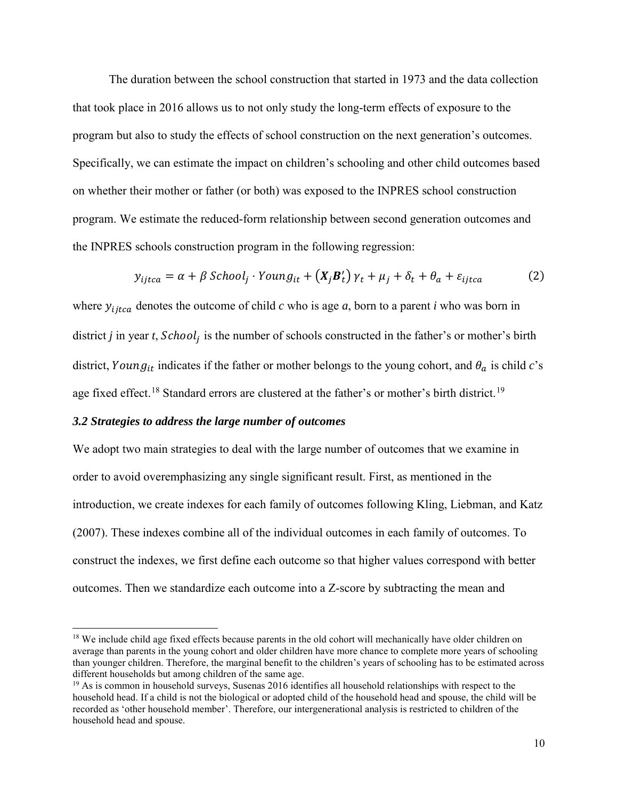The duration between the school construction that started in 1973 and the data collection that took place in 2016 allows us to not only study the long-term effects of exposure to the program but also to study the effects of school construction on the next generation's outcomes. Specifically, we can estimate the impact on children's schooling and other child outcomes based on whether their mother or father (or both) was exposed to the INPRES school construction program. We estimate the reduced-form relationship between second generation outcomes and the INPRES schools construction program in the following regression:

$$
y_{ijtca} = \alpha + \beta \; School_j \cdot Young_{it} + (X_j B_t') \gamma_t + \mu_j + \delta_t + \theta_a + \varepsilon_{ijtca} \tag{2}
$$

where  $y_{ijtca}$  denotes the outcome of child *c* who is age *a*, born to a parent *i* who was born in district *j* in year *t*,  $School<sub>j</sub>$  is the number of schools constructed in the father's or mother's birth district, Young<sub>it</sub> indicates if the father or mother belongs to the young cohort, and  $\theta_a$  is child *c*'s age fixed effect.<sup>[18](#page-11-0)</sup> Standard errors are clustered at the father's or mother's birth district.<sup>[19](#page-11-1)</sup>

## *3.2 Strategies to address the large number of outcomes*

 $\overline{a}$ 

We adopt two main strategies to deal with the large number of outcomes that we examine in order to avoid overemphasizing any single significant result. First, as mentioned in the introduction, we create indexes for each family of outcomes following Kling, Liebman, and Katz (2007). These indexes combine all of the individual outcomes in each family of outcomes. To construct the indexes, we first define each outcome so that higher values correspond with better outcomes. Then we standardize each outcome into a Z-score by subtracting the mean and

<span id="page-11-0"></span><sup>&</sup>lt;sup>18</sup> We include child age fixed effects because parents in the old cohort will mechanically have older children on average than parents in the young cohort and older children have more chance to complete more years of schooling than younger children. Therefore, the marginal benefit to the children's years of schooling has to be estimated across different households but among children of the same age.

<span id="page-11-1"></span> $19$  As is common in household surveys, Susenas 2016 identifies all household relationships with respect to the household head. If a child is not the biological or adopted child of the household head and spouse, the child will be recorded as 'other household member'. Therefore, our intergenerational analysis is restricted to children of the household head and spouse.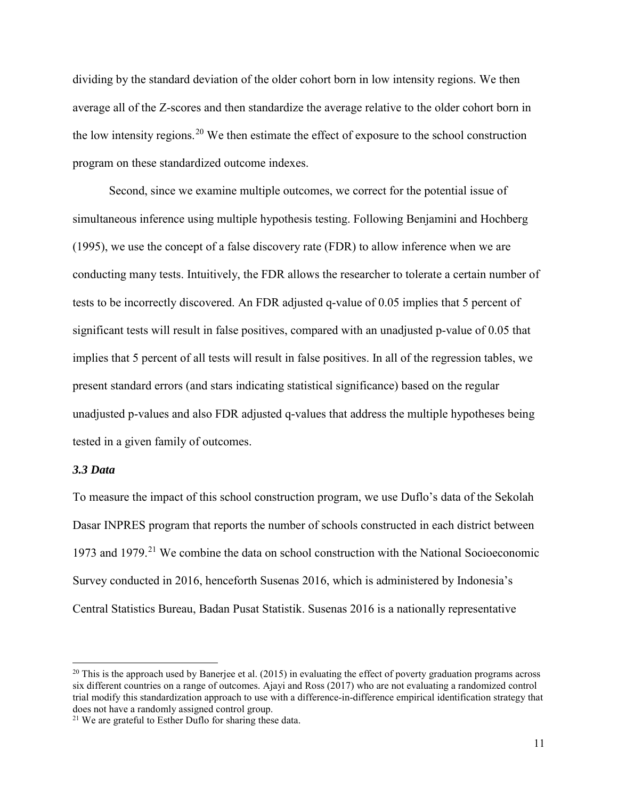dividing by the standard deviation of the older cohort born in low intensity regions. We then average all of the Z-scores and then standardize the average relative to the older cohort born in the low intensity regions.<sup>20</sup> We then estimate the effect of exposure to the school construction program on these standardized outcome indexes.

Second, since we examine multiple outcomes, we correct for the potential issue of simultaneous inference using multiple hypothesis testing. Following Benjamini and Hochberg (1995), we use the concept of a false discovery rate (FDR) to allow inference when we are conducting many tests. Intuitively, the FDR allows the researcher to tolerate a certain number of tests to be incorrectly discovered. An FDR adjusted q-value of 0.05 implies that 5 percent of significant tests will result in false positives, compared with an unadjusted p-value of 0.05 that implies that 5 percent of all tests will result in false positives. In all of the regression tables, we present standard errors (and stars indicating statistical significance) based on the regular unadjusted p-values and also FDR adjusted q-values that address the multiple hypotheses being tested in a given family of outcomes.

## *3.3 Data*

 $\ddot{\phantom{a}}$ 

To measure the impact of this school construction program, we use Duflo's data of the Sekolah Dasar INPRES program that reports the number of schools constructed in each district between 1973 and 1979.<sup>[21](#page-12-1)</sup> We combine the data on school construction with the National Socioeconomic Survey conducted in 2016, henceforth Susenas 2016, which is administered by Indonesia's Central Statistics Bureau, Badan Pusat Statistik. Susenas 2016 is a nationally representative

<span id="page-12-0"></span><sup>&</sup>lt;sup>20</sup> This is the approach used by Banerjee et al. (2015) in evaluating the effect of poverty graduation programs across six different countries on a range of outcomes. Ajayi and Ross (2017) who are not evaluating a randomized control trial modify this standardization approach to use with a difference-in-difference empirical identification strategy that does not have a randomly assigned control group.

<span id="page-12-1"></span><sup>21</sup> We are grateful to Esther Duflo for sharing these data.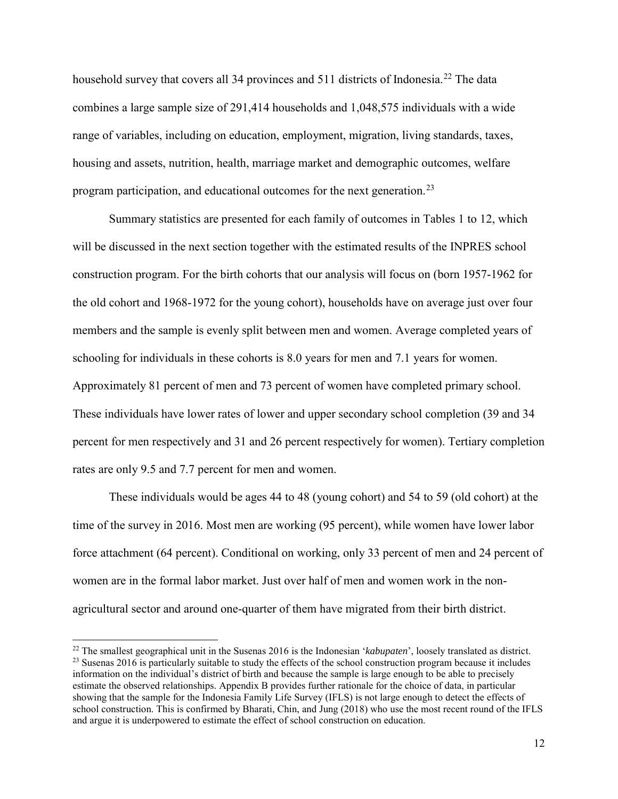household survey that covers all 34 provinces and 511 districts of Indonesia.<sup>[22](#page-13-0)</sup> The data combines a large sample size of 291,414 households and 1,048,575 individuals with a wide range of variables, including on education, employment, migration, living standards, taxes, housing and assets, nutrition, health, marriage market and demographic outcomes, welfare program participation, and educational outcomes for the next generation.<sup>[23](#page-13-1)</sup>

Summary statistics are presented for each family of outcomes in Tables 1 to 12, which will be discussed in the next section together with the estimated results of the INPRES school construction program. For the birth cohorts that our analysis will focus on (born 1957-1962 for the old cohort and 1968-1972 for the young cohort), households have on average just over four members and the sample is evenly split between men and women. Average completed years of schooling for individuals in these cohorts is 8.0 years for men and 7.1 years for women. Approximately 81 percent of men and 73 percent of women have completed primary school. These individuals have lower rates of lower and upper secondary school completion (39 and 34 percent for men respectively and 31 and 26 percent respectively for women). Tertiary completion rates are only 9.5 and 7.7 percent for men and women.

These individuals would be ages 44 to 48 (young cohort) and 54 to 59 (old cohort) at the time of the survey in 2016. Most men are working (95 percent), while women have lower labor force attachment (64 percent). Conditional on working, only 33 percent of men and 24 percent of women are in the formal labor market. Just over half of men and women work in the nonagricultural sector and around one-quarter of them have migrated from their birth district.

<span id="page-13-1"></span><span id="page-13-0"></span><sup>22</sup> The smallest geographical unit in the Susenas 2016 is the Indonesian '*kabupaten*', loosely translated as district. <sup>23</sup> Susenas 2016 is particularly suitable to study the effects of the school construction program because it includes information on the individual's district of birth and because the sample is large enough to be able to precisely estimate the observed relationships. Appendix B provides further rationale for the choice of data, in particular showing that the sample for the Indonesia Family Life Survey (IFLS) is not large enough to detect the effects of school construction. This is confirmed by Bharati, Chin, and Jung (2018) who use the most recent round of the IFLS and argue it is underpowered to estimate the effect of school construction on education.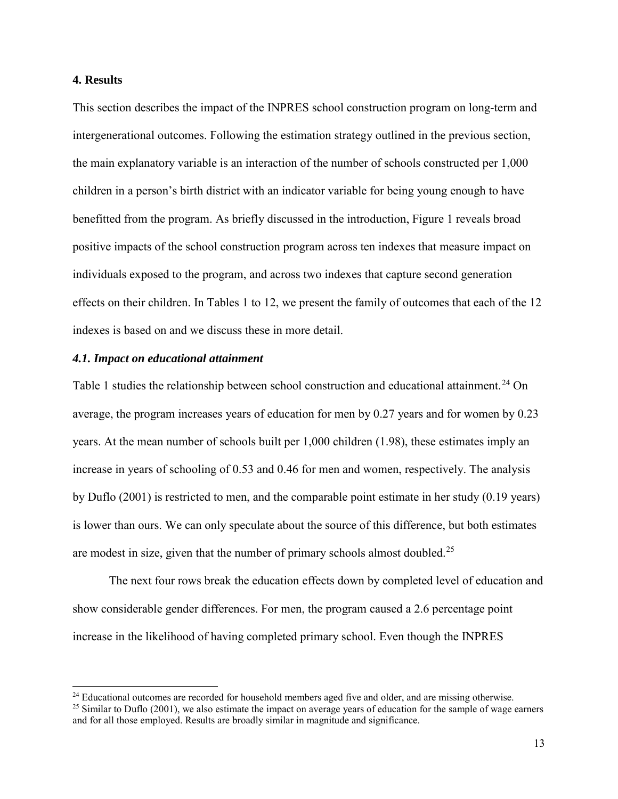## **4. Results**

 $\overline{a}$ 

This section describes the impact of the INPRES school construction program on long-term and intergenerational outcomes. Following the estimation strategy outlined in the previous section, the main explanatory variable is an interaction of the number of schools constructed per 1,000 children in a person's birth district with an indicator variable for being young enough to have benefitted from the program. As briefly discussed in the introduction, Figure 1 reveals broad positive impacts of the school construction program across ten indexes that measure impact on individuals exposed to the program, and across two indexes that capture second generation effects on their children. In Tables 1 to 12, we present the family of outcomes that each of the 12 indexes is based on and we discuss these in more detail.

#### *4.1. Impact on educational attainment*

Table 1 studies the relationship between school construction and educational attainment.<sup>[24](#page-14-0)</sup> On average, the program increases years of education for men by 0.27 years and for women by 0.23 years. At the mean number of schools built per 1,000 children (1.98), these estimates imply an increase in years of schooling of 0.53 and 0.46 for men and women, respectively. The analysis by Duflo (2001) is restricted to men, and the comparable point estimate in her study (0.19 years) is lower than ours. We can only speculate about the source of this difference, but both estimates are modest in size, given that the number of primary schools almost doubled.<sup>[25](#page-14-1)</sup>

The next four rows break the education effects down by completed level of education and show considerable gender differences. For men, the program caused a 2.6 percentage point increase in the likelihood of having completed primary school. Even though the INPRES

<span id="page-14-0"></span><sup>&</sup>lt;sup>24</sup> Educational outcomes are recorded for household members aged five and older, and are missing otherwise.  $^{25}$  Similar to Duflo (2001), we also estimate the impact on average years of education for the sample of wage

<span id="page-14-1"></span>and for all those employed. Results are broadly similar in magnitude and significance.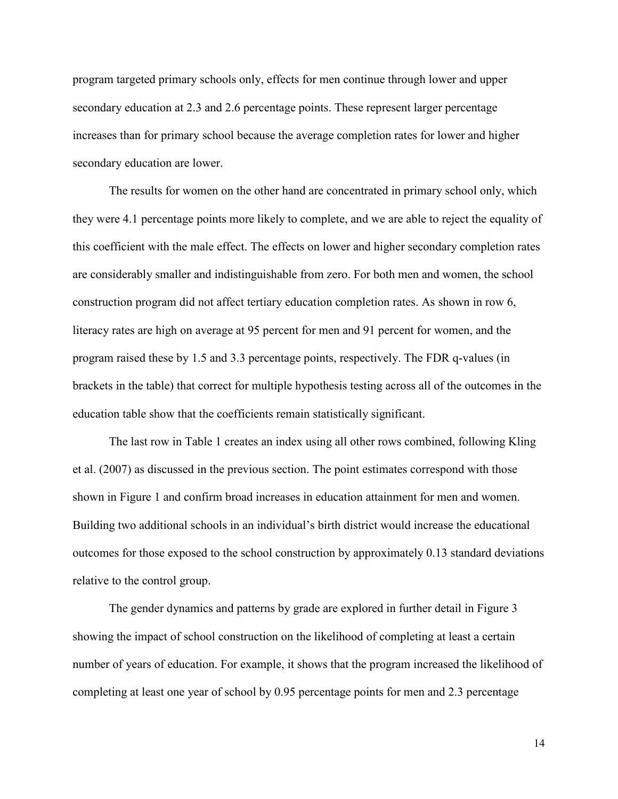program targeted primary schools only, effects for men continue through lower and upper secondary education at 2.3 and 2.6 percentage points. These represent larger percentage increases than for primary school because the average completion rates for lower and higher secondary education are lower.

The results for women on the other hand are concentrated in primary school only, which they were 4.1 percentage points more likely to complete, and we are able to reject the equality of this coefficient with the male effect. The effects on lower and higher secondary completion rates are considerably smaller and indistinguishable from zero. For both men and women, the school construction program did not affect tertiary education completion rates. As shown in row 6, literacy rates are high on average at 95 percent for men and 91 percent for women, and the program raised these by 1.5 and 3.3 percentage points, respectively. The FDR q-values (in brackets in the table) that correct for multiple hypothesis testing across all of the outcomes in the education table show that the coefficients remain statistically significant.

The last row in Table 1 creates an index using all other rows combined, following Kling et al. (2007) as discussed in the previous section. The point estimates correspond with those shown in Figure 1 and confirm broad increases in education attainment for men and women. Building two additional schools in an individual's birth district would increase the educational outcomes for those exposed to the school construction by approximately 0.13 standard deviations relative to the control group.

The gender dynamics and patterns by grade are explored in further detail in Figure 3 showing the impact of school construction on the likelihood of completing at least a certain number of years of education. For example, it shows that the program increased the likelihood of completing at least one year of school by 0.95 percentage points for men and 2.3 percentage

14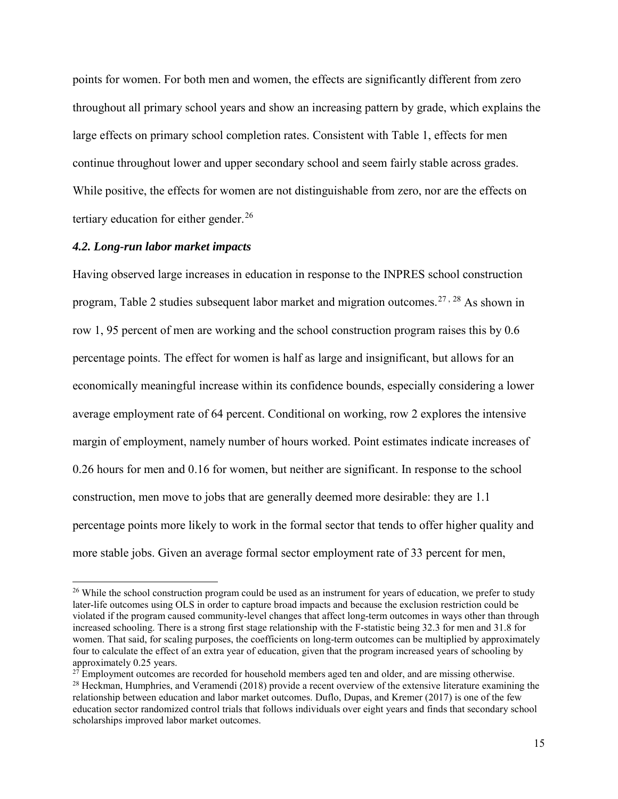points for women. For both men and women, the effects are significantly different from zero throughout all primary school years and show an increasing pattern by grade, which explains the large effects on primary school completion rates. Consistent with Table 1, effects for men continue throughout lower and upper secondary school and seem fairly stable across grades. While positive, the effects for women are not distinguishable from zero, nor are the effects on tertiary education for either gender. $^{26}$  $^{26}$  $^{26}$ 

#### *4.2. Long-run labor market impacts*

 $\overline{a}$ 

Having observed large increases in education in response to the INPRES school construction program, Table 2 studies subsequent labor market and migration outcomes.<sup>[27](#page-16-1), 28</sup> As shown in row 1, 95 percent of men are working and the school construction program raises this by 0.6 percentage points. The effect for women is half as large and insignificant, but allows for an economically meaningful increase within its confidence bounds, especially considering a lower average employment rate of 64 percent. Conditional on working, row 2 explores the intensive margin of employment, namely number of hours worked. Point estimates indicate increases of 0.26 hours for men and 0.16 for women, but neither are significant. In response to the school construction, men move to jobs that are generally deemed more desirable: they are 1.1 percentage points more likely to work in the formal sector that tends to offer higher quality and more stable jobs. Given an average formal sector employment rate of 33 percent for men,

<span id="page-16-0"></span><sup>&</sup>lt;sup>26</sup> While the school construction program could be used as an instrument for years of education, we prefer to study later-life outcomes using OLS in order to capture broad impacts and because the exclusion restriction could be violated if the program caused community-level changes that affect long-term outcomes in ways other than through increased schooling. There is a strong first stage relationship with the F-statistic being 32.3 for men and 31.8 for women. That said, for scaling purposes, the coefficients on long-term outcomes can be multiplied by approximately four to calculate the effect of an extra year of education, given that the program increased years of schooling by approximately  $0.25$  years.<br><sup>27</sup> Employment outcomes are recorded for household members aged ten and older, and are missing otherwise.

<span id="page-16-1"></span>

<span id="page-16-2"></span> $28$  Heckman, Humphries, and Veramendi (2018) provide a recent overview of the extensive literature examining the relationship between education and labor market outcomes. Duflo, Dupas, and Kremer (2017) is one of the few education sector randomized control trials that follows individuals over eight years and finds that secondary school scholarships improved labor market outcomes.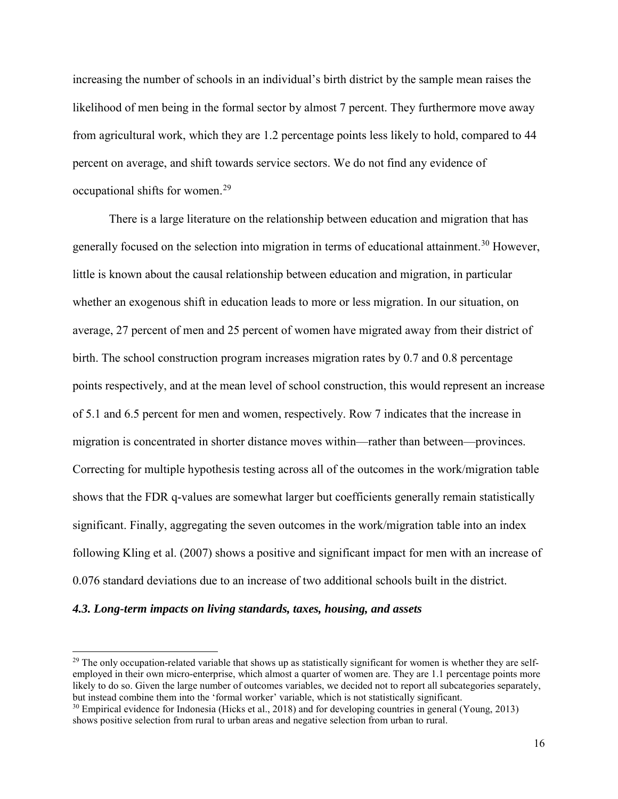increasing the number of schools in an individual's birth district by the sample mean raises the likelihood of men being in the formal sector by almost 7 percent. They furthermore move away from agricultural work, which they are 1.2 percentage points less likely to hold, compared to 44 percent on average, and shift towards service sectors. We do not find any evidence of occupational shifts for women.[29](#page-17-0)

There is a large literature on the relationship between education and migration that has generally focused on the selection into migration in terms of educational attainment.<sup>[30](#page-17-1)</sup> However, little is known about the causal relationship between education and migration, in particular whether an exogenous shift in education leads to more or less migration. In our situation, on average, 27 percent of men and 25 percent of women have migrated away from their district of birth. The school construction program increases migration rates by 0.7 and 0.8 percentage points respectively, and at the mean level of school construction, this would represent an increase of 5.1 and 6.5 percent for men and women, respectively. Row 7 indicates that the increase in migration is concentrated in shorter distance moves within—rather than between—provinces. Correcting for multiple hypothesis testing across all of the outcomes in the work/migration table shows that the FDR q-values are somewhat larger but coefficients generally remain statistically significant. Finally, aggregating the seven outcomes in the work/migration table into an index following Kling et al. (2007) shows a positive and significant impact for men with an increase of 0.076 standard deviations due to an increase of two additional schools built in the district.

#### *4.3. Long-term impacts on living standards, taxes, housing, and assets*

<span id="page-17-0"></span> $29$  The only occupation-related variable that shows up as statistically significant for women is whether they are selfemployed in their own micro-enterprise, which almost a quarter of women are. They are 1.1 percentage points more likely to do so. Given the large number of outcomes variables, we decided not to report all subcategories separately, but instead combine them into the 'formal worker' variable, which is not statistically significant.

<span id="page-17-1"></span><sup>&</sup>lt;sup>30</sup> Empirical evidence for Indonesia (Hicks et al., 2018) and for developing countries in general (Young, 2013) shows positive selection from rural to urban areas and negative selection from urban to rural.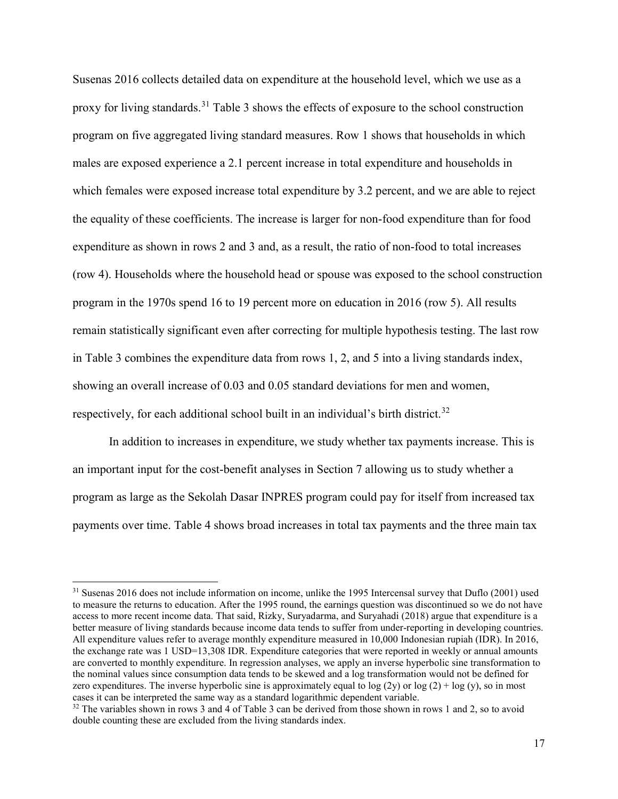Susenas 2016 collects detailed data on expenditure at the household level, which we use as a proxy for living standards.<sup>31</sup> Table 3 shows the effects of exposure to the school construction program on five aggregated living standard measures. Row 1 shows that households in which males are exposed experience a 2.1 percent increase in total expenditure and households in which females were exposed increase total expenditure by 3.2 percent, and we are able to reject the equality of these coefficients. The increase is larger for non-food expenditure than for food expenditure as shown in rows 2 and 3 and, as a result, the ratio of non-food to total increases (row 4). Households where the household head or spouse was exposed to the school construction program in the 1970s spend 16 to 19 percent more on education in 2016 (row 5). All results remain statistically significant even after correcting for multiple hypothesis testing. The last row in Table 3 combines the expenditure data from rows 1, 2, and 5 into a living standards index, showing an overall increase of 0.03 and 0.05 standard deviations for men and women, respectively, for each additional school built in an individual's birth district.<sup>[32](#page-18-1)</sup>

In addition to increases in expenditure, we study whether tax payments increase. This is an important input for the cost-benefit analyses in Section 7 allowing us to study whether a program as large as the Sekolah Dasar INPRES program could pay for itself from increased tax payments over time. Table 4 shows broad increases in total tax payments and the three main tax

<span id="page-18-0"></span><sup>&</sup>lt;sup>31</sup> Susenas 2016 does not include information on income, unlike the 1995 Intercensal survey that Duflo (2001) used to measure the returns to education. After the 1995 round, the earnings question was discontinued so we do not have access to more recent income data. That said, Rizky, Suryadarma, and Suryahadi (2018) argue that expenditure is a better measure of living standards because income data tends to suffer from under-reporting in developing countries. All expenditure values refer to average monthly expenditure measured in 10,000 Indonesian rupiah (IDR). In 2016, the exchange rate was 1 USD=13,308 IDR. Expenditure categories that were reported in weekly or annual amounts are converted to monthly expenditure. In regression analyses, we apply an inverse hyperbolic sine transformation to the nominal values since consumption data tends to be skewed and a log transformation would not be defined for zero expenditures. The inverse hyperbolic sine is approximately equal to  $log(2y)$  or  $log(2) + log(y)$ , so in most cases it can be interpreted the same way as a standard logarithmic dependent variable.

<span id="page-18-1"></span> $32$  The variables shown in rows 3 and 4 of Table 3 can be derived from those shown in rows 1 and 2, so to avoid double counting these are excluded from the living standards index.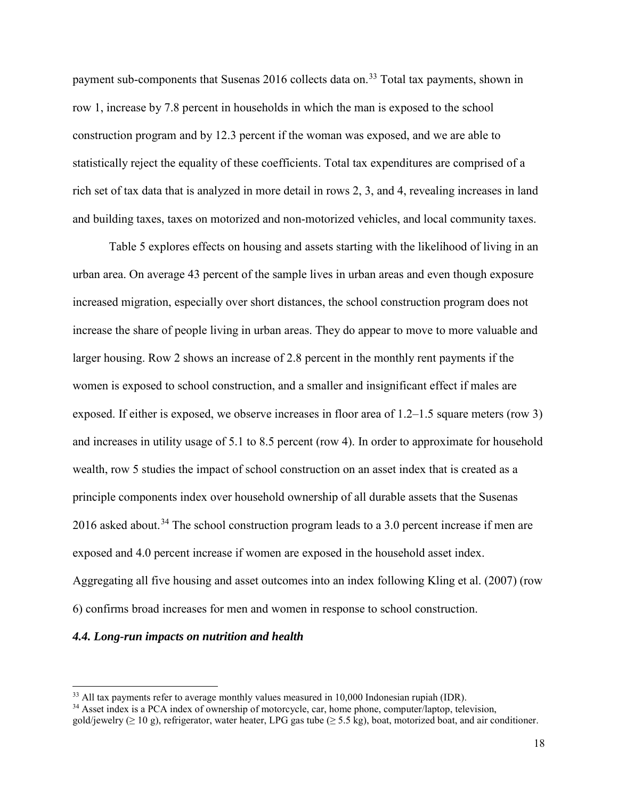payment sub-components that Susenas 2016 collects data on.<sup>33</sup> Total tax payments, shown in row 1, increase by 7.8 percent in households in which the man is exposed to the school construction program and by 12.3 percent if the woman was exposed, and we are able to statistically reject the equality of these coefficients. Total tax expenditures are comprised of a rich set of tax data that is analyzed in more detail in rows 2, 3, and 4, revealing increases in land and building taxes, taxes on motorized and non-motorized vehicles, and local community taxes.

Table 5 explores effects on housing and assets starting with the likelihood of living in an urban area. On average 43 percent of the sample lives in urban areas and even though exposure increased migration, especially over short distances, the school construction program does not increase the share of people living in urban areas. They do appear to move to more valuable and larger housing. Row 2 shows an increase of 2.8 percent in the monthly rent payments if the women is exposed to school construction, and a smaller and insignificant effect if males are exposed. If either is exposed, we observe increases in floor area of 1.2–1.5 square meters (row 3) and increases in utility usage of 5.1 to 8.5 percent (row 4). In order to approximate for household wealth, row 5 studies the impact of school construction on an asset index that is created as a principle components index over household ownership of all durable assets that the Susenas 2016 asked about.<sup>34</sup> The school construction program leads to a 3.0 percent increase if men are exposed and 4.0 percent increase if women are exposed in the household asset index. Aggregating all five housing and asset outcomes into an index following Kling et al. (2007) (row 6) confirms broad increases for men and women in response to school construction.

#### *4.4. Long-run impacts on nutrition and health*

<span id="page-19-0"></span><sup>&</sup>lt;sup>33</sup> All tax payments refer to average monthly values measured in 10,000 Indonesian rupiah (IDR).

<span id="page-19-1"></span><sup>&</sup>lt;sup>34</sup> Asset index is a PCA index of ownership of motorcycle, car, home phone, computer/laptop, television, gold/jewelry ( $\geq 10$  g), refrigerator, water heater, LPG gas tube ( $\geq 5.5$  kg), boat, motorized boat, and air conditioner.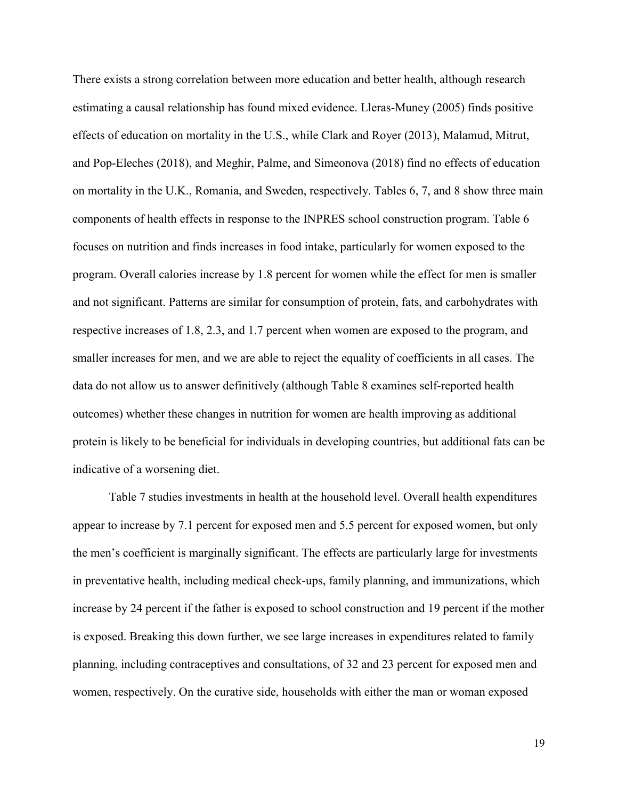There exists a strong correlation between more education and better health, although research estimating a causal relationship has found mixed evidence. Lleras-Muney (2005) finds positive effects of education on mortality in the U.S., while Clark and Royer (2013), Malamud, Mitrut, and Pop-Eleches (2018), and Meghir, Palme, and Simeonova (2018) find no effects of education on mortality in the U.K., Romania, and Sweden, respectively. Tables 6, 7, and 8 show three main components of health effects in response to the INPRES school construction program. Table 6 focuses on nutrition and finds increases in food intake, particularly for women exposed to the program. Overall calories increase by 1.8 percent for women while the effect for men is smaller and not significant. Patterns are similar for consumption of protein, fats, and carbohydrates with respective increases of 1.8, 2.3, and 1.7 percent when women are exposed to the program, and smaller increases for men, and we are able to reject the equality of coefficients in all cases. The data do not allow us to answer definitively (although Table 8 examines self-reported health outcomes) whether these changes in nutrition for women are health improving as additional protein is likely to be beneficial for individuals in developing countries, but additional fats can be indicative of a worsening diet.

Table 7 studies investments in health at the household level. Overall health expenditures appear to increase by 7.1 percent for exposed men and 5.5 percent for exposed women, but only the men's coefficient is marginally significant. The effects are particularly large for investments in preventative health, including medical check-ups, family planning, and immunizations, which increase by 24 percent if the father is exposed to school construction and 19 percent if the mother is exposed. Breaking this down further, we see large increases in expenditures related to family planning, including contraceptives and consultations, of 32 and 23 percent for exposed men and women, respectively. On the curative side, households with either the man or woman exposed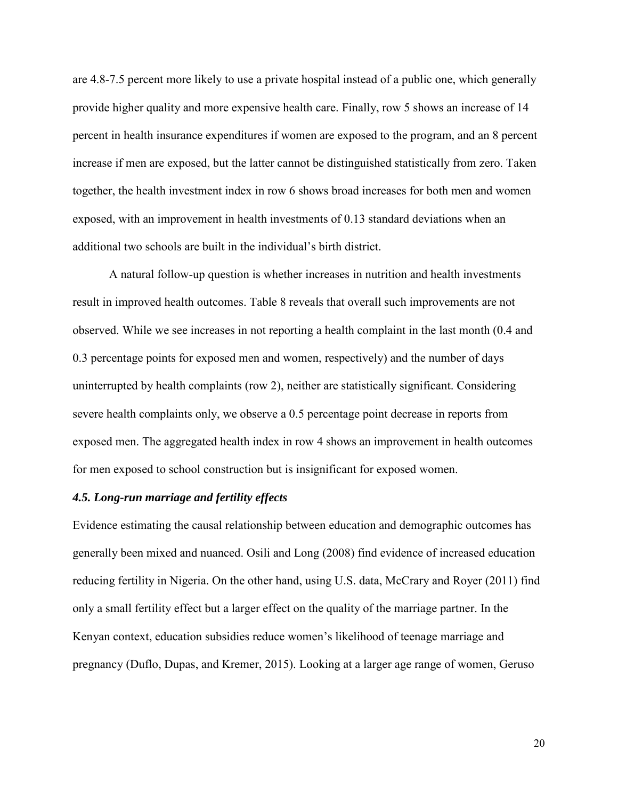are 4.8-7.5 percent more likely to use a private hospital instead of a public one, which generally provide higher quality and more expensive health care. Finally, row 5 shows an increase of 14 percent in health insurance expenditures if women are exposed to the program, and an 8 percent increase if men are exposed, but the latter cannot be distinguished statistically from zero. Taken together, the health investment index in row 6 shows broad increases for both men and women exposed, with an improvement in health investments of 0.13 standard deviations when an additional two schools are built in the individual's birth district.

A natural follow-up question is whether increases in nutrition and health investments result in improved health outcomes. Table 8 reveals that overall such improvements are not observed. While we see increases in not reporting a health complaint in the last month (0.4 and 0.3 percentage points for exposed men and women, respectively) and the number of days uninterrupted by health complaints (row 2), neither are statistically significant. Considering severe health complaints only, we observe a 0.5 percentage point decrease in reports from exposed men. The aggregated health index in row 4 shows an improvement in health outcomes for men exposed to school construction but is insignificant for exposed women.

## *4.5. Long-run marriage and fertility effects*

Evidence estimating the causal relationship between education and demographic outcomes has generally been mixed and nuanced. Osili and Long (2008) find evidence of increased education reducing fertility in Nigeria. On the other hand, using U.S. data, McCrary and Royer (2011) find only a small fertility effect but a larger effect on the quality of the marriage partner. In the Kenyan context, education subsidies reduce women's likelihood of teenage marriage and pregnancy (Duflo, Dupas, and Kremer, 2015). Looking at a larger age range of women, Geruso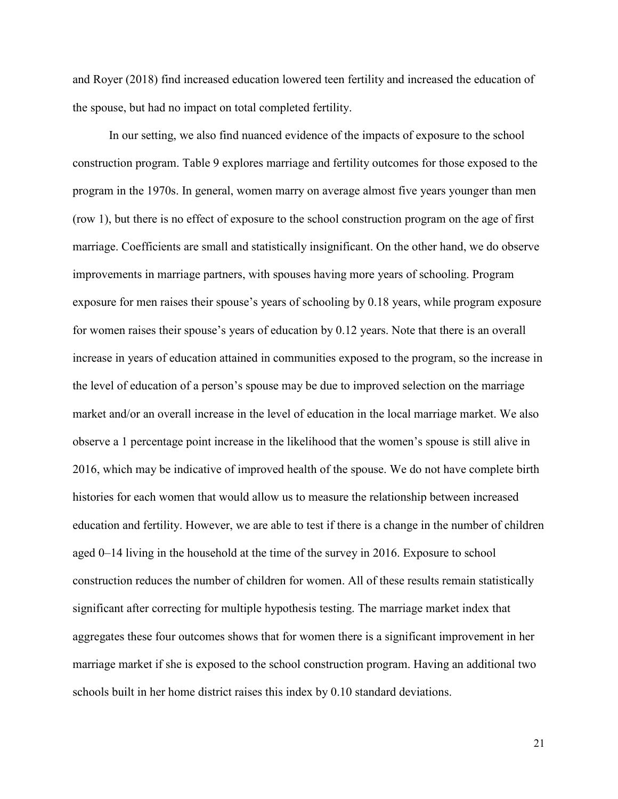and Royer (2018) find increased education lowered teen fertility and increased the education of the spouse, but had no impact on total completed fertility.

In our setting, we also find nuanced evidence of the impacts of exposure to the school construction program. Table 9 explores marriage and fertility outcomes for those exposed to the program in the 1970s. In general, women marry on average almost five years younger than men (row 1), but there is no effect of exposure to the school construction program on the age of first marriage. Coefficients are small and statistically insignificant. On the other hand, we do observe improvements in marriage partners, with spouses having more years of schooling. Program exposure for men raises their spouse's years of schooling by 0.18 years, while program exposure for women raises their spouse's years of education by 0.12 years. Note that there is an overall increase in years of education attained in communities exposed to the program, so the increase in the level of education of a person's spouse may be due to improved selection on the marriage market and/or an overall increase in the level of education in the local marriage market. We also observe a 1 percentage point increase in the likelihood that the women's spouse is still alive in 2016, which may be indicative of improved health of the spouse. We do not have complete birth histories for each women that would allow us to measure the relationship between increased education and fertility. However, we are able to test if there is a change in the number of children aged 0–14 living in the household at the time of the survey in 2016. Exposure to school construction reduces the number of children for women. All of these results remain statistically significant after correcting for multiple hypothesis testing. The marriage market index that aggregates these four outcomes shows that for women there is a significant improvement in her marriage market if she is exposed to the school construction program. Having an additional two schools built in her home district raises this index by 0.10 standard deviations.

21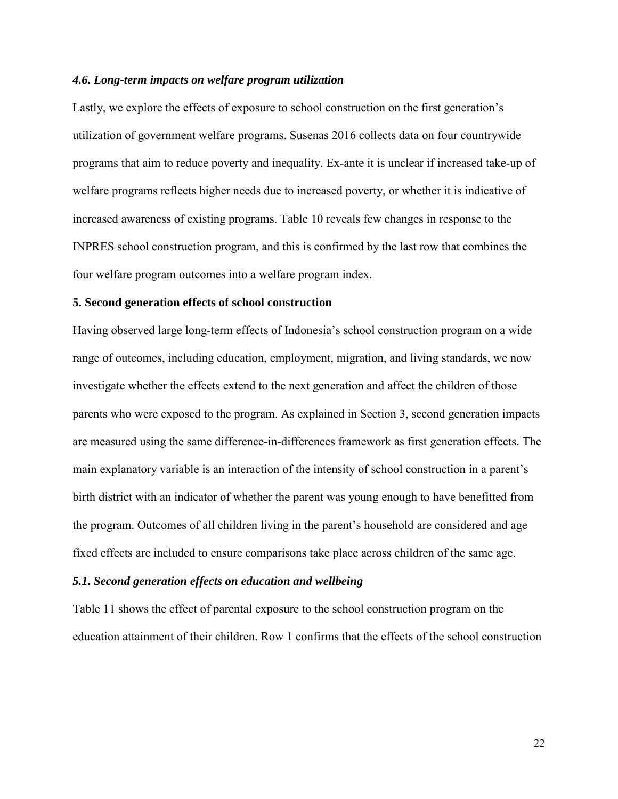### *4.6. Long-term impacts on welfare program utilization*

Lastly, we explore the effects of exposure to school construction on the first generation's utilization of government welfare programs. Susenas 2016 collects data on four countrywide programs that aim to reduce poverty and inequality. Ex-ante it is unclear if increased take-up of welfare programs reflects higher needs due to increased poverty, or whether it is indicative of increased awareness of existing programs. Table 10 reveals few changes in response to the INPRES school construction program, and this is confirmed by the last row that combines the four welfare program outcomes into a welfare program index.

#### **5. Second generation effects of school construction**

Having observed large long-term effects of Indonesia's school construction program on a wide range of outcomes, including education, employment, migration, and living standards, we now investigate whether the effects extend to the next generation and affect the children of those parents who were exposed to the program. As explained in Section 3, second generation impacts are measured using the same difference-in-differences framework as first generation effects. The main explanatory variable is an interaction of the intensity of school construction in a parent's birth district with an indicator of whether the parent was young enough to have benefitted from the program. Outcomes of all children living in the parent's household are considered and age fixed effects are included to ensure comparisons take place across children of the same age.

## *5.1. Second generation effects on education and wellbeing*

Table 11 shows the effect of parental exposure to the school construction program on the education attainment of their children. Row 1 confirms that the effects of the school construction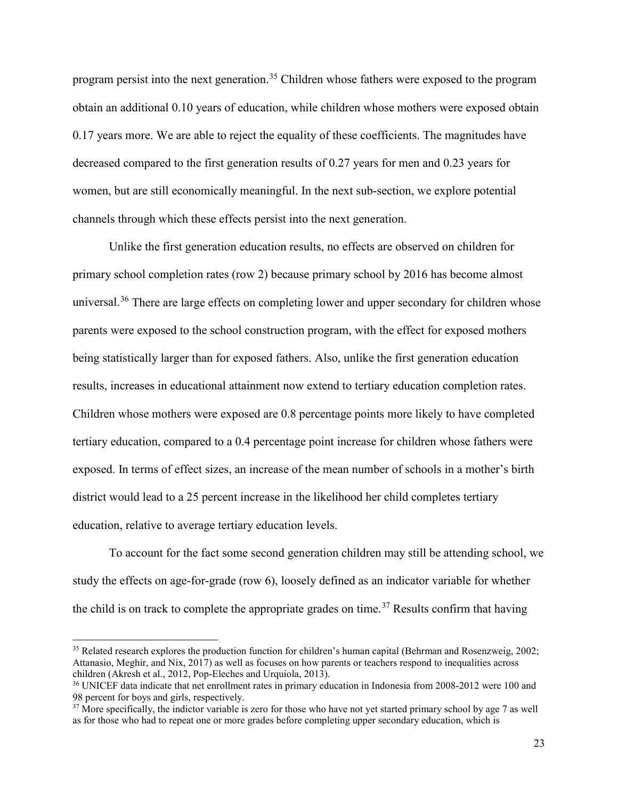program persist into the next generation.<sup>[35](#page-24-0)</sup> Children whose fathers were exposed to the program obtain an additional 0.10 years of education, while children whose mothers were exposed obtain 0.17 years more. We are able to reject the equality of these coefficients. The magnitudes have decreased compared to the first generation results of 0.27 years for men and 0.23 years for women, but are still economically meaningful. In the next sub-section, we explore potential channels through which these effects persist into the next generation.

Unlike the first generation education results, no effects are observed on children for primary school completion rates (row 2) because primary school by 2016 has become almost universal.<sup>36</sup> There are large effects on completing lower and upper secondary for children whose parents were exposed to the school construction program, with the effect for exposed mothers being statistically larger than for exposed fathers. Also, unlike the first generation education results, increases in educational attainment now extend to tertiary education completion rates. Children whose mothers were exposed are 0.8 percentage points more likely to have completed tertiary education, compared to a 0.4 percentage point increase for children whose fathers were exposed. In terms of effect sizes, an increase of the mean number of schools in a mother's birth district would lead to a 25 percent increase in the likelihood her child completes tertiary education, relative to average tertiary education levels.

To account for the fact some second generation children may still be attending school, we study the effects on age-for-grade (row 6), loosely defined as an indicator variable for whether the child is on track to complete the appropriate grades on time.<sup>37</sup> Results confirm that having

<span id="page-24-0"></span><sup>&</sup>lt;sup>35</sup> Related research explores the production function for children's human capital (Behrman and Rosenzweig, 2002; Attanasio, Meghir, and Nix, 2017) as well as focuses on how parents or teachers respond to inequalities across children (Akresh et al., 2012, Pop-Eleches and Urquiola, 2013).

<span id="page-24-1"></span><sup>&</sup>lt;sup>36</sup> UNICEF data indicate that net enrollment rates in primary education in Indonesia from 2008-2012 were 100 and 98 percent for boys and girls, respectively.

<span id="page-24-2"></span> $37$  More specifically, the indictor variable is zero for those who have not yet started primary school by age 7 as well as for those who had to repeat one or more grades before completing upper secondary education, which is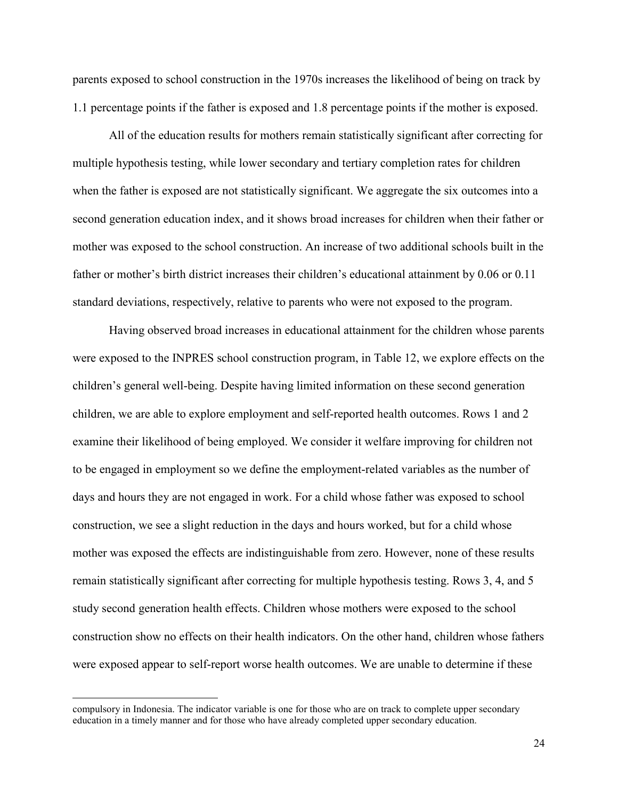parents exposed to school construction in the 1970s increases the likelihood of being on track by 1.1 percentage points if the father is exposed and 1.8 percentage points if the mother is exposed.

All of the education results for mothers remain statistically significant after correcting for multiple hypothesis testing, while lower secondary and tertiary completion rates for children when the father is exposed are not statistically significant. We aggregate the six outcomes into a second generation education index, and it shows broad increases for children when their father or mother was exposed to the school construction. An increase of two additional schools built in the father or mother's birth district increases their children's educational attainment by 0.06 or 0.11 standard deviations, respectively, relative to parents who were not exposed to the program.

Having observed broad increases in educational attainment for the children whose parents were exposed to the INPRES school construction program, in Table 12, we explore effects on the children's general well-being. Despite having limited information on these second generation children, we are able to explore employment and self-reported health outcomes. Rows 1 and 2 examine their likelihood of being employed. We consider it welfare improving for children not to be engaged in employment so we define the employment-related variables as the number of days and hours they are not engaged in work. For a child whose father was exposed to school construction, we see a slight reduction in the days and hours worked, but for a child whose mother was exposed the effects are indistinguishable from zero. However, none of these results remain statistically significant after correcting for multiple hypothesis testing. Rows 3, 4, and 5 study second generation health effects. Children whose mothers were exposed to the school construction show no effects on their health indicators. On the other hand, children whose fathers were exposed appear to self-report worse health outcomes. We are unable to determine if these

compulsory in Indonesia. The indicator variable is one for those who are on track to complete upper secondary education in a timely manner and for those who have already completed upper secondary education.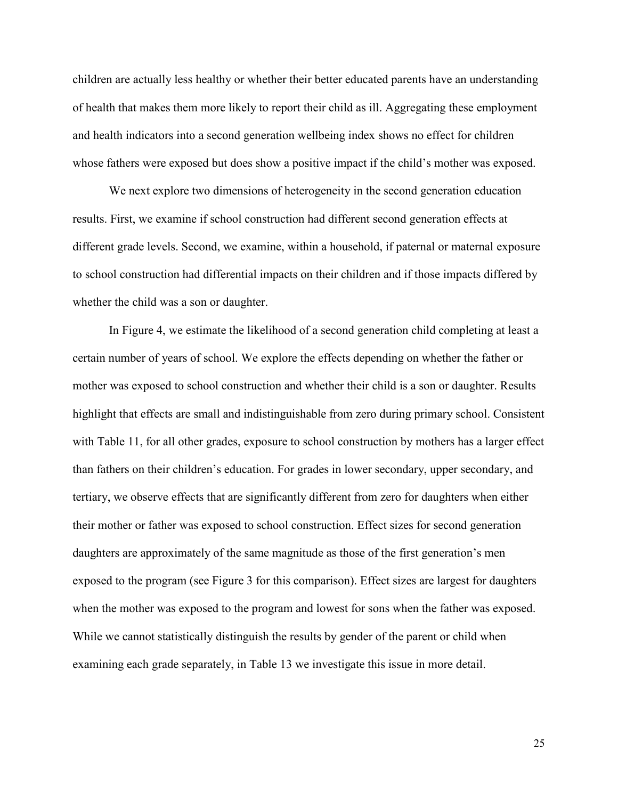children are actually less healthy or whether their better educated parents have an understanding of health that makes them more likely to report their child as ill. Aggregating these employment and health indicators into a second generation wellbeing index shows no effect for children whose fathers were exposed but does show a positive impact if the child's mother was exposed.

We next explore two dimensions of heterogeneity in the second generation education results. First, we examine if school construction had different second generation effects at different grade levels. Second, we examine, within a household, if paternal or maternal exposure to school construction had differential impacts on their children and if those impacts differed by whether the child was a son or daughter.

In Figure 4, we estimate the likelihood of a second generation child completing at least a certain number of years of school. We explore the effects depending on whether the father or mother was exposed to school construction and whether their child is a son or daughter. Results highlight that effects are small and indistinguishable from zero during primary school. Consistent with Table 11, for all other grades, exposure to school construction by mothers has a larger effect than fathers on their children's education. For grades in lower secondary, upper secondary, and tertiary, we observe effects that are significantly different from zero for daughters when either their mother or father was exposed to school construction. Effect sizes for second generation daughters are approximately of the same magnitude as those of the first generation's men exposed to the program (see Figure 3 for this comparison). Effect sizes are largest for daughters when the mother was exposed to the program and lowest for sons when the father was exposed. While we cannot statistically distinguish the results by gender of the parent or child when examining each grade separately, in Table 13 we investigate this issue in more detail.

25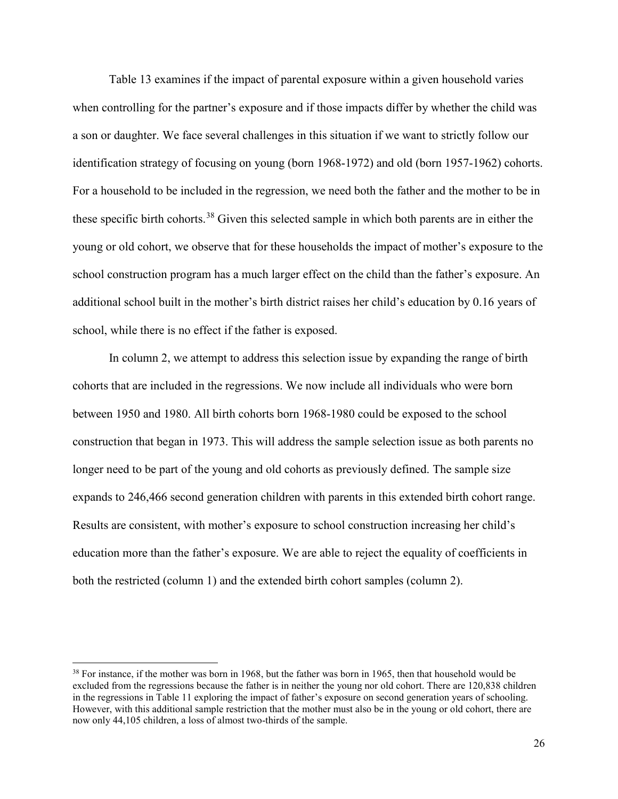Table 13 examines if the impact of parental exposure within a given household varies when controlling for the partner's exposure and if those impacts differ by whether the child was a son or daughter. We face several challenges in this situation if we want to strictly follow our identification strategy of focusing on young (born 1968-1972) and old (born 1957-1962) cohorts. For a household to be included in the regression, we need both the father and the mother to be in these specific birth cohorts.[38](#page-27-0) Given this selected sample in which both parents are in either the young or old cohort, we observe that for these households the impact of mother's exposure to the school construction program has a much larger effect on the child than the father's exposure. An additional school built in the mother's birth district raises her child's education by 0.16 years of school, while there is no effect if the father is exposed.

In column 2, we attempt to address this selection issue by expanding the range of birth cohorts that are included in the regressions. We now include all individuals who were born between 1950 and 1980. All birth cohorts born 1968-1980 could be exposed to the school construction that began in 1973. This will address the sample selection issue as both parents no longer need to be part of the young and old cohorts as previously defined. The sample size expands to 246,466 second generation children with parents in this extended birth cohort range. Results are consistent, with mother's exposure to school construction increasing her child's education more than the father's exposure. We are able to reject the equality of coefficients in both the restricted (column 1) and the extended birth cohort samples (column 2).

<span id="page-27-0"></span><sup>&</sup>lt;sup>38</sup> For instance, if the mother was born in 1968, but the father was born in 1965, then that household would be excluded from the regressions because the father is in neither the young nor old cohort. There are 120,838 children in the regressions in Table 11 exploring the impact of father's exposure on second generation years of schooling. However, with this additional sample restriction that the mother must also be in the young or old cohort, there are now only 44,105 children, a loss of almost two-thirds of the sample.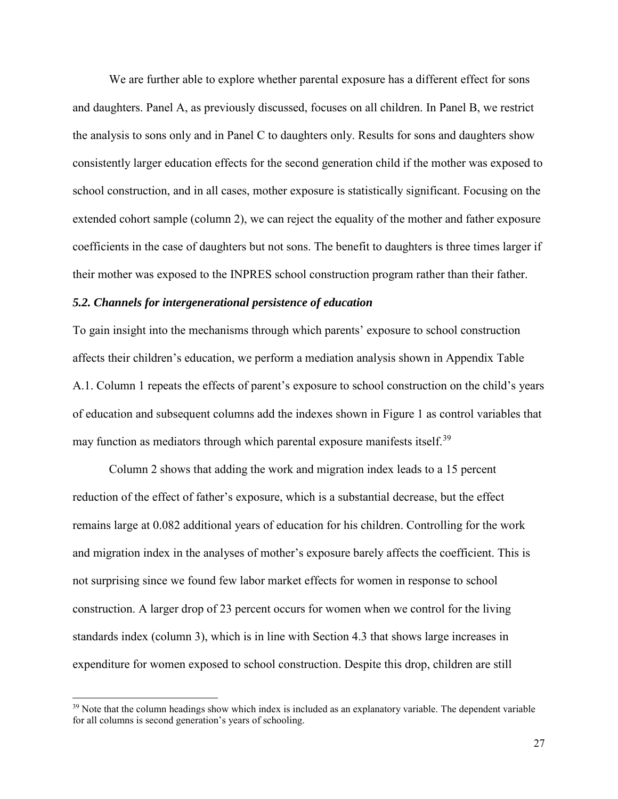We are further able to explore whether parental exposure has a different effect for sons and daughters. Panel A, as previously discussed, focuses on all children. In Panel B, we restrict the analysis to sons only and in Panel C to daughters only. Results for sons and daughters show consistently larger education effects for the second generation child if the mother was exposed to school construction, and in all cases, mother exposure is statistically significant. Focusing on the extended cohort sample (column 2), we can reject the equality of the mother and father exposure coefficients in the case of daughters but not sons. The benefit to daughters is three times larger if their mother was exposed to the INPRES school construction program rather than their father.

### *5.2. Channels for intergenerational persistence of education*

 $\overline{a}$ 

To gain insight into the mechanisms through which parents' exposure to school construction affects their children's education, we perform a mediation analysis shown in Appendix Table A.1. Column 1 repeats the effects of parent's exposure to school construction on the child's years of education and subsequent columns add the indexes shown in Figure 1 as control variables that may function as mediators through which parental exposure manifests itself.<sup>[39](#page-28-0)</sup>

Column 2 shows that adding the work and migration index leads to a 15 percent reduction of the effect of father's exposure, which is a substantial decrease, but the effect remains large at 0.082 additional years of education for his children. Controlling for the work and migration index in the analyses of mother's exposure barely affects the coefficient. This is not surprising since we found few labor market effects for women in response to school construction. A larger drop of 23 percent occurs for women when we control for the living standards index (column 3), which is in line with Section 4.3 that shows large increases in expenditure for women exposed to school construction. Despite this drop, children are still

<span id="page-28-0"></span> $39$  Note that the column headings show which index is included as an explanatory variable. The dependent variable for all columns is second generation's years of schooling.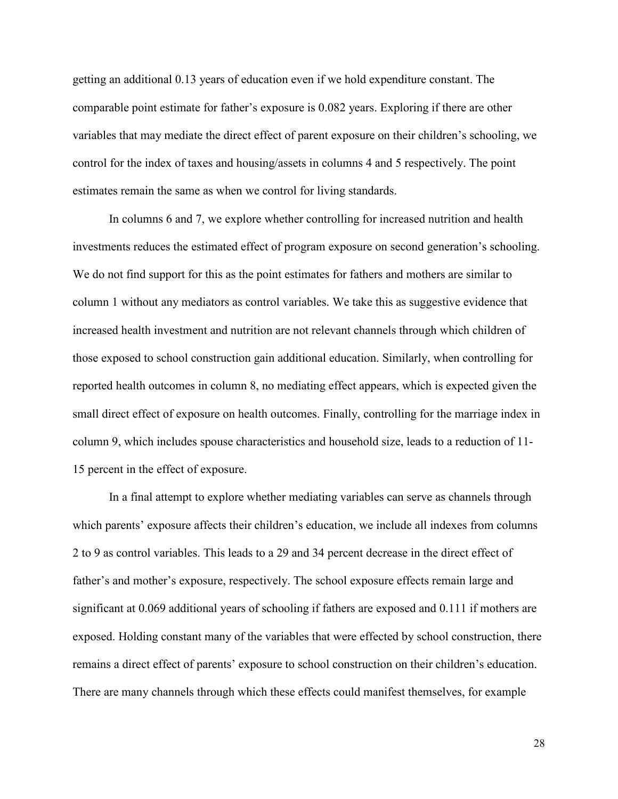getting an additional 0.13 years of education even if we hold expenditure constant. The comparable point estimate for father's exposure is 0.082 years. Exploring if there are other variables that may mediate the direct effect of parent exposure on their children's schooling, we control for the index of taxes and housing/assets in columns 4 and 5 respectively. The point estimates remain the same as when we control for living standards.

In columns 6 and 7, we explore whether controlling for increased nutrition and health investments reduces the estimated effect of program exposure on second generation's schooling. We do not find support for this as the point estimates for fathers and mothers are similar to column 1 without any mediators as control variables. We take this as suggestive evidence that increased health investment and nutrition are not relevant channels through which children of those exposed to school construction gain additional education. Similarly, when controlling for reported health outcomes in column 8, no mediating effect appears, which is expected given the small direct effect of exposure on health outcomes. Finally, controlling for the marriage index in column 9, which includes spouse characteristics and household size, leads to a reduction of 11- 15 percent in the effect of exposure.

In a final attempt to explore whether mediating variables can serve as channels through which parents' exposure affects their children's education, we include all indexes from columns 2 to 9 as control variables. This leads to a 29 and 34 percent decrease in the direct effect of father's and mother's exposure, respectively. The school exposure effects remain large and significant at 0.069 additional years of schooling if fathers are exposed and 0.111 if mothers are exposed. Holding constant many of the variables that were effected by school construction, there remains a direct effect of parents' exposure to school construction on their children's education. There are many channels through which these effects could manifest themselves, for example

28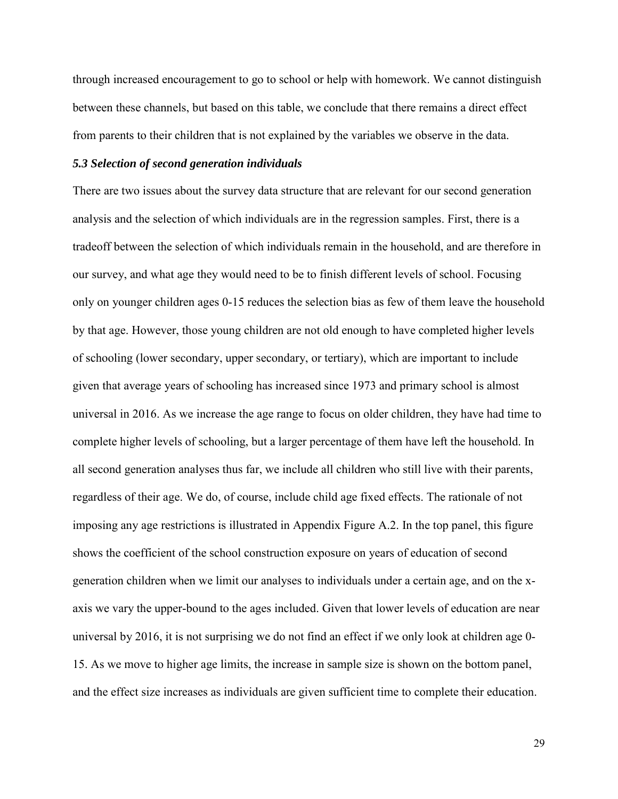through increased encouragement to go to school or help with homework. We cannot distinguish between these channels, but based on this table, we conclude that there remains a direct effect from parents to their children that is not explained by the variables we observe in the data.

#### *5.3 Selection of second generation individuals*

There are two issues about the survey data structure that are relevant for our second generation analysis and the selection of which individuals are in the regression samples. First, there is a tradeoff between the selection of which individuals remain in the household, and are therefore in our survey, and what age they would need to be to finish different levels of school. Focusing only on younger children ages 0-15 reduces the selection bias as few of them leave the household by that age. However, those young children are not old enough to have completed higher levels of schooling (lower secondary, upper secondary, or tertiary), which are important to include given that average years of schooling has increased since 1973 and primary school is almost universal in 2016. As we increase the age range to focus on older children, they have had time to complete higher levels of schooling, but a larger percentage of them have left the household. In all second generation analyses thus far, we include all children who still live with their parents, regardless of their age. We do, of course, include child age fixed effects. The rationale of not imposing any age restrictions is illustrated in Appendix Figure A.2. In the top panel, this figure shows the coefficient of the school construction exposure on years of education of second generation children when we limit our analyses to individuals under a certain age, and on the xaxis we vary the upper-bound to the ages included. Given that lower levels of education are near universal by 2016, it is not surprising we do not find an effect if we only look at children age 0- 15. As we move to higher age limits, the increase in sample size is shown on the bottom panel, and the effect size increases as individuals are given sufficient time to complete their education.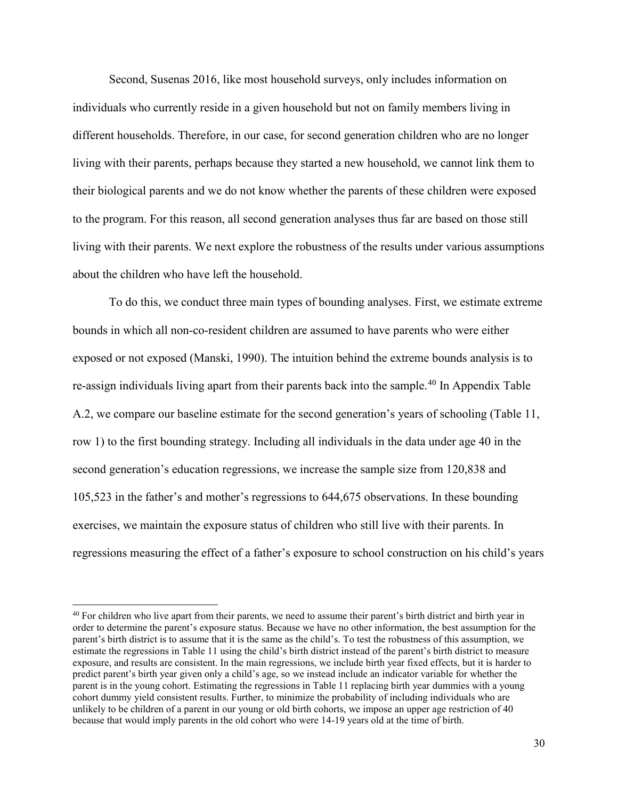Second, Susenas 2016, like most household surveys, only includes information on individuals who currently reside in a given household but not on family members living in different households. Therefore, in our case, for second generation children who are no longer living with their parents, perhaps because they started a new household, we cannot link them to their biological parents and we do not know whether the parents of these children were exposed to the program. For this reason, all second generation analyses thus far are based on those still living with their parents. We next explore the robustness of the results under various assumptions about the children who have left the household.

To do this, we conduct three main types of bounding analyses. First, we estimate extreme bounds in which all non-co-resident children are assumed to have parents who were either exposed or not exposed (Manski, 1990). The intuition behind the extreme bounds analysis is to re-assign individuals living apart from their parents back into the sample.<sup>[40](#page-31-0)</sup> In Appendix Table A.2, we compare our baseline estimate for the second generation's years of schooling (Table 11, row 1) to the first bounding strategy. Including all individuals in the data under age 40 in the second generation's education regressions, we increase the sample size from 120,838 and 105,523 in the father's and mother's regressions to 644,675 observations. In these bounding exercises, we maintain the exposure status of children who still live with their parents. In regressions measuring the effect of a father's exposure to school construction on his child's years

<span id="page-31-0"></span><sup>&</sup>lt;sup>40</sup> For children who live apart from their parents, we need to assume their parent's birth district and birth year in order to determine the parent's exposure status. Because we have no other information, the best assumption for the parent's birth district is to assume that it is the same as the child's. To test the robustness of this assumption, we estimate the regressions in Table 11 using the child's birth district instead of the parent's birth district to measure exposure, and results are consistent. In the main regressions, we include birth year fixed effects, but it is harder to predict parent's birth year given only a child's age, so we instead include an indicator variable for whether the parent is in the young cohort. Estimating the regressions in Table 11 replacing birth year dummies with a young cohort dummy yield consistent results. Further, to minimize the probability of including individuals who are unlikely to be children of a parent in our young or old birth cohorts, we impose an upper age restriction of 40 because that would imply parents in the old cohort who were 14-19 years old at the time of birth.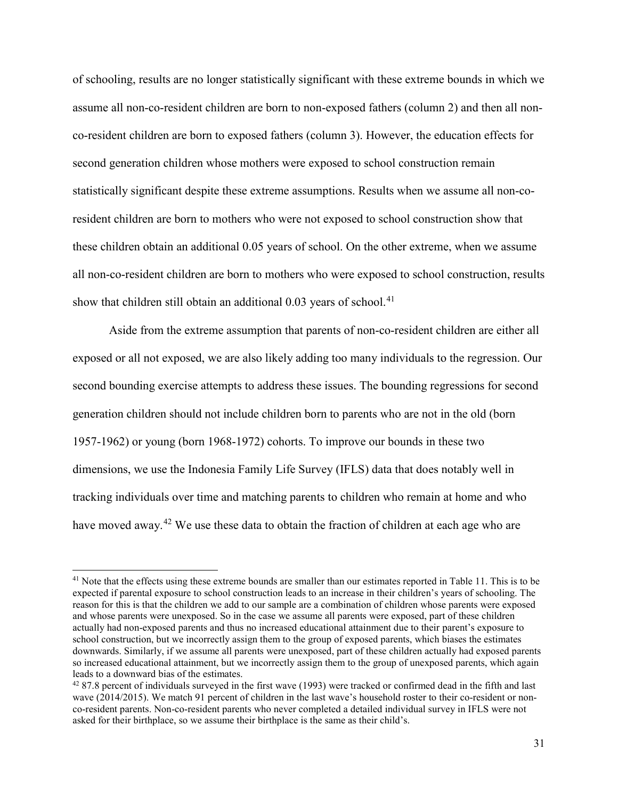of schooling, results are no longer statistically significant with these extreme bounds in which we assume all non-co-resident children are born to non-exposed fathers (column 2) and then all nonco-resident children are born to exposed fathers (column 3). However, the education effects for second generation children whose mothers were exposed to school construction remain statistically significant despite these extreme assumptions. Results when we assume all non-coresident children are born to mothers who were not exposed to school construction show that these children obtain an additional 0.05 years of school. On the other extreme, when we assume all non-co-resident children are born to mothers who were exposed to school construction, results show that children still obtain an additional  $0.03$  years of school.<sup>[41](#page-32-0)</sup>

Aside from the extreme assumption that parents of non-co-resident children are either all exposed or all not exposed, we are also likely adding too many individuals to the regression. Our second bounding exercise attempts to address these issues. The bounding regressions for second generation children should not include children born to parents who are not in the old (born 1957-1962) or young (born 1968-1972) cohorts. To improve our bounds in these two dimensions, we use the Indonesia Family Life Survey (IFLS) data that does notably well in tracking individuals over time and matching parents to children who remain at home and who have moved away.<sup>[42](#page-32-1)</sup> We use these data to obtain the fraction of children at each age who are

<span id="page-32-0"></span><sup>&</sup>lt;sup>41</sup> Note that the effects using these extreme bounds are smaller than our estimates reported in Table 11. This is to be expected if parental exposure to school construction leads to an increase in their children's years of schooling. The reason for this is that the children we add to our sample are a combination of children whose parents were exposed and whose parents were unexposed. So in the case we assume all parents were exposed, part of these children actually had non-exposed parents and thus no increased educational attainment due to their parent's exposure to school construction, but we incorrectly assign them to the group of exposed parents, which biases the estimates downwards. Similarly, if we assume all parents were unexposed, part of these children actually had exposed parents so increased educational attainment, but we incorrectly assign them to the group of unexposed parents, which again leads to a downward bias of the estimates.

<span id="page-32-1"></span> $4287.8$  percent of individuals surveyed in the first wave (1993) were tracked or confirmed dead in the fifth and last wave (2014/2015). We match 91 percent of children in the last wave's household roster to their co-resident or nonco-resident parents. Non-co-resident parents who never completed a detailed individual survey in IFLS were not asked for their birthplace, so we assume their birthplace is the same as their child's.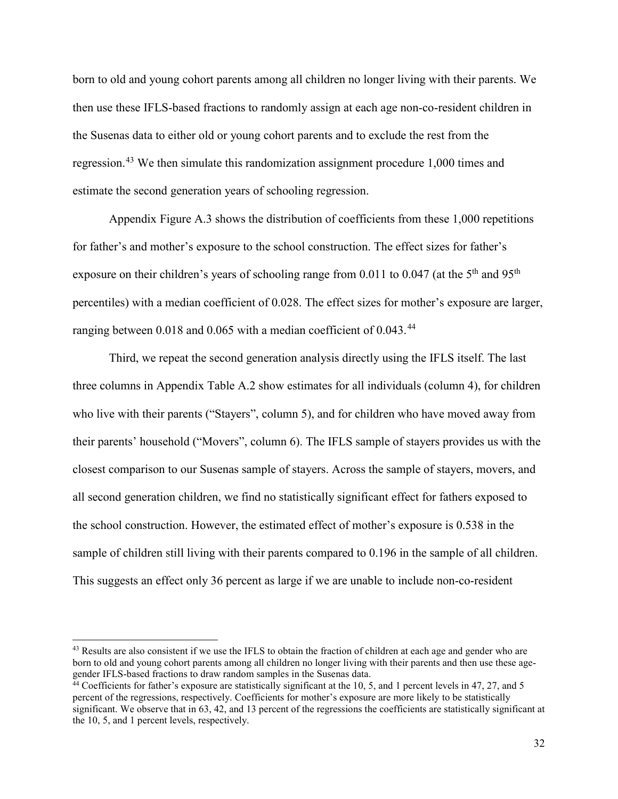born to old and young cohort parents among all children no longer living with their parents. We then use these IFLS-based fractions to randomly assign at each age non-co-resident children in the Susenas data to either old or young cohort parents and to exclude the rest from the regression.<sup>[43](#page-33-0)</sup> We then simulate this randomization assignment procedure 1,000 times and estimate the second generation years of schooling regression.

Appendix Figure A.3 shows the distribution of coefficients from these 1,000 repetitions for father's and mother's exposure to the school construction. The effect sizes for father's exposure on their children's years of schooling range from 0.011 to 0.047 (at the  $5<sup>th</sup>$  and  $95<sup>th</sup>$ percentiles) with a median coefficient of 0.028. The effect sizes for mother's exposure are larger, ranging between 0.018 and 0.065 with a median coefficient of 0.043.<sup>[44](#page-33-1)</sup>

Third, we repeat the second generation analysis directly using the IFLS itself. The last three columns in Appendix Table A.2 show estimates for all individuals (column 4), for children who live with their parents ("Stayers", column 5), and for children who have moved away from their parents' household ("Movers", column 6). The IFLS sample of stayers provides us with the closest comparison to our Susenas sample of stayers. Across the sample of stayers, movers, and all second generation children, we find no statistically significant effect for fathers exposed to the school construction. However, the estimated effect of mother's exposure is 0.538 in the sample of children still living with their parents compared to 0.196 in the sample of all children. This suggests an effect only 36 percent as large if we are unable to include non-co-resident

<span id="page-33-0"></span><sup>&</sup>lt;sup>43</sup> Results are also consistent if we use the IFLS to obtain the fraction of children at each age and gender who are born to old and young cohort parents among all children no longer living with their parents and then use these agegender IFLS-based fractions to draw random samples in the Susenas data.

<span id="page-33-1"></span> $44$  Coefficients for father's exposure are statistically significant at the 10, 5, and 1 percent levels in 47, 27, and 5 percent of the regressions, respectively. Coefficients for mother's exposure are more likely to be statistically significant. We observe that in 63, 42, and 13 percent of the regressions the coefficients are statistically significant at the 10, 5, and 1 percent levels, respectively.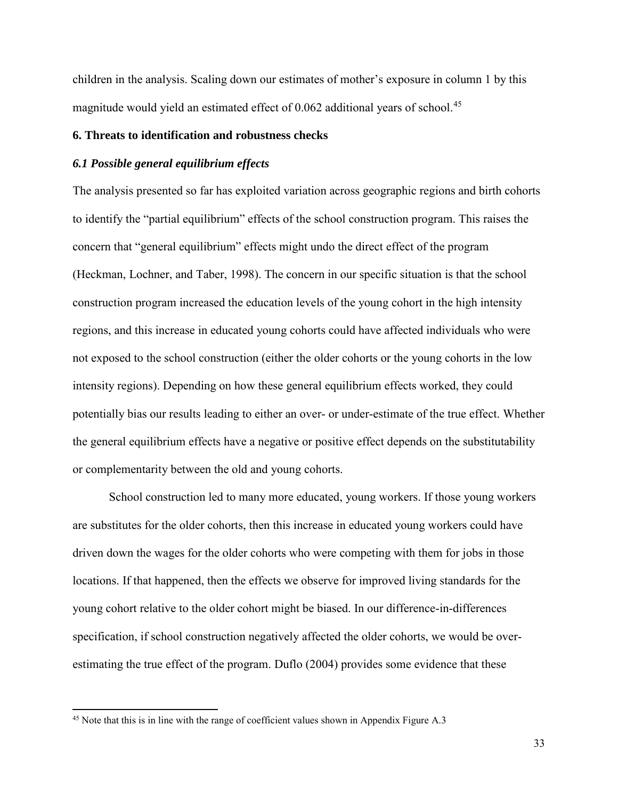children in the analysis. Scaling down our estimates of mother's exposure in column 1 by this magnitude would yield an estimated effect of 0.062 additional years of school.<sup>[45](#page-34-0)</sup>

## **6. Threats to identification and robustness checks**

## *6.1 Possible general equilibrium effects*

The analysis presented so far has exploited variation across geographic regions and birth cohorts to identify the "partial equilibrium" effects of the school construction program. This raises the concern that "general equilibrium" effects might undo the direct effect of the program (Heckman, Lochner, and Taber, 1998). The concern in our specific situation is that the school construction program increased the education levels of the young cohort in the high intensity regions, and this increase in educated young cohorts could have affected individuals who were not exposed to the school construction (either the older cohorts or the young cohorts in the low intensity regions). Depending on how these general equilibrium effects worked, they could potentially bias our results leading to either an over- or under-estimate of the true effect. Whether the general equilibrium effects have a negative or positive effect depends on the substitutability or complementarity between the old and young cohorts.

School construction led to many more educated, young workers. If those young workers are substitutes for the older cohorts, then this increase in educated young workers could have driven down the wages for the older cohorts who were competing with them for jobs in those locations. If that happened, then the effects we observe for improved living standards for the young cohort relative to the older cohort might be biased. In our difference-in-differences specification, if school construction negatively affected the older cohorts, we would be overestimating the true effect of the program. Duflo (2004) provides some evidence that these

<span id="page-34-0"></span><sup>&</sup>lt;sup>45</sup> Note that this is in line with the range of coefficient values shown in Appendix Figure A.3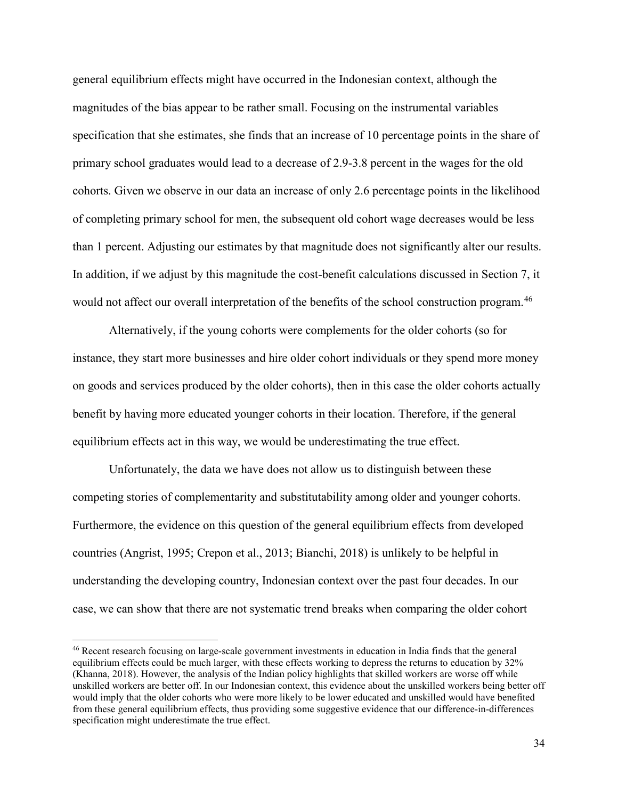general equilibrium effects might have occurred in the Indonesian context, although the magnitudes of the bias appear to be rather small. Focusing on the instrumental variables specification that she estimates, she finds that an increase of 10 percentage points in the share of primary school graduates would lead to a decrease of 2.9-3.8 percent in the wages for the old cohorts. Given we observe in our data an increase of only 2.6 percentage points in the likelihood of completing primary school for men, the subsequent old cohort wage decreases would be less than 1 percent. Adjusting our estimates by that magnitude does not significantly alter our results. In addition, if we adjust by this magnitude the cost-benefit calculations discussed in Section 7, it would not affect our overall interpretation of the benefits of the school construction program.<sup>[46](#page-35-0)</sup>

Alternatively, if the young cohorts were complements for the older cohorts (so for instance, they start more businesses and hire older cohort individuals or they spend more money on goods and services produced by the older cohorts), then in this case the older cohorts actually benefit by having more educated younger cohorts in their location. Therefore, if the general equilibrium effects act in this way, we would be underestimating the true effect.

Unfortunately, the data we have does not allow us to distinguish between these competing stories of complementarity and substitutability among older and younger cohorts. Furthermore, the evidence on this question of the general equilibrium effects from developed countries (Angrist, 1995; Crepon et al., 2013; Bianchi, 2018) is unlikely to be helpful in understanding the developing country, Indonesian context over the past four decades. In our case, we can show that there are not systematic trend breaks when comparing the older cohort

<span id="page-35-0"></span><sup>46</sup> Recent research focusing on large-scale government investments in education in India finds that the general equilibrium effects could be much larger, with these effects working to depress the returns to education by 32% (Khanna, 2018). However, the analysis of the Indian policy highlights that skilled workers are worse off while unskilled workers are better off. In our Indonesian context, this evidence about the unskilled workers being better off would imply that the older cohorts who were more likely to be lower educated and unskilled would have benefited from these general equilibrium effects, thus providing some suggestive evidence that our difference-in-differences specification might underestimate the true effect.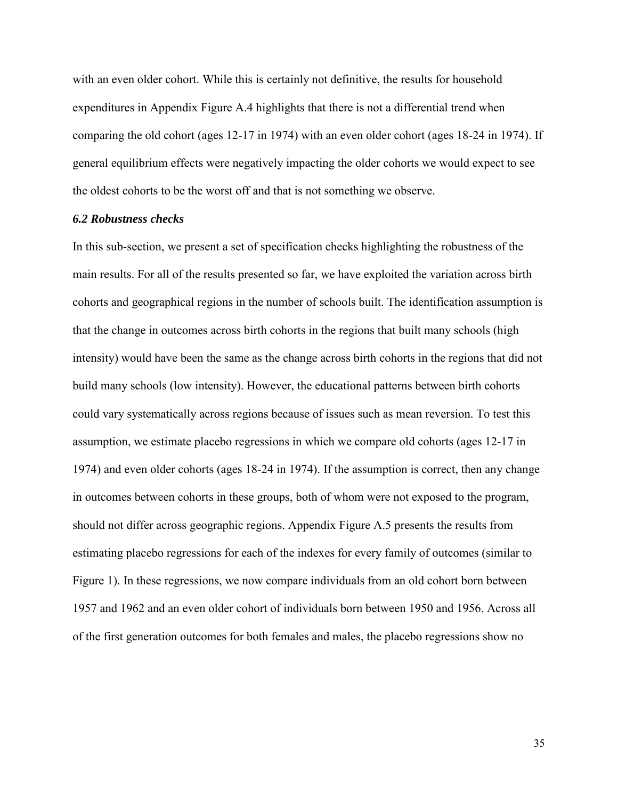with an even older cohort. While this is certainly not definitive, the results for household expenditures in Appendix Figure A.4 highlights that there is not a differential trend when comparing the old cohort (ages 12-17 in 1974) with an even older cohort (ages 18-24 in 1974). If general equilibrium effects were negatively impacting the older cohorts we would expect to see the oldest cohorts to be the worst off and that is not something we observe.

#### *6.2 Robustness checks*

In this sub-section, we present a set of specification checks highlighting the robustness of the main results. For all of the results presented so far, we have exploited the variation across birth cohorts and geographical regions in the number of schools built. The identification assumption is that the change in outcomes across birth cohorts in the regions that built many schools (high intensity) would have been the same as the change across birth cohorts in the regions that did not build many schools (low intensity). However, the educational patterns between birth cohorts could vary systematically across regions because of issues such as mean reversion. To test this assumption, we estimate placebo regressions in which we compare old cohorts (ages 12-17 in 1974) and even older cohorts (ages 18-24 in 1974). If the assumption is correct, then any change in outcomes between cohorts in these groups, both of whom were not exposed to the program, should not differ across geographic regions. Appendix Figure A.5 presents the results from estimating placebo regressions for each of the indexes for every family of outcomes (similar to Figure 1). In these regressions, we now compare individuals from an old cohort born between 1957 and 1962 and an even older cohort of individuals born between 1950 and 1956. Across all of the first generation outcomes for both females and males, the placebo regressions show no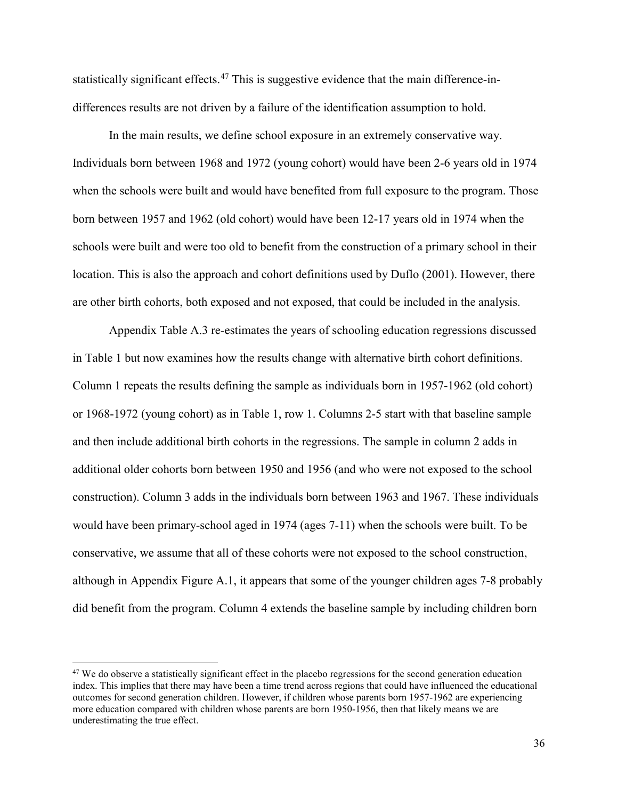statistically significant effects.<sup>[47](#page-37-0)</sup> This is suggestive evidence that the main difference-indifferences results are not driven by a failure of the identification assumption to hold.

In the main results, we define school exposure in an extremely conservative way. Individuals born between 1968 and 1972 (young cohort) would have been 2-6 years old in 1974 when the schools were built and would have benefited from full exposure to the program. Those born between 1957 and 1962 (old cohort) would have been 12-17 years old in 1974 when the schools were built and were too old to benefit from the construction of a primary school in their location. This is also the approach and cohort definitions used by Duflo (2001). However, there are other birth cohorts, both exposed and not exposed, that could be included in the analysis.

Appendix Table A.3 re-estimates the years of schooling education regressions discussed in Table 1 but now examines how the results change with alternative birth cohort definitions. Column 1 repeats the results defining the sample as individuals born in 1957-1962 (old cohort) or 1968-1972 (young cohort) as in Table 1, row 1. Columns 2-5 start with that baseline sample and then include additional birth cohorts in the regressions. The sample in column 2 adds in additional older cohorts born between 1950 and 1956 (and who were not exposed to the school construction). Column 3 adds in the individuals born between 1963 and 1967. These individuals would have been primary-school aged in 1974 (ages 7-11) when the schools were built. To be conservative, we assume that all of these cohorts were not exposed to the school construction, although in Appendix Figure A.1, it appears that some of the younger children ages 7-8 probably did benefit from the program. Column 4 extends the baseline sample by including children born

<span id="page-37-0"></span><sup>&</sup>lt;sup>47</sup> We do observe a statistically significant effect in the placebo regressions for the second generation education index. This implies that there may have been a time trend across regions that could have influenced the educational outcomes for second generation children. However, if children whose parents born 1957-1962 are experiencing more education compared with children whose parents are born 1950-1956, then that likely means we are underestimating the true effect.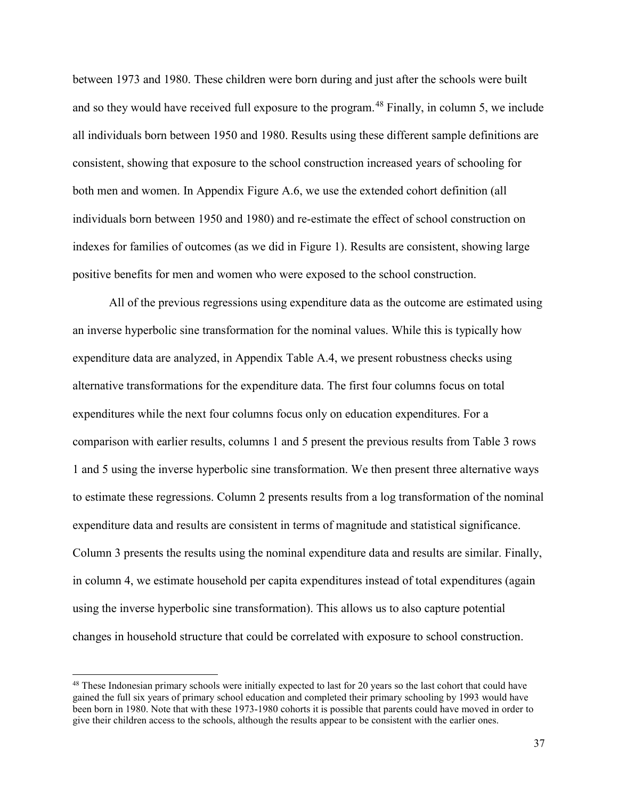between 1973 and 1980. These children were born during and just after the schools were built and so they would have received full exposure to the program.<sup>[48](#page-38-0)</sup> Finally, in column 5, we include all individuals born between 1950 and 1980. Results using these different sample definitions are consistent, showing that exposure to the school construction increased years of schooling for both men and women. In Appendix Figure A.6, we use the extended cohort definition (all individuals born between 1950 and 1980) and re-estimate the effect of school construction on indexes for families of outcomes (as we did in Figure 1). Results are consistent, showing large positive benefits for men and women who were exposed to the school construction.

All of the previous regressions using expenditure data as the outcome are estimated using an inverse hyperbolic sine transformation for the nominal values. While this is typically how expenditure data are analyzed, in Appendix Table A.4, we present robustness checks using alternative transformations for the expenditure data. The first four columns focus on total expenditures while the next four columns focus only on education expenditures. For a comparison with earlier results, columns 1 and 5 present the previous results from Table 3 rows 1 and 5 using the inverse hyperbolic sine transformation. We then present three alternative ways to estimate these regressions. Column 2 presents results from a log transformation of the nominal expenditure data and results are consistent in terms of magnitude and statistical significance. Column 3 presents the results using the nominal expenditure data and results are similar. Finally, in column 4, we estimate household per capita expenditures instead of total expenditures (again using the inverse hyperbolic sine transformation). This allows us to also capture potential changes in household structure that could be correlated with exposure to school construction.

<span id="page-38-0"></span> $48$  These Indonesian primary schools were initially expected to last for 20 years so the last cohort that could have gained the full six years of primary school education and completed their primary schooling by 1993 would have been born in 1980. Note that with these 1973-1980 cohorts it is possible that parents could have moved in order to give their children access to the schools, although the results appear to be consistent with the earlier ones.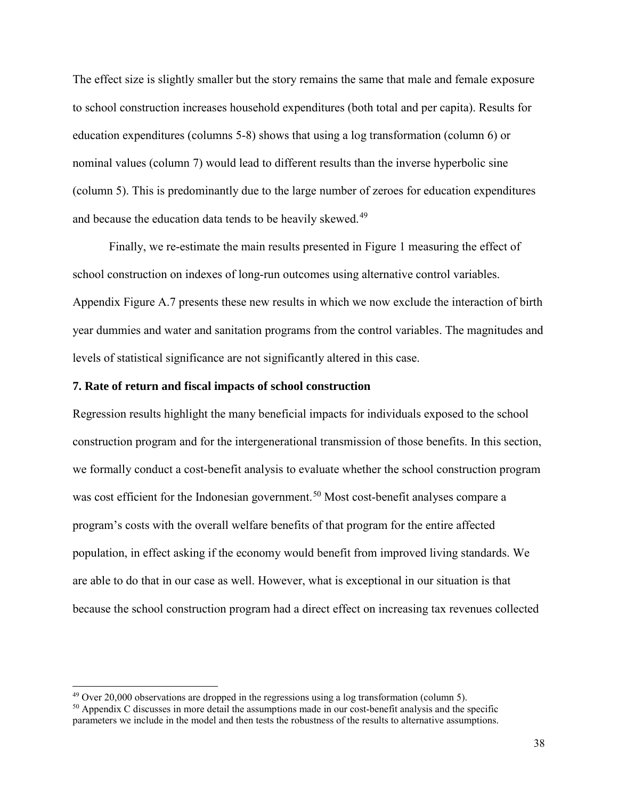The effect size is slightly smaller but the story remains the same that male and female exposure to school construction increases household expenditures (both total and per capita). Results for education expenditures (columns 5-8) shows that using a log transformation (column 6) or nominal values (column 7) would lead to different results than the inverse hyperbolic sine (column 5). This is predominantly due to the large number of zeroes for education expenditures and because the education data tends to be heavily skewed.<sup>[49](#page-39-0)</sup>

Finally, we re-estimate the main results presented in Figure 1 measuring the effect of school construction on indexes of long-run outcomes using alternative control variables. Appendix Figure A.7 presents these new results in which we now exclude the interaction of birth year dummies and water and sanitation programs from the control variables. The magnitudes and levels of statistical significance are not significantly altered in this case.

## **7. Rate of return and fiscal impacts of school construction**

Regression results highlight the many beneficial impacts for individuals exposed to the school construction program and for the intergenerational transmission of those benefits. In this section, we formally conduct a cost-benefit analysis to evaluate whether the school construction program was cost efficient for the Indonesian government.<sup>[50](#page-39-1)</sup> Most cost-benefit analyses compare a program's costs with the overall welfare benefits of that program for the entire affected population, in effect asking if the economy would benefit from improved living standards. We are able to do that in our case as well. However, what is exceptional in our situation is that because the school construction program had a direct effect on increasing tax revenues collected

<span id="page-39-0"></span> $49$  Over 20,000 observations are dropped in the regressions using a log transformation (column 5).

<span id="page-39-1"></span> $50$  Appendix C discusses in more detail the assumptions made in our cost-benefit analysis and the specific parameters we include in the model and then tests the robustness of the results to alternative assumptions.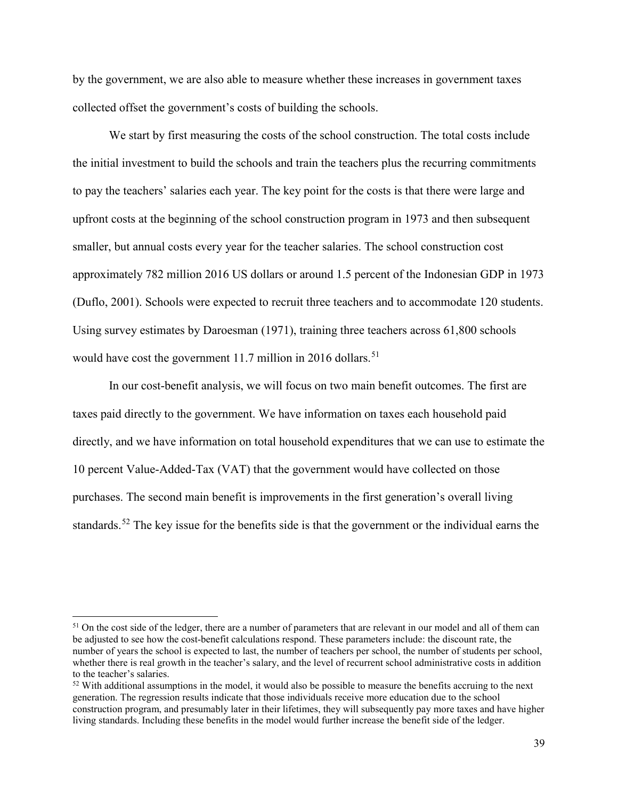by the government, we are also able to measure whether these increases in government taxes collected offset the government's costs of building the schools.

We start by first measuring the costs of the school construction. The total costs include the initial investment to build the schools and train the teachers plus the recurring commitments to pay the teachers' salaries each year. The key point for the costs is that there were large and upfront costs at the beginning of the school construction program in 1973 and then subsequent smaller, but annual costs every year for the teacher salaries. The school construction cost approximately 782 million 2016 US dollars or around 1.5 percent of the Indonesian GDP in 1973 (Duflo, 2001). Schools were expected to recruit three teachers and to accommodate 120 students. Using survey estimates by Daroesman (1971), training three teachers across 61,800 schools would have cost the government 11.7 million in 2016 dollars.<sup>[51](#page-40-0)</sup>

In our cost-benefit analysis, we will focus on two main benefit outcomes. The first are taxes paid directly to the government. We have information on taxes each household paid directly, and we have information on total household expenditures that we can use to estimate the 10 percent Value-Added-Tax (VAT) that the government would have collected on those purchases. The second main benefit is improvements in the first generation's overall living standards.<sup>[52](#page-40-1)</sup> The key issue for the benefits side is that the government or the individual earns the

<span id="page-40-0"></span><sup>&</sup>lt;sup>51</sup> On the cost side of the ledger, there are a number of parameters that are relevant in our model and all of them can be adjusted to see how the cost-benefit calculations respond. These parameters include: the discount rate, the number of years the school is expected to last, the number of teachers per school, the number of students per school, whether there is real growth in the teacher's salary, and the level of recurrent school administrative costs in addition to the teacher's salaries.

<span id="page-40-1"></span> $52$  With additional assumptions in the model, it would also be possible to measure the benefits accruing to the next generation. The regression results indicate that those individuals receive more education due to the school construction program, and presumably later in their lifetimes, they will subsequently pay more taxes and have higher living standards. Including these benefits in the model would further increase the benefit side of the ledger.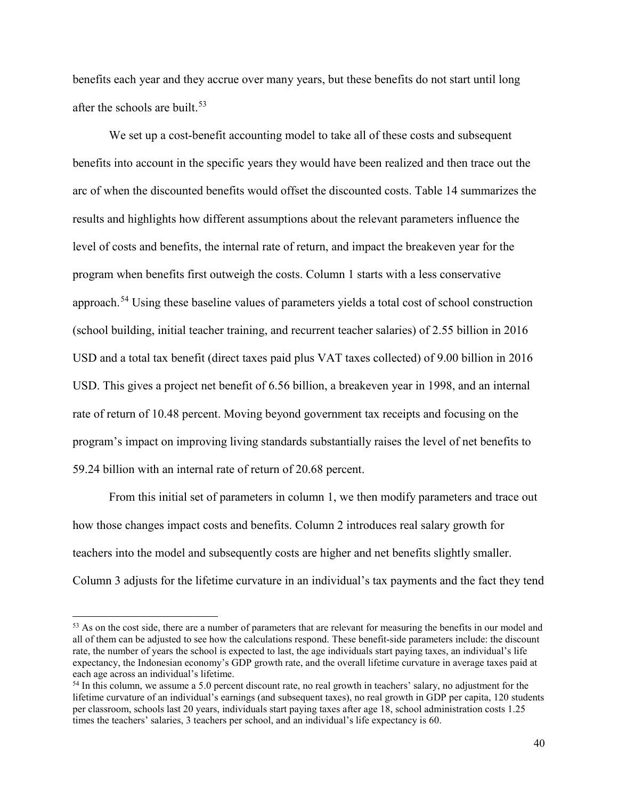benefits each year and they accrue over many years, but these benefits do not start until long after the schools are built.<sup>[53](#page-41-0)</sup>

We set up a cost-benefit accounting model to take all of these costs and subsequent benefits into account in the specific years they would have been realized and then trace out the arc of when the discounted benefits would offset the discounted costs. Table 14 summarizes the results and highlights how different assumptions about the relevant parameters influence the level of costs and benefits, the internal rate of return, and impact the breakeven year for the program when benefits first outweigh the costs. Column 1 starts with a less conservative approach.<sup>54</sup> Using these baseline values of parameters yields a total cost of school construction (school building, initial teacher training, and recurrent teacher salaries) of 2.55 billion in 2016 USD and a total tax benefit (direct taxes paid plus VAT taxes collected) of 9.00 billion in 2016 USD. This gives a project net benefit of 6.56 billion, a breakeven year in 1998, and an internal rate of return of 10.48 percent. Moving beyond government tax receipts and focusing on the program's impact on improving living standards substantially raises the level of net benefits to 59.24 billion with an internal rate of return of 20.68 percent.

From this initial set of parameters in column 1, we then modify parameters and trace out how those changes impact costs and benefits. Column 2 introduces real salary growth for teachers into the model and subsequently costs are higher and net benefits slightly smaller. Column 3 adjusts for the lifetime curvature in an individual's tax payments and the fact they tend

<span id="page-41-0"></span><sup>&</sup>lt;sup>53</sup> As on the cost side, there are a number of parameters that are relevant for measuring the benefits in our model and all of them can be adjusted to see how the calculations respond. These benefit-side parameters include: the discount rate, the number of years the school is expected to last, the age individuals start paying taxes, an individual's life expectancy, the Indonesian economy's GDP growth rate, and the overall lifetime curvature in average taxes paid at each age across an individual's lifetime.

<span id="page-41-1"></span><sup>54</sup> In this column, we assume a 5.0 percent discount rate, no real growth in teachers' salary, no adjustment for the lifetime curvature of an individual's earnings (and subsequent taxes), no real growth in GDP per capita, 120 students per classroom, schools last 20 years, individuals start paying taxes after age 18, school administration costs 1.25 times the teachers' salaries, 3 teachers per school, and an individual's life expectancy is 60.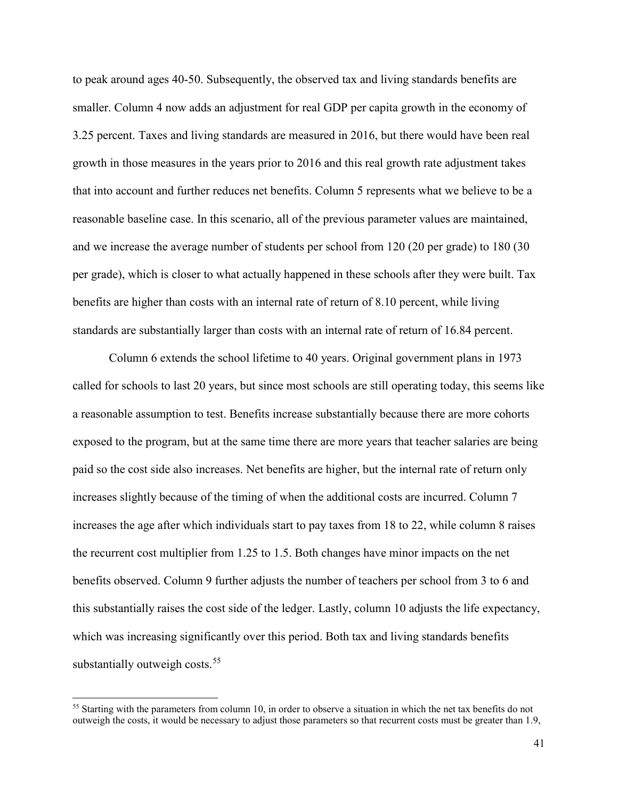to peak around ages 40-50. Subsequently, the observed tax and living standards benefits are smaller. Column 4 now adds an adjustment for real GDP per capita growth in the economy of 3.25 percent. Taxes and living standards are measured in 2016, but there would have been real growth in those measures in the years prior to 2016 and this real growth rate adjustment takes that into account and further reduces net benefits. Column 5 represents what we believe to be a reasonable baseline case. In this scenario, all of the previous parameter values are maintained, and we increase the average number of students per school from 120 (20 per grade) to 180 (30 per grade), which is closer to what actually happened in these schools after they were built. Tax benefits are higher than costs with an internal rate of return of 8.10 percent, while living standards are substantially larger than costs with an internal rate of return of 16.84 percent.

Column 6 extends the school lifetime to 40 years. Original government plans in 1973 called for schools to last 20 years, but since most schools are still operating today, this seems like a reasonable assumption to test. Benefits increase substantially because there are more cohorts exposed to the program, but at the same time there are more years that teacher salaries are being paid so the cost side also increases. Net benefits are higher, but the internal rate of return only increases slightly because of the timing of when the additional costs are incurred. Column 7 increases the age after which individuals start to pay taxes from 18 to 22, while column 8 raises the recurrent cost multiplier from 1.25 to 1.5. Both changes have minor impacts on the net benefits observed. Column 9 further adjusts the number of teachers per school from 3 to 6 and this substantially raises the cost side of the ledger. Lastly, column 10 adjusts the life expectancy, which was increasing significantly over this period. Both tax and living standards benefits substantially outweigh costs.<sup>[55](#page-42-0)</sup>

<span id="page-42-0"></span> $55$  Starting with the parameters from column 10, in order to observe a situation in which the net tax benefits do not outweigh the costs, it would be necessary to adjust those parameters so that recurrent costs must be greater than 1.9,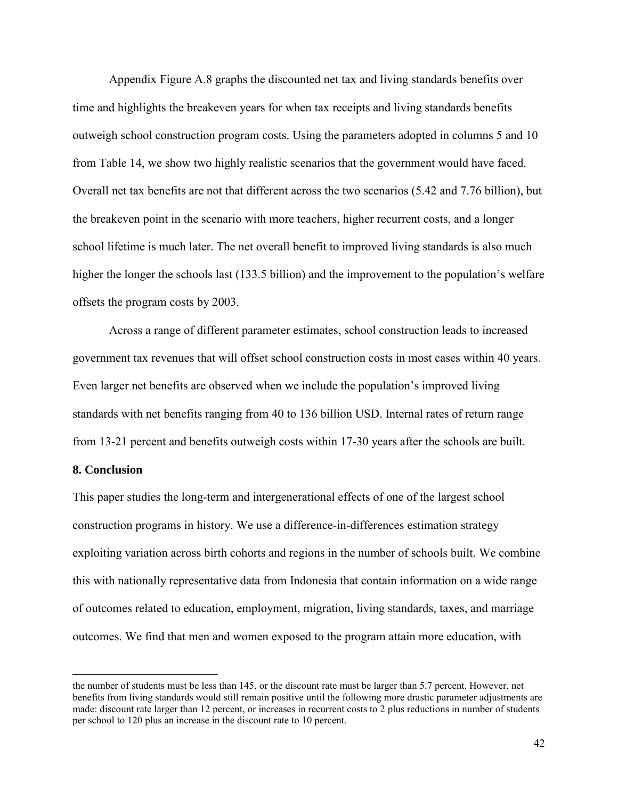Appendix Figure A.8 graphs the discounted net tax and living standards benefits over time and highlights the breakeven years for when tax receipts and living standards benefits outweigh school construction program costs. Using the parameters adopted in columns 5 and 10 from Table 14, we show two highly realistic scenarios that the government would have faced. Overall net tax benefits are not that different across the two scenarios (5.42 and 7.76 billion), but the breakeven point in the scenario with more teachers, higher recurrent costs, and a longer school lifetime is much later. The net overall benefit to improved living standards is also much higher the longer the schools last (133.5 billion) and the improvement to the population's welfare offsets the program costs by 2003.

Across a range of different parameter estimates, school construction leads to increased government tax revenues that will offset school construction costs in most cases within 40 years. Even larger net benefits are observed when we include the population's improved living standards with net benefits ranging from 40 to 136 billion USD. Internal rates of return range from 13-21 percent and benefits outweigh costs within 17-30 years after the schools are built.

## **8. Conclusion**

 $\overline{a}$ 

This paper studies the long-term and intergenerational effects of one of the largest school construction programs in history. We use a difference-in-differences estimation strategy exploiting variation across birth cohorts and regions in the number of schools built. We combine this with nationally representative data from Indonesia that contain information on a wide range of outcomes related to education, employment, migration, living standards, taxes, and marriage outcomes. We find that men and women exposed to the program attain more education, with

the number of students must be less than 145, or the discount rate must be larger than 5.7 percent. However, net benefits from living standards would still remain positive until the following more drastic parameter adjustments are made: discount rate larger than 12 percent, or increases in recurrent costs to 2 plus reductions in number of students per school to 120 plus an increase in the discount rate to 10 percent.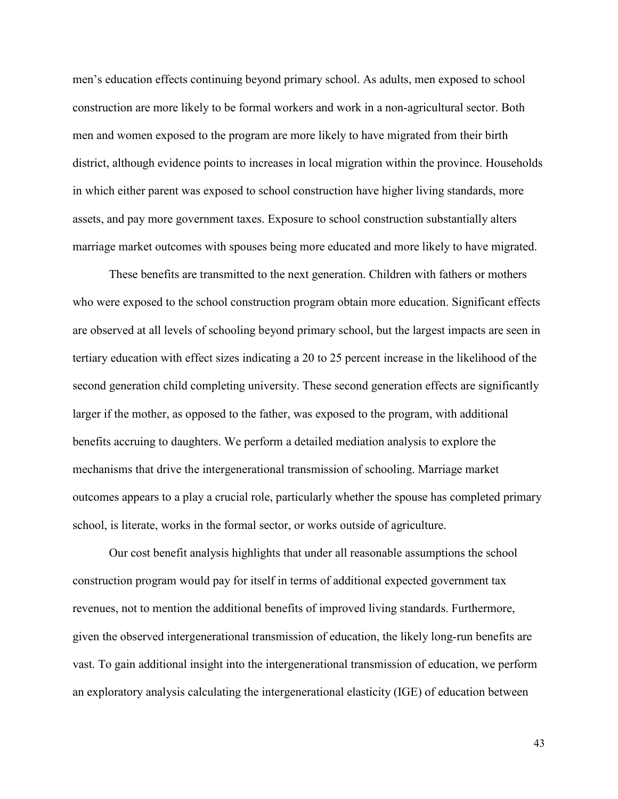men's education effects continuing beyond primary school. As adults, men exposed to school construction are more likely to be formal workers and work in a non-agricultural sector. Both men and women exposed to the program are more likely to have migrated from their birth district, although evidence points to increases in local migration within the province. Households in which either parent was exposed to school construction have higher living standards, more assets, and pay more government taxes. Exposure to school construction substantially alters marriage market outcomes with spouses being more educated and more likely to have migrated.

These benefits are transmitted to the next generation. Children with fathers or mothers who were exposed to the school construction program obtain more education. Significant effects are observed at all levels of schooling beyond primary school, but the largest impacts are seen in tertiary education with effect sizes indicating a 20 to 25 percent increase in the likelihood of the second generation child completing university. These second generation effects are significantly larger if the mother, as opposed to the father, was exposed to the program, with additional benefits accruing to daughters. We perform a detailed mediation analysis to explore the mechanisms that drive the intergenerational transmission of schooling. Marriage market outcomes appears to a play a crucial role, particularly whether the spouse has completed primary school, is literate, works in the formal sector, or works outside of agriculture.

Our cost benefit analysis highlights that under all reasonable assumptions the school construction program would pay for itself in terms of additional expected government tax revenues, not to mention the additional benefits of improved living standards. Furthermore, given the observed intergenerational transmission of education, the likely long-run benefits are vast. To gain additional insight into the intergenerational transmission of education, we perform an exploratory analysis calculating the intergenerational elasticity (IGE) of education between

43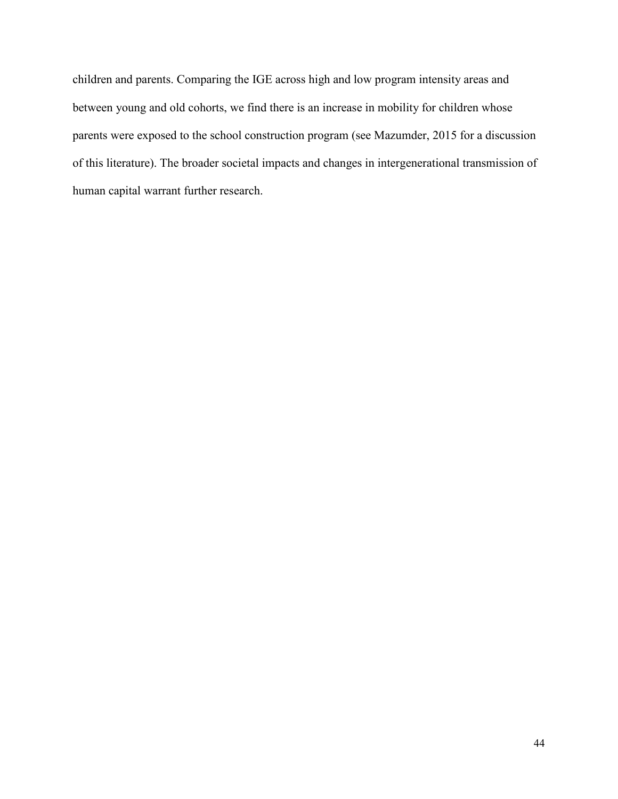children and parents. Comparing the IGE across high and low program intensity areas and between young and old cohorts, we find there is an increase in mobility for children whose parents were exposed to the school construction program (see Mazumder, 2015 for a discussion of this literature). The broader societal impacts and changes in intergenerational transmission of human capital warrant further research.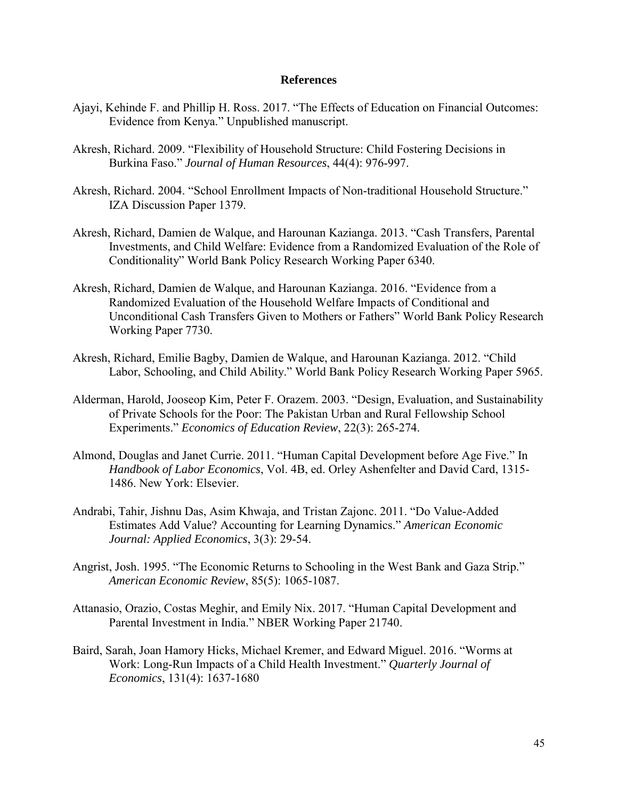#### **References**

- Ajayi, Kehinde F. and Phillip H. Ross. 2017. "The Effects of Education on Financial Outcomes: Evidence from Kenya." Unpublished manuscript.
- Akresh, Richard. 2009. "Flexibility of Household Structure: Child Fostering Decisions in Burkina Faso." *Journal of Human Resources*, 44(4): 976-997.
- Akresh, Richard. 2004. "School Enrollment Impacts of Non-traditional Household Structure." IZA Discussion Paper 1379.
- Akresh, Richard, Damien de Walque, and Harounan Kazianga. 2013. "Cash Transfers, Parental Investments, and Child Welfare: Evidence from a Randomized Evaluation of the Role of Conditionality" World Bank Policy Research Working Paper 6340.
- Akresh, Richard, Damien de Walque, and Harounan Kazianga. 2016. "Evidence from a Randomized Evaluation of the Household Welfare Impacts of Conditional and Unconditional Cash Transfers Given to Mothers or Fathers" World Bank Policy Research Working Paper 7730.
- Akresh, Richard, Emilie Bagby, Damien de Walque, and Harounan Kazianga. 2012. "Child Labor, Schooling, and Child Ability." World Bank Policy Research Working Paper 5965.
- Alderman, Harold, Jooseop Kim, Peter F. Orazem. 2003. "Design, Evaluation, and Sustainability of Private Schools for the Poor: The Pakistan Urban and Rural Fellowship School Experiments." *Economics of Education Review*, 22(3): 265-274.
- Almond, Douglas and Janet Currie. 2011. "Human Capital Development before Age Five." In *Handbook of Labor Economics*, Vol. 4B, ed. Orley Ashenfelter and David Card, 1315- 1486. New York: Elsevier.
- Andrabi, Tahir, Jishnu Das, Asim Khwaja, and Tristan Zajonc. 2011. "Do Value-Added Estimates Add Value? Accounting for Learning Dynamics." *American Economic Journal: Applied Economics*, 3(3): 29-54.
- Angrist, Josh. 1995. "The Economic Returns to Schooling in the West Bank and Gaza Strip." *American Economic Review*, 85(5): 1065-1087.
- Attanasio, Orazio, Costas Meghir, and Emily Nix. 2017. "Human Capital Development and Parental Investment in India." NBER Working Paper 21740.
- Baird, Sarah, Joan Hamory Hicks, Michael Kremer, and Edward Miguel. 2016. "Worms at Work: Long-Run Impacts of a Child Health Investment." *Quarterly Journal of Economics*, 131(4): 1637-1680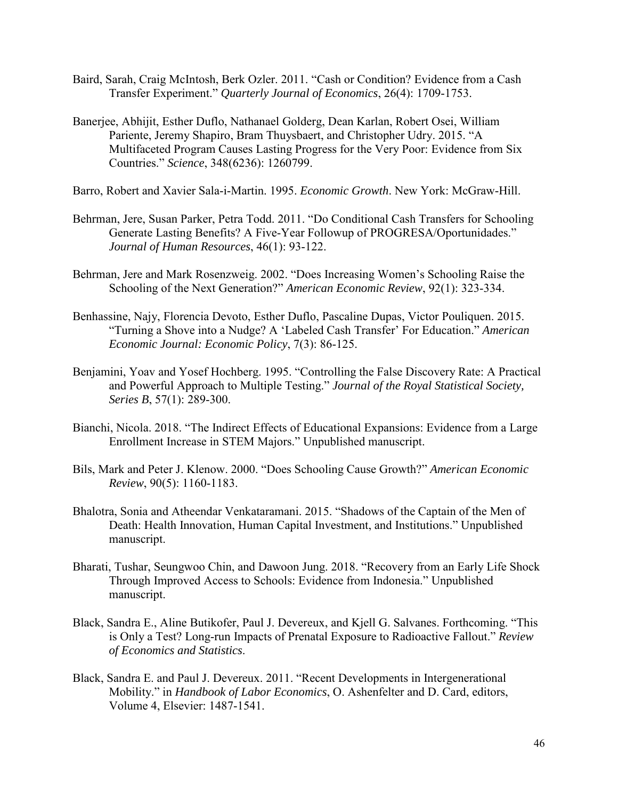- Baird, Sarah, Craig McIntosh, Berk Ozler. 2011. "Cash or Condition? Evidence from a Cash Transfer Experiment." *Quarterly Journal of Economics*, 26(4): 1709-1753.
- Banerjee, Abhijit, Esther Duflo, Nathanael Golderg, Dean Karlan, Robert Osei, William Pariente, Jeremy Shapiro, Bram Thuysbaert, and Christopher Udry. 2015. "A Multifaceted Program Causes Lasting Progress for the Very Poor: Evidence from Six Countries." *Science*, 348(6236): 1260799.

Barro, Robert and Xavier Sala-i-Martin. 1995. *Economic Growth*. New York: McGraw-Hill.

- Behrman, Jere, Susan Parker, Petra Todd. 2011. "Do Conditional Cash Transfers for Schooling Generate Lasting Benefits? A Five-Year Followup of PROGRESA/Oportunidades." *Journal of Human Resources*, 46(1): 93-122.
- Behrman, Jere and Mark Rosenzweig. 2002. "Does Increasing Women's Schooling Raise the Schooling of the Next Generation?" *American Economic Review*, 92(1): 323-334.
- Benhassine, Najy, Florencia Devoto, Esther Duflo, Pascaline Dupas, Victor Pouliquen. 2015. "Turning a Shove into a Nudge? A 'Labeled Cash Transfer' For Education." *American Economic Journal: Economic Policy*, 7(3): 86-125.
- Benjamini, Yoav and Yosef Hochberg. 1995. "Controlling the False Discovery Rate: A Practical and Powerful Approach to Multiple Testing." *Journal of the Royal Statistical Society, Series B*, 57(1): 289-300.
- Bianchi, Nicola. 2018. "The Indirect Effects of Educational Expansions: Evidence from a Large Enrollment Increase in STEM Majors." Unpublished manuscript.
- Bils, Mark and Peter J. Klenow. 2000. "Does Schooling Cause Growth?" *American Economic Review*, 90(5): 1160-1183.
- Bhalotra, Sonia and Atheendar Venkataramani. 2015. "Shadows of the Captain of the Men of Death: Health Innovation, Human Capital Investment, and Institutions." Unpublished manuscript.
- Bharati, Tushar, Seungwoo Chin, and Dawoon Jung. 2018. "Recovery from an Early Life Shock Through Improved Access to Schools: Evidence from Indonesia." Unpublished manuscript.
- Black, Sandra E., Aline Butikofer, Paul J. Devereux, and Kjell G. Salvanes. Forthcoming. "This is Only a Test? Long-run Impacts of Prenatal Exposure to Radioactive Fallout." *Review of Economics and Statistics*.
- Black, Sandra E. and Paul J. Devereux. 2011. "Recent Developments in Intergenerational Mobility." in *Handbook of Labor Economics*, O. Ashenfelter and D. Card, editors, Volume 4, Elsevier: 1487-1541.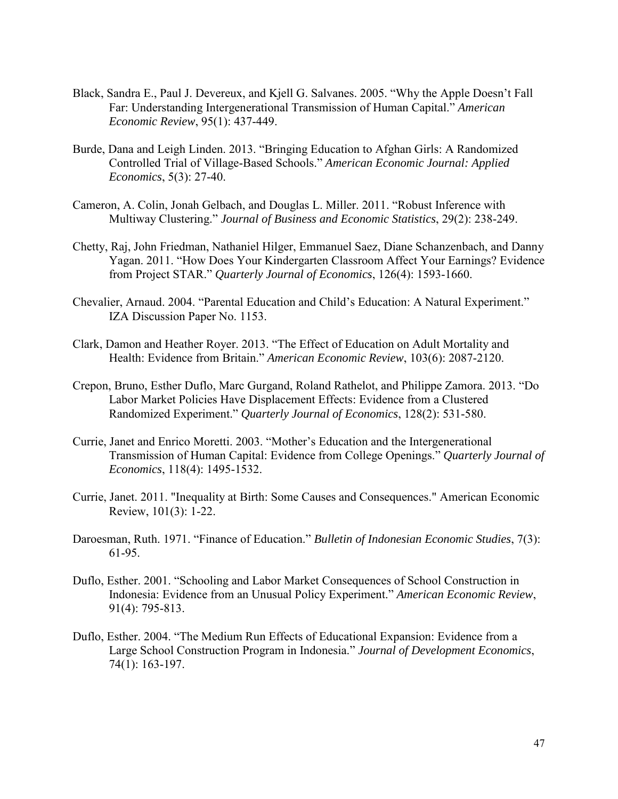- Black, Sandra E., Paul J. Devereux, and Kjell G. Salvanes. 2005. "Why the Apple Doesn't Fall Far: Understanding Intergenerational Transmission of Human Capital." *American Economic Review*, 95(1): 437-449.
- Burde, Dana and Leigh Linden. 2013. "Bringing Education to Afghan Girls: A Randomized Controlled Trial of Village-Based Schools." *American Economic Journal: Applied Economics*, 5(3): 27-40.
- Cameron, A. Colin, Jonah Gelbach, and Douglas L. Miller. 2011. "Robust Inference with Multiway Clustering." *Journal of Business and Economic Statistics*, 29(2): 238-249.
- Chetty, Raj, John Friedman, Nathaniel Hilger, Emmanuel Saez, Diane Schanzenbach, and Danny Yagan. 2011. "How Does Your Kindergarten Classroom Affect Your Earnings? Evidence from Project STAR." *Quarterly Journal of Economics*, 126(4): 1593-1660.
- Chevalier, Arnaud. 2004. "Parental Education and Child's Education: A Natural Experiment." IZA Discussion Paper No. 1153.
- Clark, Damon and Heather Royer. 2013. "The Effect of Education on Adult Mortality and Health: Evidence from Britain." *American Economic Review*, 103(6): 2087-2120.
- Crepon, Bruno, Esther Duflo, Marc Gurgand, Roland Rathelot, and Philippe Zamora. 2013. "Do Labor Market Policies Have Displacement Effects: Evidence from a Clustered Randomized Experiment." *Quarterly Journal of Economics*, 128(2): 531-580.
- Currie, Janet and Enrico Moretti. 2003. "Mother's Education and the Intergenerational Transmission of Human Capital: Evidence from College Openings." *Quarterly Journal of Economics*, 118(4): 1495-1532.
- Currie, Janet. 2011. "Inequality at Birth: Some Causes and Consequences." American Economic Review, 101(3): 1-22.
- Daroesman, Ruth. 1971. "Finance of Education." *Bulletin of Indonesian Economic Studies*, 7(3): 61-95.
- Duflo, Esther. 2001. "Schooling and Labor Market Consequences of School Construction in Indonesia: Evidence from an Unusual Policy Experiment." *American Economic Review*, 91(4): 795-813.
- Duflo, Esther. 2004. "The Medium Run Effects of Educational Expansion: Evidence from a Large School Construction Program in Indonesia." *Journal of Development Economics*, 74(1): 163-197.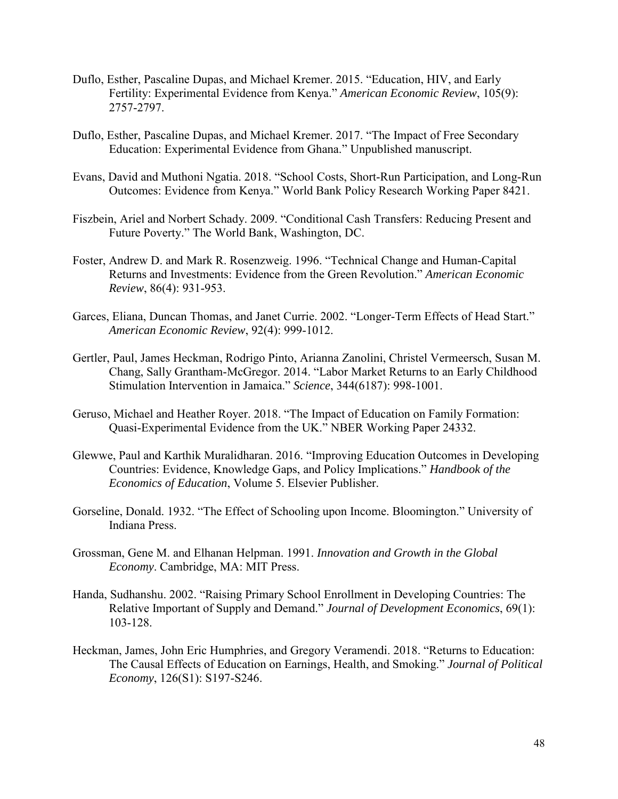- Duflo, Esther, Pascaline Dupas, and Michael Kremer. 2015. "Education, HIV, and Early Fertility: Experimental Evidence from Kenya." *American Economic Review*, 105(9): 2757-2797.
- Duflo, Esther, Pascaline Dupas, and Michael Kremer. 2017. "The Impact of Free Secondary Education: Experimental Evidence from Ghana." Unpublished manuscript.
- Evans, David and Muthoni Ngatia. 2018. "School Costs, Short-Run Participation, and Long-Run Outcomes: Evidence from Kenya." World Bank Policy Research Working Paper 8421.
- Fiszbein, Ariel and Norbert Schady. 2009. "Conditional Cash Transfers: Reducing Present and Future Poverty." The World Bank, Washington, DC.
- Foster, Andrew D. and Mark R. Rosenzweig. 1996. "Technical Change and Human-Capital Returns and Investments: Evidence from the Green Revolution." *American Economic Review*, 86(4): 931-953.
- Garces, Eliana, Duncan Thomas, and Janet Currie. 2002. "Longer-Term Effects of Head Start." *American Economic Review*, 92(4): 999-1012.
- Gertler, Paul, James Heckman, Rodrigo Pinto, Arianna Zanolini, Christel Vermeersch, Susan M. Chang, Sally Grantham-McGregor. 2014. "Labor Market Returns to an Early Childhood Stimulation Intervention in Jamaica." *Science*, 344(6187): 998-1001.
- Geruso, Michael and Heather Royer. 2018. "The Impact of Education on Family Formation: Quasi-Experimental Evidence from the UK." NBER Working Paper 24332.
- Glewwe, Paul and Karthik Muralidharan. 2016. "Improving Education Outcomes in Developing Countries: Evidence, Knowledge Gaps, and Policy Implications." *Handbook of the Economics of Education*, Volume 5. Elsevier Publisher.
- Gorseline, Donald. 1932. "The Effect of Schooling upon Income. Bloomington." University of Indiana Press.
- Grossman, Gene M. and Elhanan Helpman. 1991. *Innovation and Growth in the Global Economy*. Cambridge, MA: MIT Press.
- Handa, Sudhanshu. 2002. "Raising Primary School Enrollment in Developing Countries: The Relative Important of Supply and Demand." *Journal of Development Economics*, 69(1): 103-128.
- Heckman, James, John Eric Humphries, and Gregory Veramendi. 2018. "Returns to Education: The Causal Effects of Education on Earnings, Health, and Smoking." *Journal of Political Economy*, 126(S1): S197-S246.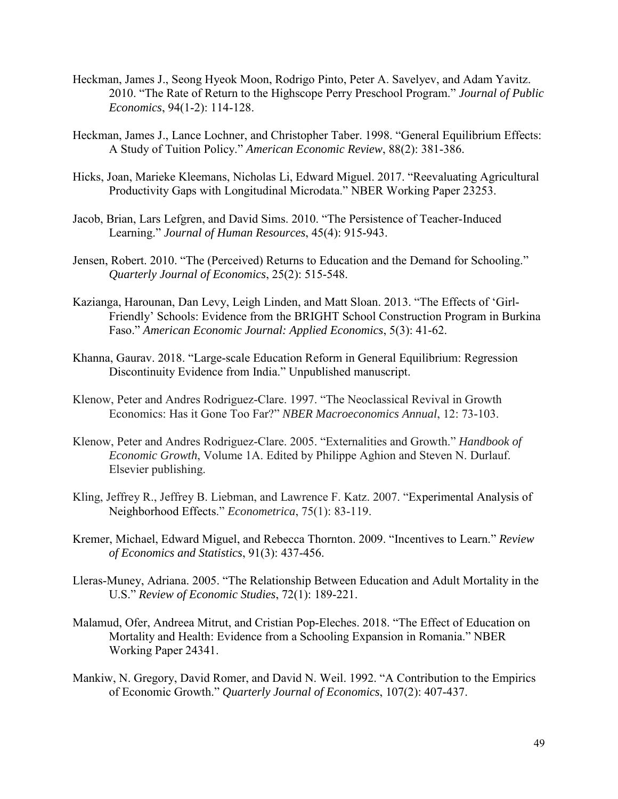- Heckman, James J., Seong Hyeok Moon, Rodrigo Pinto, Peter A. Savelyev, and Adam Yavitz. 2010. "The Rate of Return to the Highscope Perry Preschool Program." *Journal of Public Economics*, 94(1-2): 114-128.
- Heckman, James J., Lance Lochner, and Christopher Taber. 1998. "General Equilibrium Effects: A Study of Tuition Policy." *American Economic Review*, 88(2): 381-386.
- Hicks, Joan, Marieke Kleemans, Nicholas Li, Edward Miguel. 2017. "Reevaluating Agricultural Productivity Gaps with Longitudinal Microdata." NBER Working Paper 23253.
- Jacob, Brian, Lars Lefgren, and David Sims. 2010. "The Persistence of Teacher-Induced Learning." *Journal of Human Resources*, 45(4): 915-943.
- Jensen, Robert. 2010. "The (Perceived) Returns to Education and the Demand for Schooling." *Quarterly Journal of Economics*, 25(2): 515-548.
- Kazianga, Harounan, Dan Levy, Leigh Linden, and Matt Sloan. 2013. "The Effects of 'Girl-Friendly' Schools: Evidence from the BRIGHT School Construction Program in Burkina Faso." *American Economic Journal: Applied Economics*, 5(3): 41-62.
- Khanna, Gaurav. 2018. "Large-scale Education Reform in General Equilibrium: Regression Discontinuity Evidence from India." Unpublished manuscript.
- Klenow, Peter and Andres Rodriguez-Clare. 1997. "The Neoclassical Revival in Growth Economics: Has it Gone Too Far?" *NBER Macroeconomics Annual*, 12: 73-103.
- Klenow, Peter and Andres Rodriguez-Clare. 2005. "Externalities and Growth." *Handbook of Economic Growth*, Volume 1A. Edited by Philippe Aghion and Steven N. Durlauf. Elsevier publishing.
- Kling, Jeffrey R., Jeffrey B. Liebman, and Lawrence F. Katz. 2007. "Experimental Analysis of Neighborhood Effects." *Econometrica*, 75(1): 83-119.
- Kremer, Michael, Edward Miguel, and Rebecca Thornton. 2009. "Incentives to Learn." *Review of Economics and Statistics*, 91(3): 437-456.
- Lleras-Muney, Adriana. 2005. "The Relationship Between Education and Adult Mortality in the U.S." *Review of Economic Studies*, 72(1): 189-221.
- Malamud, Ofer, Andreea Mitrut, and Cristian Pop-Eleches. 2018. "The Effect of Education on Mortality and Health: Evidence from a Schooling Expansion in Romania." NBER Working Paper 24341.
- Mankiw, N. Gregory, David Romer, and David N. Weil. 1992. "A Contribution to the Empirics of Economic Growth." *Quarterly Journal of Economics*, 107(2): 407-437.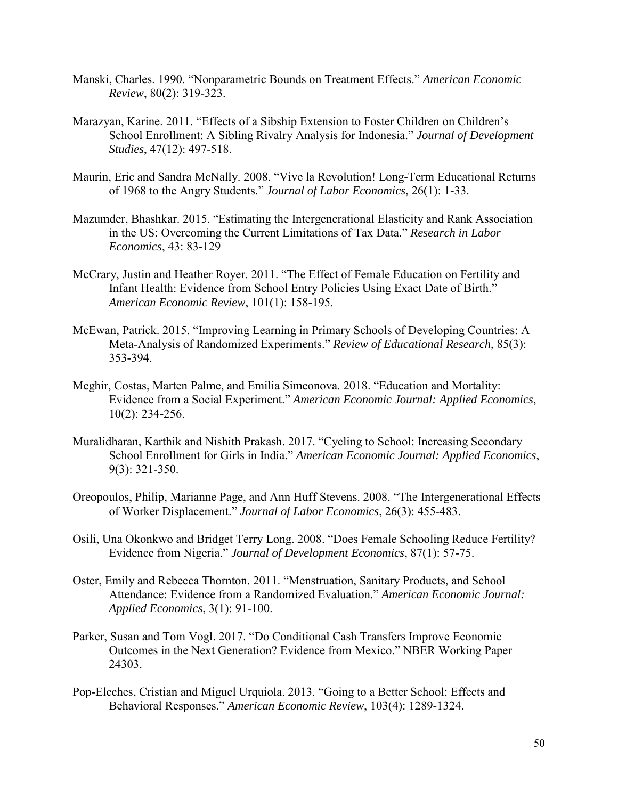- Manski, Charles. 1990. "Nonparametric Bounds on Treatment Effects." *American Economic Review*, 80(2): 319-323.
- Marazyan, Karine. 2011. "Effects of a Sibship Extension to Foster Children on Children's School Enrollment: A Sibling Rivalry Analysis for Indonesia." *Journal of Development Studies*, 47(12): 497-518.
- Maurin, Eric and Sandra McNally. 2008. "Vive la Revolution! Long-Term Educational Returns of 1968 to the Angry Students." *Journal of Labor Economics*, 26(1): 1-33.
- Mazumder, Bhashkar. 2015. "Estimating the Intergenerational Elasticity and Rank Association in the US: Overcoming the Current Limitations of Tax Data." *Research in Labor Economics*, 43: 83-129
- McCrary, Justin and Heather Royer. 2011. "The Effect of Female Education on Fertility and Infant Health: Evidence from School Entry Policies Using Exact Date of Birth." *American Economic Review*, 101(1): 158-195.
- McEwan, Patrick. 2015. "Improving Learning in Primary Schools of Developing Countries: A Meta-Analysis of Randomized Experiments." *Review of Educational Research*, 85(3): 353-394.
- Meghir, Costas, Marten Palme, and Emilia Simeonova. 2018. "Education and Mortality: Evidence from a Social Experiment." *American Economic Journal: Applied Economics*, 10(2): 234-256.
- Muralidharan, Karthik and Nishith Prakash. 2017. "Cycling to School: Increasing Secondary School Enrollment for Girls in India." *American Economic Journal: Applied Economics*, 9(3): 321-350.
- Oreopoulos, Philip, Marianne Page, and Ann Huff Stevens. 2008. "The Intergenerational Effects of Worker Displacement." *Journal of Labor Economics*, 26(3): 455-483.
- Osili, Una Okonkwo and Bridget Terry Long. 2008. "Does Female Schooling Reduce Fertility? Evidence from Nigeria." *Journal of Development Economics*, 87(1): 57-75.
- Oster, Emily and Rebecca Thornton. 2011. "Menstruation, Sanitary Products, and School Attendance: Evidence from a Randomized Evaluation." *American Economic Journal: Applied Economics*, 3(1): 91-100.
- Parker, Susan and Tom Vogl. 2017. "Do Conditional Cash Transfers Improve Economic Outcomes in the Next Generation? Evidence from Mexico." NBER Working Paper 24303.
- Pop-Eleches, Cristian and Miguel Urquiola. 2013. "Going to a Better School: Effects and Behavioral Responses." *American Economic Review*, 103(4): 1289-1324.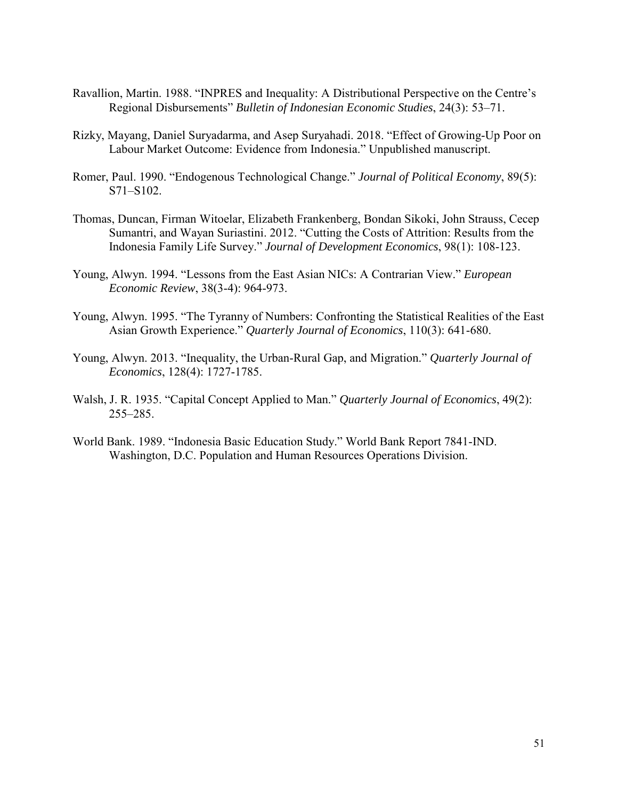- Ravallion, Martin. 1988. "INPRES and Inequality: A Distributional Perspective on the Centre's Regional Disbursements" *Bulletin of Indonesian Economic Studies*, 24(3): 53–71.
- Rizky, Mayang, Daniel Suryadarma, and Asep Suryahadi. 2018. "Effect of Growing-Up Poor on Labour Market Outcome: Evidence from Indonesia." Unpublished manuscript.
- Romer, Paul. 1990. "Endogenous Technological Change." *Journal of Political Economy*, 89(5): S71–S102.
- Thomas, Duncan, Firman Witoelar, Elizabeth Frankenberg, Bondan Sikoki, John Strauss, Cecep Sumantri, and Wayan Suriastini. 2012. "Cutting the Costs of Attrition: Results from the Indonesia Family Life Survey." *Journal of Development Economics*, 98(1): 108-123.
- Young, Alwyn. 1994. "Lessons from the East Asian NICs: A Contrarian View." *European Economic Review*, 38(3-4): 964-973.
- Young, Alwyn. 1995. "The Tyranny of Numbers: Confronting the Statistical Realities of the East Asian Growth Experience." *Quarterly Journal of Economics*, 110(3): 641-680.
- Young, Alwyn. 2013. "Inequality, the Urban-Rural Gap, and Migration." *Quarterly Journal of Economics*, 128(4): 1727-1785.
- Walsh, J. R. 1935. "Capital Concept Applied to Man." *Quarterly Journal of Economics*, 49(2): 255–285.
- World Bank. 1989. "Indonesia Basic Education Study." World Bank Report 7841-IND. Washington, D.C. Population and Human Resources Operations Division.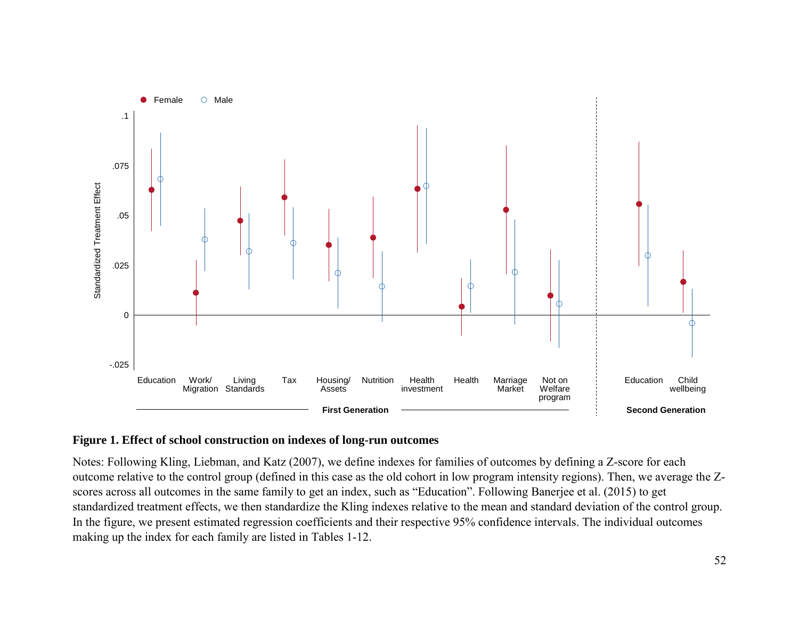

# **Figure 1. Effect of school construction on indexes of long-run outcomes**

Notes: Following Kling, Liebman, and Katz (2007), we define indexes for families of outcomes by defining a Z-score for each outcome relative to the control group (defined in this case as the old cohort in low program intensity regions). Then, we average the Zscores across all outcomes in the same family to get an index, such as "Education". Following Banerjee et al. (2015) to get standardized treatment effects, we then standardize the Kling indexes relative to the mean and standard deviation of the control group. In the figure, we present estimated regression coefficients and their respective 95% confidence intervals. The individual outcomes making up the index for each family are listed in Tables 1-12.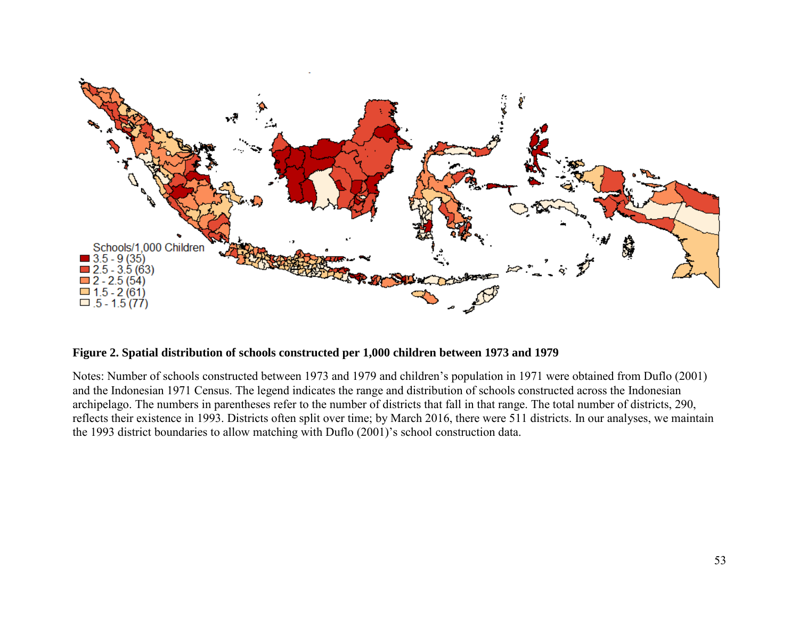

# **Figure 2. Spatial distribution of schools constructed per 1,000 children between 1973 and 1979**

Notes: Number of schools constructed between 1973 and 1979 and children's population in 1971 were obtained from Duflo (2001) and the Indonesian 1971 Census. The legend indicates the range and distribution of schools constructed across the Indonesian archipelago. The numbers in parentheses refer to the number of districts that fall in that range. The total number of districts, 290, reflects their existence in 1993. Districts often split over time; by March 2016, there were 511 districts. In our analyses, we maintain the 1993 district boundaries to allow matching with Duflo (2001)'s school construction data.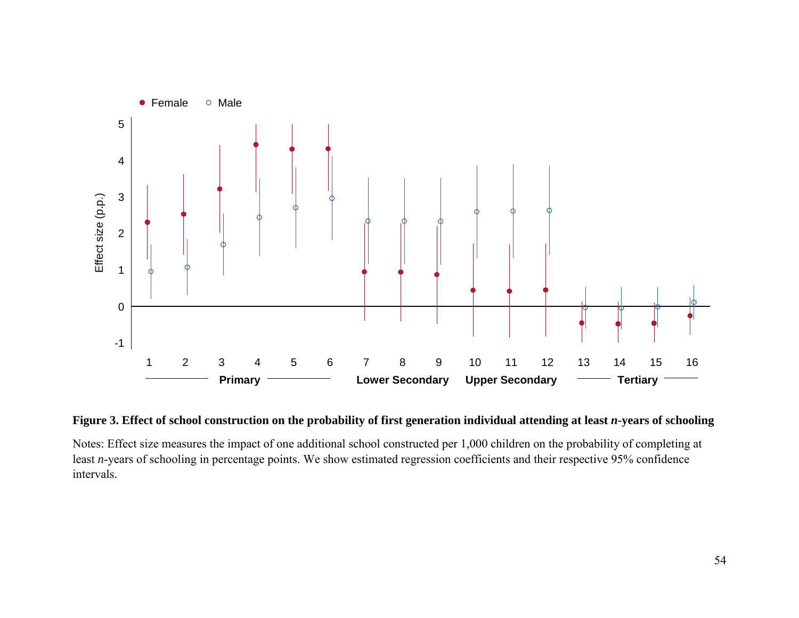

## Figure 3. Effect of school construction on the probability of first generation individual attending at least *n*-years of schooling

Notes: Effect size measures the impact of one additional school constructed per 1,000 children on the probability of completing at least *n*-years of schooling in percentage points. We show estimated regression coefficients and their respective 95% confidence intervals.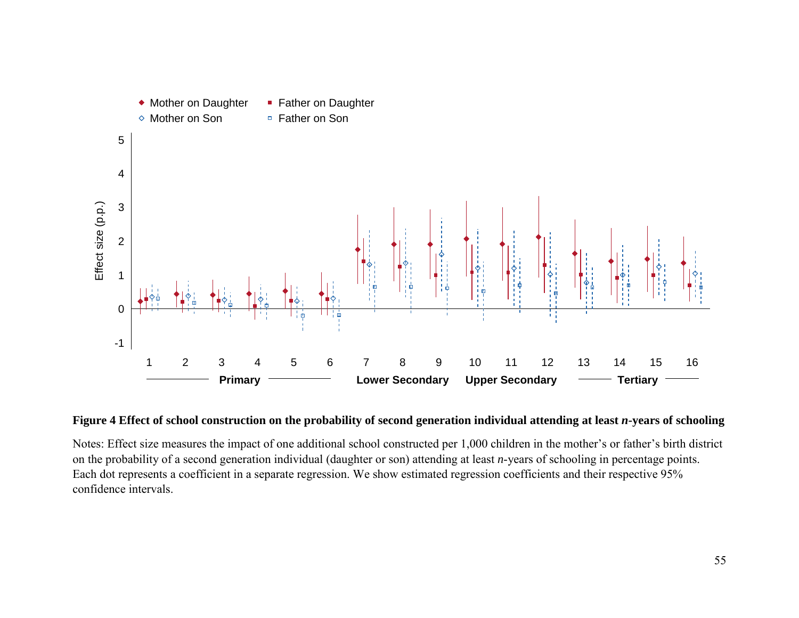

### Figure 4 Effect of school construction on the probability of second generation individual attending at least *n*-years of schooling

Notes: Effect size measures the impact of one additional school constructed per 1,000 children in the mother's or father's birth district on the probability of a second generation individual (daughter or son) attending at least *n*-years of schooling in percentage points. Each dot represents a coefficient in a separate regression. We show estimated regression coefficients and their respective 95% confidence intervals.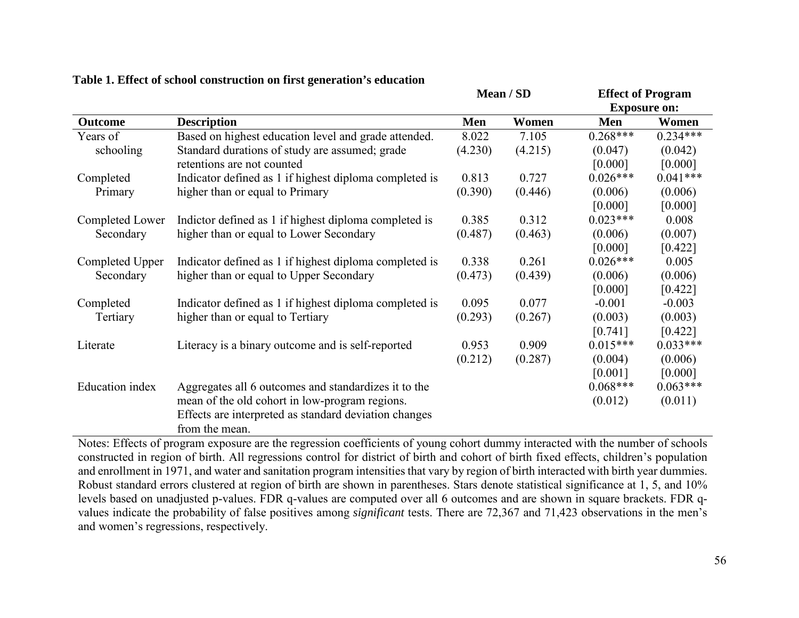|                        |                                                        | Mean / SD |         | <b>Effect of Program</b> |            |  |
|------------------------|--------------------------------------------------------|-----------|---------|--------------------------|------------|--|
|                        |                                                        |           |         | <b>Exposure on:</b>      |            |  |
| <b>Outcome</b>         | <b>Description</b>                                     | Men       | Women   | Men                      | Women      |  |
| Years of               | Based on highest education level and grade attended.   | 8.022     | 7.105   | $0.268***$               | $0.234***$ |  |
| schooling              | Standard durations of study are assumed; grade         | (4.230)   | (4.215) | (0.047)                  | (0.042)    |  |
|                        | retentions are not counted                             |           |         | [0.000]                  | [0.000]    |  |
| Completed              | Indicator defined as 1 if highest diploma completed is | 0.813     | 0.727   | $0.026***$               | $0.041***$ |  |
| Primary                | higher than or equal to Primary                        | (0.390)   | (0.446) | (0.006)                  | (0.006)    |  |
|                        |                                                        |           |         | [0.000]                  | [0.000]    |  |
| Completed Lower        | Indictor defined as 1 if highest diploma completed is  | 0.385     | 0.312   | $0.023***$               | 0.008      |  |
| Secondary              | higher than or equal to Lower Secondary                | (0.487)   | (0.463) | (0.006)                  | (0.007)    |  |
|                        |                                                        |           |         | [0.000]                  | [0.422]    |  |
| Completed Upper        | Indicator defined as 1 if highest diploma completed is | 0.338     | 0.261   | $0.026***$               | 0.005      |  |
| Secondary              | higher than or equal to Upper Secondary                | (0.473)   | (0.439) | (0.006)                  | (0.006)    |  |
|                        |                                                        |           |         | [0.000]                  | [0.422]    |  |
| Completed              | Indicator defined as 1 if highest diploma completed is | 0.095     | 0.077   | $-0.001$                 | $-0.003$   |  |
| Tertiary               | higher than or equal to Tertiary                       | (0.293)   | (0.267) | (0.003)                  | (0.003)    |  |
|                        |                                                        |           |         | [0.741]                  | [0.422]    |  |
| Literate               | Literacy is a binary outcome and is self-reported      | 0.953     | 0.909   | $0.015***$               | $0.033***$ |  |
|                        |                                                        | (0.212)   | (0.287) | (0.004)                  | (0.006)    |  |
|                        |                                                        |           |         | [0.001]                  | [0.000]    |  |
| <b>Education</b> index | Aggregates all 6 outcomes and standardizes it to the   |           |         | $0.068***$               | $0.063***$ |  |
|                        | mean of the old cohort in low-program regions.         |           |         | (0.012)                  | (0.011)    |  |
|                        | Effects are interpreted as standard deviation changes  |           |         |                          |            |  |
|                        | from the mean.                                         |           |         |                          |            |  |

## **Table 1. Effect of school construction on first generation's education**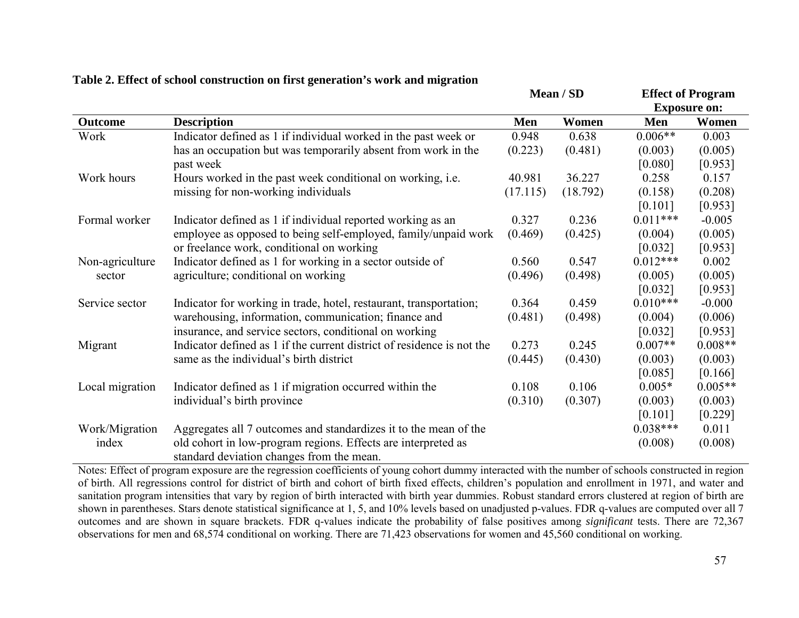|                 |                                                                        | Mean / SD |          | <b>Effect of Program</b> |                     |
|-----------------|------------------------------------------------------------------------|-----------|----------|--------------------------|---------------------|
|                 |                                                                        |           |          |                          | <b>Exposure on:</b> |
| <b>Outcome</b>  | <b>Description</b>                                                     | Men       | Women    | Men                      | Women               |
| Work            | Indicator defined as 1 if individual worked in the past week or        | 0.948     | 0.638    | $0.006**$                | 0.003               |
|                 | has an occupation but was temporarily absent from work in the          | (0.223)   | (0.481)  | (0.003)                  | (0.005)             |
|                 | past week                                                              |           |          | [0.080]                  | [0.953]             |
| Work hours      | Hours worked in the past week conditional on working, i.e.             | 40.981    | 36.227   | 0.258                    | 0.157               |
|                 | missing for non-working individuals                                    | (17.115)  | (18.792) | (0.158)                  | (0.208)             |
|                 |                                                                        |           |          | [0.101]                  | [0.953]             |
| Formal worker   | Indicator defined as 1 if individual reported working as an            | 0.327     | 0.236    | $0.011***$               | $-0.005$            |
|                 | employee as opposed to being self-employed, family/unpaid work         | (0.469)   | (0.425)  | (0.004)                  | (0.005)             |
|                 | or freelance work, conditional on working                              |           |          | [0.032]                  | [0.953]             |
| Non-agriculture | Indicator defined as 1 for working in a sector outside of              | 0.560     | 0.547    | $0.012***$               | 0.002               |
| sector          | agriculture; conditional on working                                    | (0.496)   | (0.498)  | (0.005)                  | (0.005)             |
|                 |                                                                        |           |          | [0.032]                  | [0.953]             |
| Service sector  | Indicator for working in trade, hotel, restaurant, transportation;     | 0.364     | 0.459    | $0.010***$               | $-0.000$            |
|                 | warehousing, information, communication; finance and                   | (0.481)   | (0.498)  | (0.004)                  | (0.006)             |
|                 | insurance, and service sectors, conditional on working                 |           |          | [0.032]                  | [0.953]             |
| Migrant         | Indicator defined as 1 if the current district of residence is not the | 0.273     | 0.245    | $0.007**$                | $0.008**$           |
|                 | same as the individual's birth district                                | (0.445)   | (0.430)  | (0.003)                  | (0.003)             |
|                 |                                                                        |           |          | [0.085]                  | [0.166]             |
| Local migration | Indicator defined as 1 if migration occurred within the                | 0.108     | 0.106    | $0.005*$                 | $0.005**$           |
|                 | individual's birth province                                            | (0.310)   | (0.307)  | (0.003)                  | (0.003)             |
|                 |                                                                        |           |          | [0.101]                  | [0.229]             |
| Work/Migration  | Aggregates all 7 outcomes and standardizes it to the mean of the       |           |          | $0.038***$               | 0.011               |
| index           | old cohort in low-program regions. Effects are interpreted as          |           |          | (0.008)                  | (0.008)             |
|                 | standard deviation changes from the mean.                              |           |          |                          |                     |

|  |  |  | Table 2. Effect of school construction on first generation's work and migration |
|--|--|--|---------------------------------------------------------------------------------|
|  |  |  |                                                                                 |
|  |  |  |                                                                                 |
|  |  |  |                                                                                 |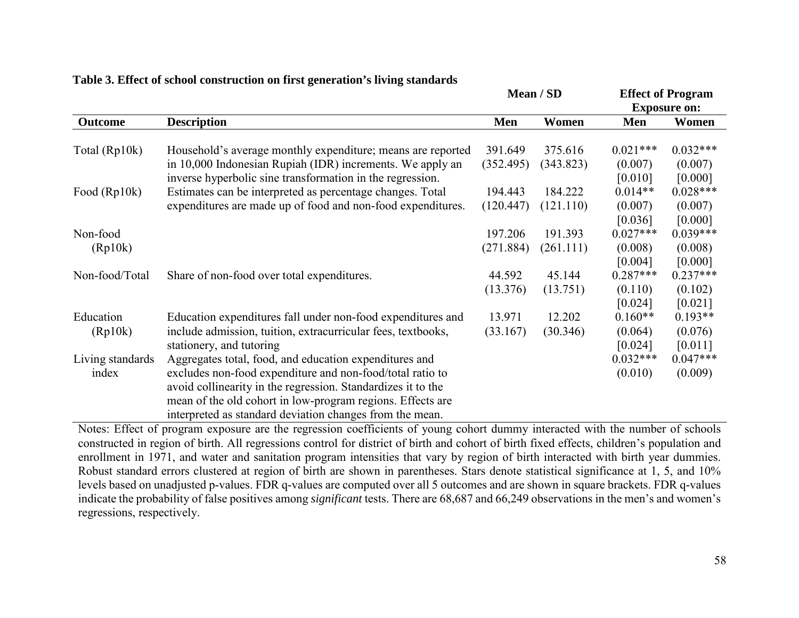|                  |                                                              |           | Mean / SD |                     | <b>Effect of Program</b> |  |
|------------------|--------------------------------------------------------------|-----------|-----------|---------------------|--------------------------|--|
|                  |                                                              |           |           | <b>Exposure on:</b> |                          |  |
| <b>Outcome</b>   | <b>Description</b>                                           | Men       | Women     | Men                 | Women                    |  |
| Total (Rp10k)    | Household's average monthly expenditure; means are reported  | 391.649   | 375.616   | $0.021***$          | $0.032***$               |  |
|                  | in 10,000 Indonesian Rupiah (IDR) increments. We apply an    | (352.495) | (343.823) | (0.007)             | (0.007)                  |  |
|                  | inverse hyperbolic sine transformation in the regression.    |           |           | [0.010]             | [0.000]                  |  |
| Food (Rp10k)     | Estimates can be interpreted as percentage changes. Total    | 194.443   | 184.222   | $0.014**$           | $0.028***$               |  |
|                  | expenditures are made up of food and non-food expenditures.  | (120.447) | (121.110) | (0.007)             | (0.007)                  |  |
|                  |                                                              |           |           | [0.036]             | [0.000]                  |  |
| Non-food         |                                                              | 197.206   | 191.393   | $0.027***$          | $0.039***$               |  |
| (Rp10k)          |                                                              | (271.884) | (261.111) | (0.008)             | (0.008)                  |  |
|                  |                                                              |           |           | [0.004]             | [0.000]                  |  |
| Non-food/Total   | Share of non-food over total expenditures.                   | 44.592    | 45.144    | $0.287***$          | $0.237***$               |  |
|                  |                                                              | (13.376)  | (13.751)  | (0.110)             | (0.102)                  |  |
|                  |                                                              |           |           | [0.024]             | [0.021]                  |  |
| Education        | Education expenditures fall under non-food expenditures and  | 13.971    | 12.202    | $0.160**$           | $0.193**$                |  |
| (Rp10k)          | include admission, tuition, extracurricular fees, textbooks, | (33.167)  | (30.346)  | (0.064)             | (0.076)                  |  |
|                  | stationery, and tutoring                                     |           |           | [0.024]             | [0.011]                  |  |
| Living standards | Aggregates total, food, and education expenditures and       |           |           | $0.032***$          | $0.047***$               |  |
| index            | excludes non-food expenditure and non-food/total ratio to    |           |           | (0.010)             | (0.009)                  |  |
|                  | avoid collinearity in the regression. Standardizes it to the |           |           |                     |                          |  |
|                  | mean of the old cohort in low-program regions. Effects are   |           |           |                     |                          |  |
|                  | interpreted as standard deviation changes from the mean.     |           |           |                     |                          |  |

## **Table 3. Effect of school construction on first generation's living standards**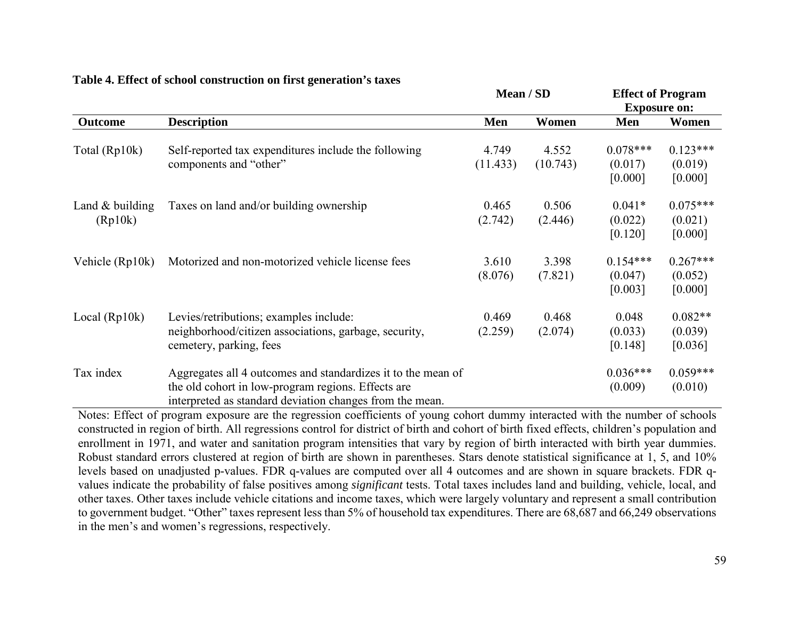|                              | <b>Description</b><br>Self-reported tax expenditures include the following<br>components and "other"                                                                           | Mean / SD         |                   | <b>Effect of Program</b><br><b>Exposure on:</b> |                                  |
|------------------------------|--------------------------------------------------------------------------------------------------------------------------------------------------------------------------------|-------------------|-------------------|-------------------------------------------------|----------------------------------|
| <b>Outcome</b>               |                                                                                                                                                                                | Men               | Women             | Men                                             | Women                            |
| Total (Rp10k)                |                                                                                                                                                                                | 4.749<br>(11.433) | 4.552<br>(10.743) | $0.078***$<br>(0.017)<br>[0.000]                | $0.123***$<br>(0.019)<br>[0.000] |
| Land $&$ building<br>(Rp10k) | Taxes on land and/or building ownership                                                                                                                                        | 0.465<br>(2.742)  | 0.506<br>(2.446)  | $0.041*$<br>(0.022)<br>[0.120]                  | $0.075***$<br>(0.021)<br>[0.000] |
| Vehicle (Rp10k)              | Motorized and non-motorized vehicle license fees                                                                                                                               | 3.610<br>(8.076)  | 3.398<br>(7.821)  | $0.154***$<br>(0.047)<br>[0.003]                | $0.267***$<br>(0.052)<br>[0.000] |
| Local $(Rp10k)$              | Levies/retributions; examples include:<br>neighborhood/citizen associations, garbage, security,<br>cemetery, parking, fees                                                     | 0.469<br>(2.259)  | 0.468<br>(2.074)  | 0.048<br>(0.033)<br>[0.148]                     | $0.082**$<br>(0.039)<br>[0.036]  |
| Tax index                    | Aggregates all 4 outcomes and standardizes it to the mean of<br>the old cohort in low-program regions. Effects are<br>interpreted as standard deviation changes from the mean. |                   |                   | $0.036***$<br>(0.009)                           | $0.059***$<br>(0.010)            |

#### **Table 4. Effect of school construction on first generation's taxes**

Notes: Effect of program exposure are the regression coefficients of young cohort dummy interacted with the number of schools constructed in region of birth. All regressions control for district of birth and cohort of birth fixed effects, children's population and enrollment in 1971, and water and sanitation program intensities that vary by region of birth interacted with birth year dummies. Robust standard errors clustered at region of birth are shown in parentheses. Stars denote statistical significance at 1, 5, and 10% levels based on unadjusted p-values. FDR q-values are computed over all 4 outcomes and are shown in square brackets. FDR qvalues indicate the probability of false positives among *significant* tests. Total taxes includes land and building, vehicle, local, and other taxes. Other taxes include vehicle citations and income taxes, which were largely voluntary and represent a small contribution to government budget. "Other" taxes represent less than 5% of household tax expenditures. There are 68,687 and 66,249 observations in the men's and women's regressions, respectively.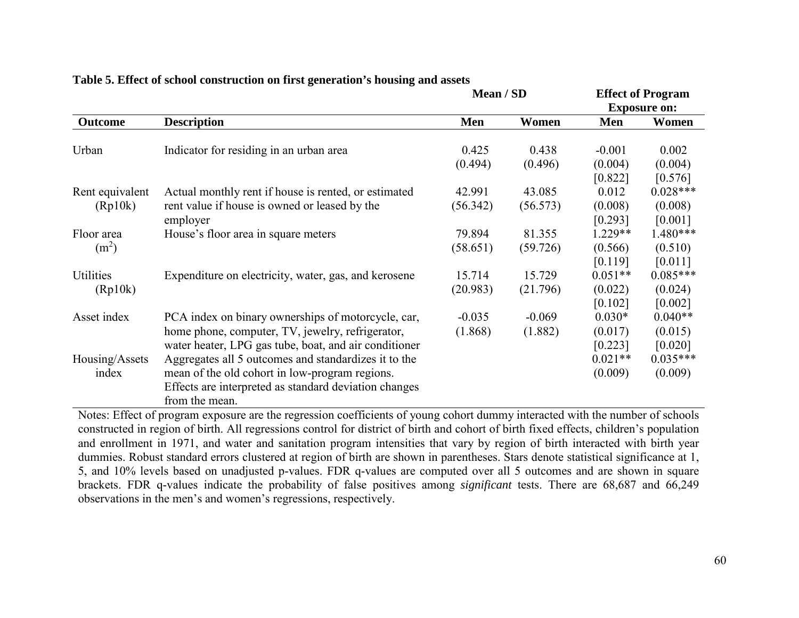|                   |                                                           | Mean / SD |          | <b>Effect of Program</b><br><b>Exposure on:</b> |                    |
|-------------------|-----------------------------------------------------------|-----------|----------|-------------------------------------------------|--------------------|
| <b>Outcome</b>    | <b>Description</b>                                        | Men       | Women    | Men                                             | Women              |
| Urban             | Indicator for residing in an urban area                   | 0.425     | 0.438    | $-0.001$                                        | 0.002              |
|                   |                                                           | (0.494)   | (0.496)  | (0.004)<br>[0.822]                              | (0.004)<br>[0.576] |
| Rent equivalent   | Actual monthly rent if house is rented, or estimated      | 42.991    | 43.085   | 0.012                                           | $0.028***$         |
| (Rp10k)           | rent value if house is owned or leased by the<br>employer | (56.342)  | (56.573) | (0.008)<br>[0.293]                              | (0.008)<br>[0.001] |
| Floor area        | House's floor area in square meters                       | 79.894    | 81.355   | 1.229**                                         | $1.480***$         |
| (m <sup>2</sup> ) |                                                           | (58.651)  | (59.726) | (0.566)                                         | (0.510)            |
|                   |                                                           |           |          | [0.119]                                         | [0.011]            |
| Utilities         | Expenditure on electricity, water, gas, and kerosene      | 15.714    | 15.729   | $0.051**$                                       | $0.085***$         |
| (Rp10k)           |                                                           | (20.983)  | (21.796) | (0.022)                                         | (0.024)            |
|                   |                                                           |           |          | [0.102]                                         | [0.002]            |
| Asset index       | PCA index on binary ownerships of motorcycle, car,        | $-0.035$  | $-0.069$ | $0.030*$                                        | $0.040**$          |
|                   | home phone, computer, TV, jewelry, refrigerator,          | (1.868)   | (1.882)  | (0.017)                                         | (0.015)            |
|                   | water heater, LPG gas tube, boat, and air conditioner     |           |          | [0.223]                                         | [0.020]            |
| Housing/Assets    | Aggregates all 5 outcomes and standardizes it to the      |           |          | $0.021**$                                       | $0.035***$         |
| index             | mean of the old cohort in low-program regions.            |           |          | (0.009)                                         | (0.009)            |
|                   | Effects are interpreted as standard deviation changes     |           |          |                                                 |                    |
|                   | from the mean.                                            |           |          |                                                 |                    |

# **Table 5. Effect of school construction on first generation's housing and assets**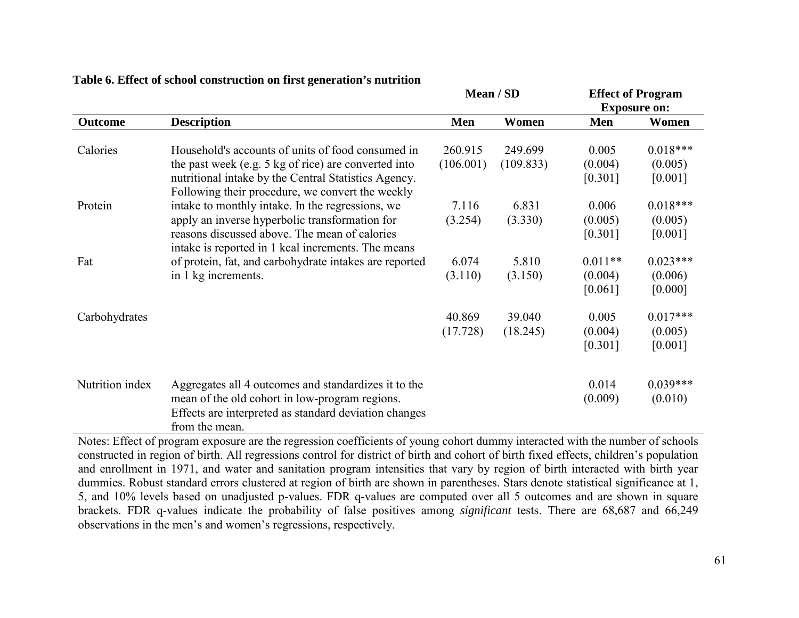|                 |                                                                                                                                                                                   | Mean / SD |           | <b>Effect of Program</b><br><b>Exposure on:</b> |                       |
|-----------------|-----------------------------------------------------------------------------------------------------------------------------------------------------------------------------------|-----------|-----------|-------------------------------------------------|-----------------------|
| <b>Outcome</b>  | <b>Description</b>                                                                                                                                                                | Men       | Women     | Men                                             | Women                 |
| Calories        | Household's accounts of units of food consumed in                                                                                                                                 | 260.915   | 249.699   | 0.005                                           | $0.018***$            |
|                 | the past week (e.g. 5 kg of rice) are converted into<br>nutritional intake by the Central Statistics Agency.<br>Following their procedure, we convert the weekly                  | (106.001) | (109.833) | (0.004)<br>[0.301]                              | (0.005)<br>[0.001]    |
| Protein         | intake to monthly intake. In the regressions, we                                                                                                                                  | 7.116     | 6.831     | 0.006                                           | $0.018***$            |
|                 | apply an inverse hyperbolic transformation for<br>reasons discussed above. The mean of calories<br>intake is reported in 1 kcal increments. The means                             | (3.254)   | (3.330)   | (0.005)<br>[0.301]                              | (0.005)<br>[0.001]    |
| Fat             | of protein, fat, and carbohydrate intakes are reported                                                                                                                            | 6.074     | 5.810     | $0.011**$                                       | $0.023***$            |
|                 | in 1 kg increments.                                                                                                                                                               | (3.110)   | (3.150)   | (0.004)<br>[0.061]                              | (0.006)<br>[0.000]    |
| Carbohydrates   |                                                                                                                                                                                   | 40.869    | 39.040    | 0.005                                           | $0.017***$            |
|                 |                                                                                                                                                                                   | (17.728)  | (18.245)  | (0.004)<br>[0.301]                              | (0.005)<br>[0.001]    |
| Nutrition index | Aggregates all 4 outcomes and standardizes it to the<br>mean of the old cohort in low-program regions.<br>Effects are interpreted as standard deviation changes<br>from the mean. |           |           | 0.014<br>(0.009)                                | $0.039***$<br>(0.010) |

## **Table 6. Effect of school construction on first generation's nutrition**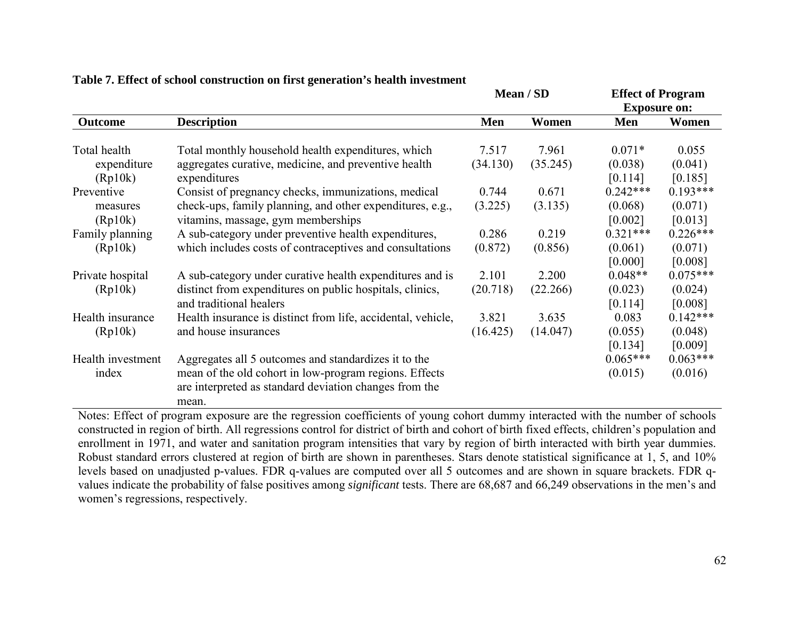|                        |                                                                                                 |          | Mean / SD | <b>Effect of Program</b><br><b>Exposure on:</b> |                    |
|------------------------|-------------------------------------------------------------------------------------------------|----------|-----------|-------------------------------------------------|--------------------|
| <b>Outcome</b>         | <b>Description</b>                                                                              | Men      | Women     | Men                                             | Women              |
| Total health           | Total monthly household health expenditures, which                                              | 7.517    | 7.961     | $0.071*$                                        | 0.055              |
| expenditure<br>(Rp10k) | aggregates curative, medicine, and preventive health<br>expenditures                            | (34.130) | (35.245)  | (0.038)<br>[0.114]                              | (0.041)<br>[0.185] |
| Preventive             | Consist of pregnancy checks, immunizations, medical                                             | 0.744    | 0.671     | $0.242***$                                      | $0.193***$         |
| measures<br>(Rp10k)    | check-ups, family planning, and other expenditures, e.g.,<br>vitamins, massage, gym memberships | (3.225)  | (3.135)   | (0.068)<br>[0.002]                              | (0.071)<br>[0.013] |
| Family planning        | A sub-category under preventive health expenditures,                                            | 0.286    | 0.219     | $0.321***$                                      | $0.226***$         |
| (Rp10k)                | which includes costs of contraceptives and consultations                                        | (0.872)  | (0.856)   | (0.061)<br>[0.000]                              | (0.071)<br>[0.008] |
| Private hospital       | A sub-category under curative health expenditures and is                                        | 2.101    | 2.200     | $0.048**$                                       | $0.075***$         |
| (Rp10k)                | distinct from expenditures on public hospitals, clinics,<br>and traditional healers             | (20.718) | (22.266)  | (0.023)<br>[0.114]                              | (0.024)<br>[0.008] |
| Health insurance       | Health insurance is distinct from life, accidental, vehicle,                                    | 3.821    | 3.635     | 0.083                                           | $0.142***$         |
| (Rp10k)                | and house insurances                                                                            | (16.425) | (14.047)  | (0.055)                                         | (0.048)            |
|                        |                                                                                                 |          |           | [0.134]                                         | [0.009]            |
| Health investment      | Aggregates all 5 outcomes and standardizes it to the                                            |          |           | $0.065***$                                      | $0.063***$         |
| index                  | mean of the old cohort in low-program regions. Effects                                          |          |           | (0.015)                                         | (0.016)            |
|                        | are interpreted as standard deviation changes from the                                          |          |           |                                                 |                    |
|                        | mean.                                                                                           |          |           |                                                 |                    |

## **Table 7. Effect of school construction on first generation's health investment**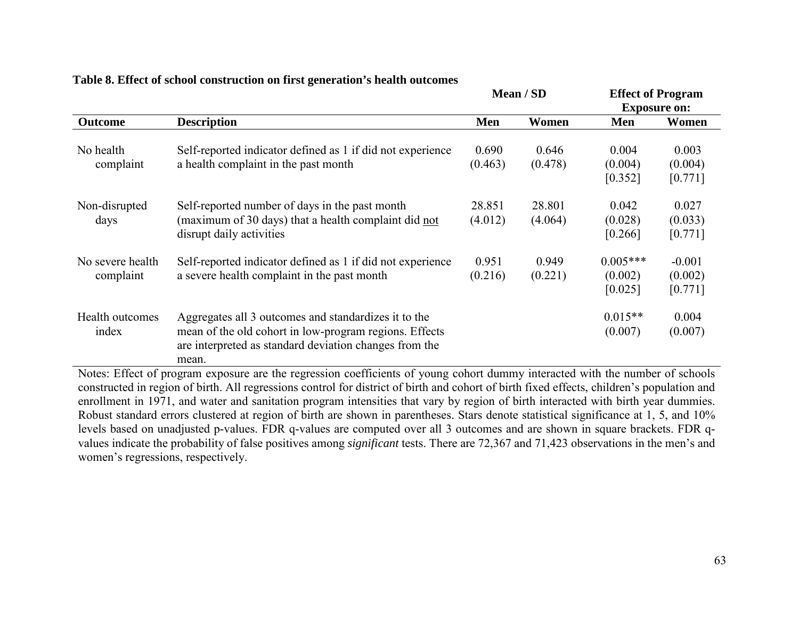|                  |                                                            | Mean / SD |         | <b>Effect of Program</b> |          |
|------------------|------------------------------------------------------------|-----------|---------|--------------------------|----------|
|                  |                                                            |           |         | <b>Exposure on:</b>      |          |
| <b>Outcome</b>   | <b>Description</b>                                         | Men       | Women   | <b>Men</b>               | Women    |
|                  |                                                            |           |         |                          |          |
| No health        | Self-reported indicator defined as 1 if did not experience | 0.690     | 0.646   | 0.004                    | 0.003    |
| complaint        | a health complaint in the past month                       | (0.463)   | (0.478) | (0.004)                  | (0.004)  |
|                  |                                                            |           |         | [0.352]                  | [0.771]  |
| Non-disrupted    | Self-reported number of days in the past month             | 28.851    | 28.801  | 0.042                    | 0.027    |
| days             | (maximum of 30 days) that a health complaint did not       | (4.012)   | (4.064) | (0.028)                  | (0.033)  |
|                  | disrupt daily activities                                   |           |         | [0.266]                  | [0.771]  |
| No severe health | Self-reported indicator defined as 1 if did not experience | 0.951     | 0.949   | $0.005***$               | $-0.001$ |
| complaint        | a severe health complaint in the past month                | (0.216)   | (0.221) | (0.002)                  | (0.002)  |
|                  |                                                            |           |         | [0.025]                  | [0.771]  |
| Health outcomes  | Aggregates all 3 outcomes and standardizes it to the       |           |         | $0.015**$                | 0.004    |
| index            | mean of the old cohort in low-program regions. Effects     |           |         | (0.007)                  | (0.007)  |
|                  | are interpreted as standard deviation changes from the     |           |         |                          |          |
|                  | mean.                                                      |           |         |                          |          |

# **Table 8. Effect of school construction on first generation's health outcomes**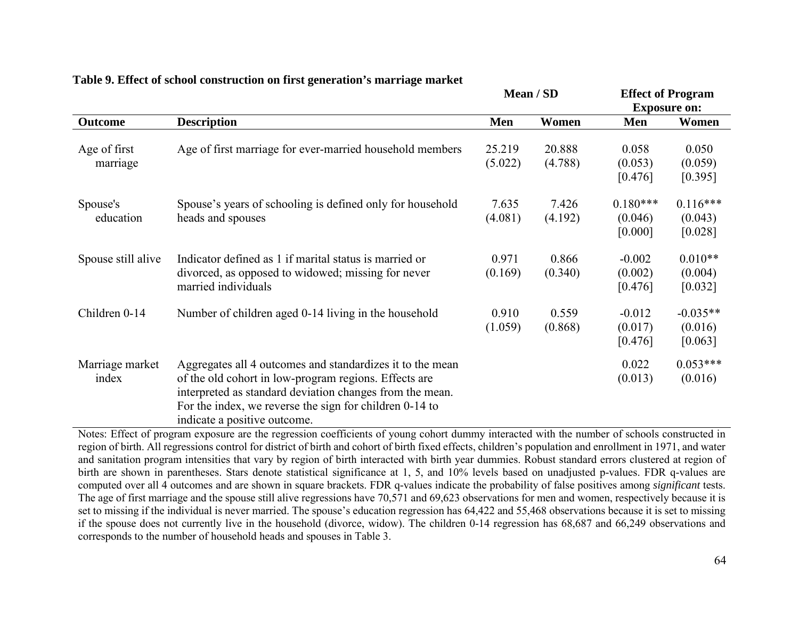|                          |                                                                                                                                                                                                                                                                           | Mean / SD         |                   | <b>Effect of Program</b><br><b>Exposure on:</b> |                                  |  |
|--------------------------|---------------------------------------------------------------------------------------------------------------------------------------------------------------------------------------------------------------------------------------------------------------------------|-------------------|-------------------|-------------------------------------------------|----------------------------------|--|
|                          |                                                                                                                                                                                                                                                                           |                   |                   |                                                 |                                  |  |
| Outcome                  | <b>Description</b>                                                                                                                                                                                                                                                        | Men               | Women             | Men                                             | Women                            |  |
| Age of first<br>marriage | Age of first marriage for ever-married household members                                                                                                                                                                                                                  | 25.219<br>(5.022) | 20.888<br>(4.788) | 0.058<br>(0.053)<br>[0.476]                     | 0.050<br>(0.059)<br>[0.395]      |  |
| Spouse's<br>education    | Spouse's years of schooling is defined only for household<br>heads and spouses                                                                                                                                                                                            | 7.635<br>(4.081)  | 7.426<br>(4.192)  | $0.180***$<br>(0.046)<br>[0.000]                | $0.116***$<br>(0.043)<br>[0.028] |  |
| Spouse still alive       | Indicator defined as 1 if marital status is married or<br>divorced, as opposed to widowed; missing for never<br>married individuals                                                                                                                                       | 0.971<br>(0.169)  | 0.866<br>(0.340)  | $-0.002$<br>(0.002)<br>[0.476]                  | $0.010**$<br>(0.004)<br>[0.032]  |  |
| Children 0-14            | Number of children aged 0-14 living in the household                                                                                                                                                                                                                      | 0.910<br>(1.059)  | 0.559<br>(0.868)  | $-0.012$<br>(0.017)<br>[0.476]                  | $-0.035**$<br>(0.016)<br>[0.063] |  |
| Marriage market<br>index | Aggregates all 4 outcomes and standardizes it to the mean<br>of the old cohort in low-program regions. Effects are<br>interpreted as standard deviation changes from the mean.<br>For the index, we reverse the sign for children 0-14 to<br>indicate a positive outcome. |                   |                   | 0.022<br>(0.013)                                | $0.053***$<br>(0.016)            |  |

# **Table 9. Effect of school construction on first generation's marriage market**

Notes: Effect of program exposure are the regression coefficients of young cohort dummy interacted with the number of schools constructed in region of birth. All regressions control for district of birth and cohort of birth fixed effects, children's population and enrollment in 1971, and water and sanitation program intensities that vary by region of birth interacted with birth year dummies. Robust standard errors clustered at region of birth are shown in parentheses. Stars denote statistical significance at 1, 5, and 10% levels based on unadjusted p-values. FDR q-values are computed over all 4 outcomes and are shown in square brackets. FDR q-values indicate the probability of false positives among *significant* tests. The age of first marriage and the spouse still alive regressions have 70,571 and 69,623 observations for men and women, respectively because it is set to missing if the individual is never married. The spouse's education regression has 64,422 and 55,468 observations because it is set to missing if the spouse does not currently live in the household (divorce, widow). The children 0-14 regression has 68,687 and 66,249 observations and corresponds to the number of household heads and spouses in Table 3.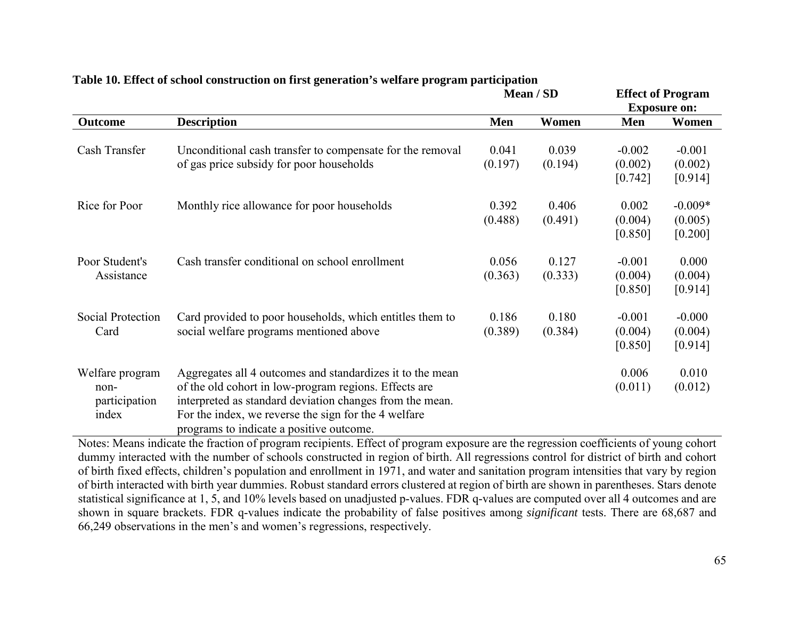|                                                   |                                                                                                                                                                                                                                                                                    | Mean / SD        |                  | <b>Effect of Program</b><br><b>Exposure on:</b> |                                 |
|---------------------------------------------------|------------------------------------------------------------------------------------------------------------------------------------------------------------------------------------------------------------------------------------------------------------------------------------|------------------|------------------|-------------------------------------------------|---------------------------------|
| <b>Outcome</b>                                    | <b>Description</b>                                                                                                                                                                                                                                                                 | Men              | Women            | Men                                             | Women                           |
| Cash Transfer                                     | Unconditional cash transfer to compensate for the removal<br>of gas price subsidy for poor households                                                                                                                                                                              | 0.041<br>(0.197) | 0.039<br>(0.194) | $-0.002$<br>(0.002)<br>[0.742]                  | $-0.001$<br>(0.002)<br>[0.914]  |
| Rice for Poor                                     | Monthly rice allowance for poor households                                                                                                                                                                                                                                         | 0.392<br>(0.488) | 0.406<br>(0.491) | 0.002<br>(0.004)<br>[0.850]                     | $-0.009*$<br>(0.005)<br>[0.200] |
| Poor Student's<br>Assistance                      | Cash transfer conditional on school enrollment                                                                                                                                                                                                                                     | 0.056<br>(0.363) | 0.127<br>(0.333) | $-0.001$<br>(0.004)<br>[0.850]                  | 0.000<br>(0.004)<br>[0.914]     |
| Social Protection<br>Card                         | Card provided to poor households, which entitles them to<br>social welfare programs mentioned above                                                                                                                                                                                | 0.186<br>(0.389) | 0.180<br>(0.384) | $-0.001$<br>(0.004)<br>[0.850]                  | $-0.000$<br>(0.004)<br>[0.914]  |
| Welfare program<br>non-<br>participation<br>index | Aggregates all 4 outcomes and standardizes it to the mean<br>of the old cohort in low-program regions. Effects are<br>interpreted as standard deviation changes from the mean.<br>For the index, we reverse the sign for the 4 welfare<br>programs to indicate a positive outcome. |                  |                  | 0.006<br>(0.011)                                | 0.010<br>(0.012)                |

# **Table 10. Effect of school construction on first generation's welfare program participation**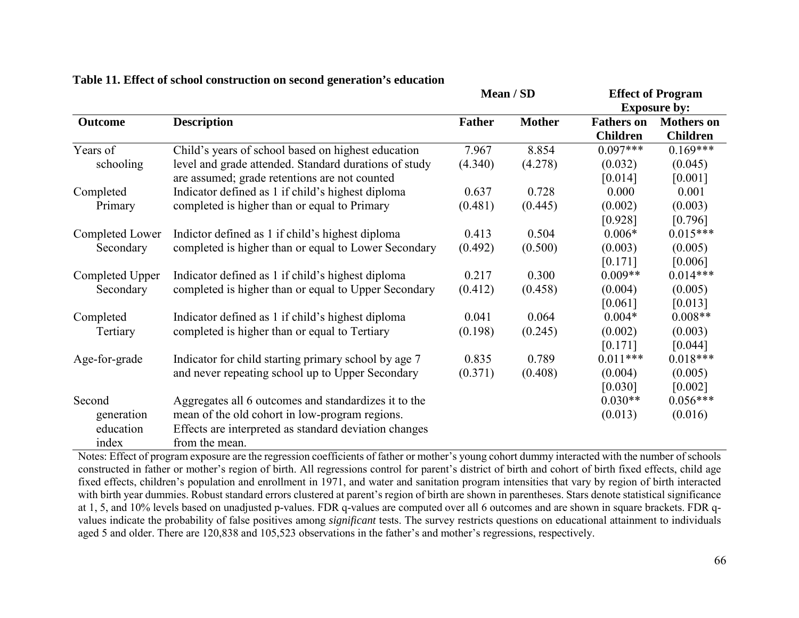|                 |                                                       | Mean / SD     |               | <b>Effect of Program</b> |                     |  |  |
|-----------------|-------------------------------------------------------|---------------|---------------|--------------------------|---------------------|--|--|
|                 |                                                       |               |               |                          | <b>Exposure by:</b> |  |  |
| Outcome         | <b>Description</b>                                    | <b>Father</b> | <b>Mother</b> | <b>Fathers on</b>        | <b>Mothers</b> on   |  |  |
|                 |                                                       |               |               | <b>Children</b>          | <b>Children</b>     |  |  |
| Years of        | Child's years of school based on highest education    | 7.967         | 8.854         | $0.097***$               | $0.169***$          |  |  |
| schooling       | level and grade attended. Standard durations of study | (4.340)       | (4.278)       | (0.032)                  | (0.045)             |  |  |
|                 | are assumed; grade retentions are not counted         |               |               | [0.014]                  | [0.001]             |  |  |
| Completed       | Indicator defined as 1 if child's highest diploma     | 0.637         | 0.728         | 0.000                    | 0.001               |  |  |
| Primary         | completed is higher than or equal to Primary          | (0.481)       | (0.445)       | (0.002)                  | (0.003)             |  |  |
|                 |                                                       |               |               | [0.928]                  | [0.796]             |  |  |
| Completed Lower | Indictor defined as 1 if child's highest diploma      | 0.413         | 0.504         | $0.006*$                 | $0.015***$          |  |  |
| Secondary       | completed is higher than or equal to Lower Secondary  | (0.492)       | (0.500)       | (0.003)                  | (0.005)             |  |  |
|                 |                                                       |               |               | [0.171]                  | [0.006]             |  |  |
| Completed Upper | Indicator defined as 1 if child's highest diploma     | 0.217         | 0.300         | $0.009**$                | $0.014***$          |  |  |
| Secondary       | completed is higher than or equal to Upper Secondary  | (0.412)       | (0.458)       | (0.004)                  | (0.005)             |  |  |
|                 |                                                       |               |               | [0.061]                  | [0.013]             |  |  |
| Completed       | Indicator defined as 1 if child's highest diploma     | 0.041         | 0.064         | $0.004*$                 | $0.008**$           |  |  |
| Tertiary        | completed is higher than or equal to Tertiary         | (0.198)       | (0.245)       | (0.002)                  | (0.003)             |  |  |
|                 |                                                       |               |               | [0.171]                  | [0.044]             |  |  |
| Age-for-grade   | Indicator for child starting primary school by age 7  | 0.835         | 0.789         | $0.011***$               | $0.018***$          |  |  |
|                 | and never repeating school up to Upper Secondary      | (0.371)       | (0.408)       | (0.004)                  | (0.005)             |  |  |
|                 |                                                       |               |               | [0.030]                  | [0.002]             |  |  |
| Second          | Aggregates all 6 outcomes and standardizes it to the  |               |               | $0.030**$                | $0.056***$          |  |  |
| generation      | mean of the old cohort in low-program regions.        |               |               | (0.013)                  | (0.016)             |  |  |
| education       | Effects are interpreted as standard deviation changes |               |               |                          |                     |  |  |
| index           | from the mean.                                        |               |               |                          |                     |  |  |

## **Table 11. Effect of school construction on second generation's education**

Notes: Effect of program exposure are the regression coefficients of father or mother's young cohort dummy interacted with the number of schools constructed in father or mother's region of birth. All regressions control for parent's district of birth and cohort of birth fixed effects, child age fixed effects, children's population and enrollment in 1971, and water and sanitation program intensities that vary by region of birth interacted with birth year dummies. Robust standard errors clustered at parent's region of birth are shown in parentheses. Stars denote statistical significance at 1, 5, and 10% levels based on unadjusted p-values. FDR q-values are computed over all 6 outcomes and are shown in square brackets. FDR qvalues indicate the probability of false positives among *significant* tests. The survey restricts questions on educational attainment to individuals aged 5 and older. There are 120,838 and 105,523 observations in the father's and mother's regressions, respectively.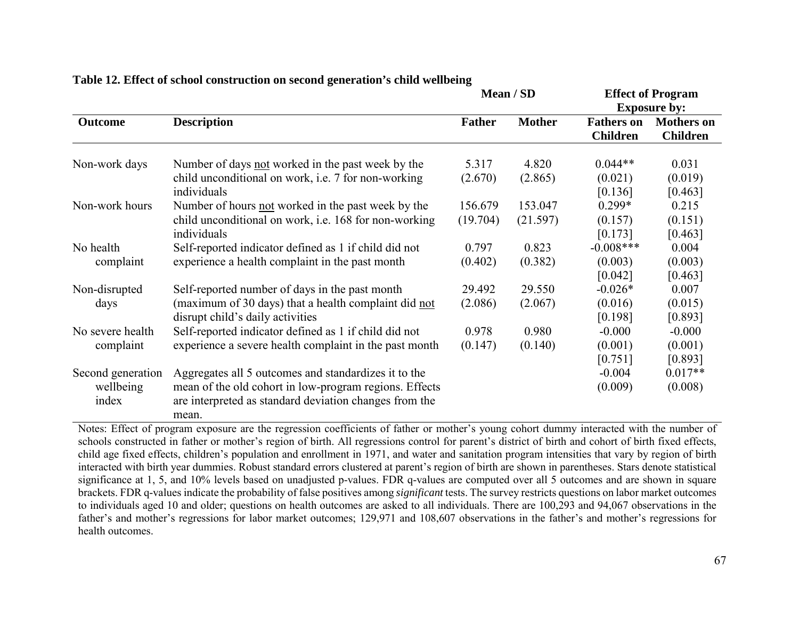|                    |                                                                                                                           |                  | Mean / SD        | <b>Effect of Program</b><br><b>Exposure by:</b> |                                      |  |
|--------------------|---------------------------------------------------------------------------------------------------------------------------|------------------|------------------|-------------------------------------------------|--------------------------------------|--|
| <b>Outcome</b>     | <b>Description</b>                                                                                                        | <b>Father</b>    | <b>Mother</b>    | <b>Fathers on</b><br><b>Children</b>            | <b>Mothers</b> on<br><b>Children</b> |  |
| Non-work days      | Number of days not worked in the past week by the<br>child unconditional on work, i.e. 7 for non-working                  | 5.317<br>(2.670) | 4.820<br>(2.865) | $0.044**$<br>(0.021)                            | 0.031<br>(0.019)                     |  |
| Non-work hours     | individuals<br>Number of hours not worked in the past week by the                                                         | 156.679          | 153.047          | [0.136]<br>$0.299*$                             | [0.463]<br>0.215                     |  |
|                    | child unconditional on work, i.e. 168 for non-working<br>individuals                                                      | (19.704)         | (21.597)         | (0.157)<br>[0.173]                              | (0.151)<br>[0.463]                   |  |
| No health          | Self-reported indicator defined as 1 if child did not                                                                     | 0.797            | 0.823            | $-0.008***$                                     | 0.004                                |  |
| complaint          | experience a health complaint in the past month                                                                           | (0.402)          | (0.382)          | (0.003)<br>[0.042]                              | (0.003)<br>[0.463]                   |  |
| Non-disrupted      | Self-reported number of days in the past month                                                                            | 29.492           | 29.550           | $-0.026*$                                       | 0.007                                |  |
| days               | (maximum of 30 days) that a health complaint did not<br>disrupt child's daily activities                                  | (2.086)          | (2.067)          | (0.016)<br>[0.198]                              | (0.015)<br>[0.893]                   |  |
| No severe health   | Self-reported indicator defined as 1 if child did not                                                                     | 0.978            | 0.980            | $-0.000$                                        | $-0.000$                             |  |
| complaint          | experience a severe health complaint in the past month                                                                    | (0.147)          | (0.140)          | (0.001)<br>[0.751]                              | (0.001)<br>[0.893]                   |  |
| Second generation  | Aggregates all 5 outcomes and standardizes it to the                                                                      |                  |                  | $-0.004$                                        | $0.017**$                            |  |
| wellbeing<br>index | mean of the old cohort in low-program regions. Effects<br>are interpreted as standard deviation changes from the<br>mean. |                  |                  | (0.009)                                         | (0.008)                              |  |

## **Table 12. Effect of school construction on second generation's child wellbeing**

Notes: Effect of program exposure are the regression coefficients of father or mother's young cohort dummy interacted with the number of schools constructed in father or mother's region of birth. All regressions control for parent's district of birth and cohort of birth fixed effects, child age fixed effects, children's population and enrollment in 1971, and water and sanitation program intensities that vary by region of birth interacted with birth year dummies. Robust standard errors clustered at parent's region of birth are shown in parentheses. Stars denote statistical significance at 1, 5, and 10% levels based on unadjusted p-values. FDR q-values are computed over all 5 outcomes and are shown in square brackets. FDR q-values indicate the probability of false positives among *significant* tests. The survey restricts questions on labor market outcomes to individuals aged 10 and older; questions on health outcomes are asked to all individuals. There are 100,293 and 94,067 observations in the father's and mother's regressions for labor market outcomes; 129,971 and 108,607 observations in the father's and mother's regressions for health outcomes.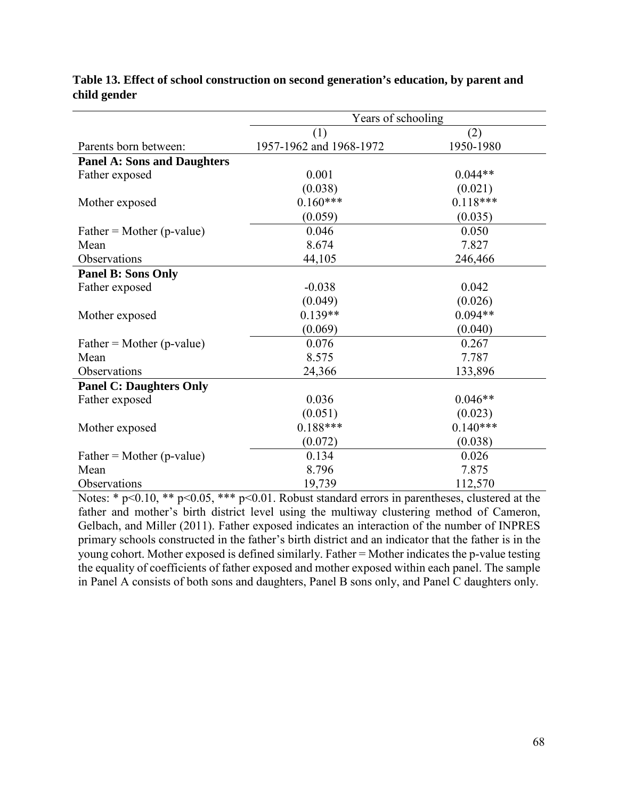|                                    | Years of schooling      |            |  |  |  |  |  |
|------------------------------------|-------------------------|------------|--|--|--|--|--|
|                                    | (1)                     | (2)        |  |  |  |  |  |
| Parents born between:              | 1957-1962 and 1968-1972 | 1950-1980  |  |  |  |  |  |
| <b>Panel A: Sons and Daughters</b> |                         |            |  |  |  |  |  |
| Father exposed                     | 0.001                   | $0.044**$  |  |  |  |  |  |
|                                    | (0.038)                 | (0.021)    |  |  |  |  |  |
| Mother exposed                     | $0.160***$              | $0.118***$ |  |  |  |  |  |
|                                    | (0.059)                 | (0.035)    |  |  |  |  |  |
| $Father = Mother (p-value)$        | 0.046                   | 0.050      |  |  |  |  |  |
| Mean                               | 8.674                   | 7.827      |  |  |  |  |  |
| Observations                       | 44,105                  | 246,466    |  |  |  |  |  |
| <b>Panel B: Sons Only</b>          |                         |            |  |  |  |  |  |
| Father exposed                     | $-0.038$                | 0.042      |  |  |  |  |  |
|                                    | (0.049)                 | (0.026)    |  |  |  |  |  |
| Mother exposed                     | $0.139**$               | $0.094**$  |  |  |  |  |  |
|                                    | (0.069)                 | (0.040)    |  |  |  |  |  |
| $Father = Mother (p-value)$        | 0.076                   | 0.267      |  |  |  |  |  |
| Mean                               | 8.575                   | 7.787      |  |  |  |  |  |
| Observations                       | 24,366                  | 133,896    |  |  |  |  |  |
| <b>Panel C: Daughters Only</b>     |                         |            |  |  |  |  |  |
| Father exposed                     | 0.036                   | $0.046**$  |  |  |  |  |  |
|                                    | (0.051)                 | (0.023)    |  |  |  |  |  |
| Mother exposed                     | $0.188***$              | $0.140***$ |  |  |  |  |  |
|                                    | (0.072)                 | (0.038)    |  |  |  |  |  |
| $Father = Mother (p-value)$        | 0.134                   | 0.026      |  |  |  |  |  |
| Mean                               | 8.796                   | 7.875      |  |  |  |  |  |
| Observations                       | 19,739                  | 112,570    |  |  |  |  |  |

# **Table 13. Effect of school construction on second generation's education, by parent and child gender**

Notes: \* p<0.10, \*\* p<0.05, \*\*\* p<0.01. Robust standard errors in parentheses, clustered at the father and mother's birth district level using the multiway clustering method of Cameron, Gelbach, and Miller (2011). Father exposed indicates an interaction of the number of INPRES primary schools constructed in the father's birth district and an indicator that the father is in the young cohort. Mother exposed is defined similarly. Father = Mother indicates the p-value testing the equality of coefficients of father exposed and mother exposed within each panel. The sample in Panel A consists of both sons and daughters, Panel B sons only, and Panel C daughters only.